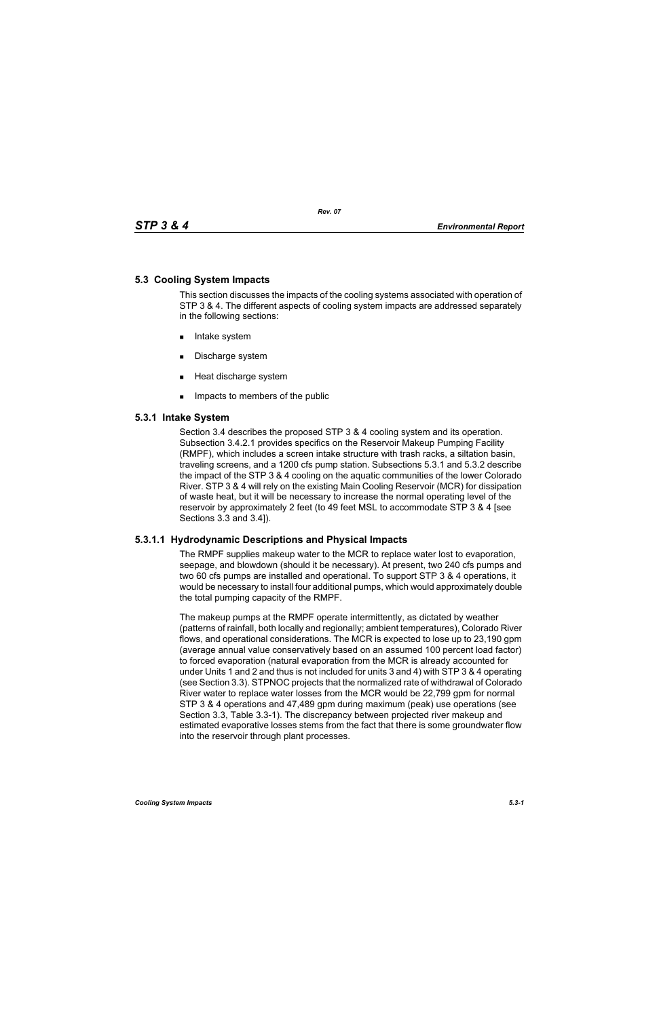# **5.3 Cooling System Impacts**

This section discusses the impacts of the cooling systems associated with operation of STP 3 & 4. The different aspects of cooling system impacts are addressed separately in the following sections:

- **Intake system**
- Discharge system
- **Heat discharge system**
- **IMPACTE THE MEMBER IMP** Impacts to members of the public

# **5.3.1 Intake System**

Section 3.4 describes the proposed STP 3 & 4 cooling system and its operation. Subsection 3.4.2.1 provides specifics on the Reservoir Makeup Pumping Facility (RMPF), which includes a screen intake structure with trash racks, a siltation basin, traveling screens, and a 1200 cfs pump station. Subsections 5.3.1 and 5.3.2 describe the impact of the STP 3 & 4 cooling on the aquatic communities of the lower Colorado River. STP 3 & 4 will rely on the existing Main Cooling Reservoir (MCR) for dissipation of waste heat, but it will be necessary to increase the normal operating level of the reservoir by approximately 2 feet (to 49 feet MSL to accommodate STP 3 & 4 [see Sections 3.3 and 3.4]).

# **5.3.1.1 Hydrodynamic Descriptions and Physical Impacts**

The RMPF supplies makeup water to the MCR to replace water lost to evaporation, seepage, and blowdown (should it be necessary). At present, two 240 cfs pumps and two 60 cfs pumps are installed and operational. To support STP 3 & 4 operations, it would be necessary to install four additional pumps, which would approximately double the total pumping capacity of the RMPF.

The makeup pumps at the RMPF operate intermittently, as dictated by weather (patterns of rainfall, both locally and regionally; ambient temperatures), Colorado River flows, and operational considerations. The MCR is expected to lose up to 23,190 gpm (average annual value conservatively based on an assumed 100 percent load factor) to forced evaporation (natural evaporation from the MCR is already accounted for under Units 1 and 2 and thus is not included for units 3 and 4) with STP 3 & 4 operating (see Section 3.3). STPNOC projects that the normalized rate of withdrawal of Colorado River water to replace water losses from the MCR would be 22,799 gpm for normal STP 3 & 4 operations and 47,489 gpm during maximum (peak) use operations (see Section 3.3, Table 3.3-1). The discrepancy between projected river makeup and estimated evaporative losses stems from the fact that there is some groundwater flow into the reservoir through plant processes.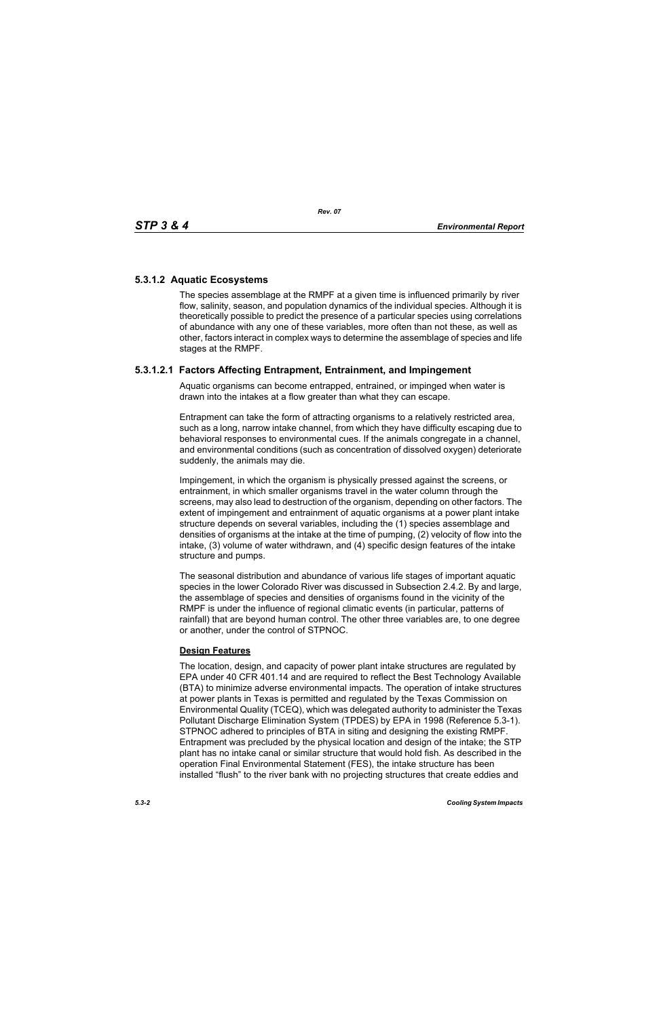# **5.3.1.2 Aquatic Ecosystems**

The species assemblage at the RMPF at a given time is influenced primarily by river flow, salinity, season, and population dynamics of the individual species. Although it is theoretically possible to predict the presence of a particular species using correlations of abundance with any one of these variables, more often than not these, as well as other, factors interact in complex ways to determine the assemblage of species and life stages at the RMPF.

# **5.3.1.2.1 Factors Affecting Entrapment, Entrainment, and Impingement**

Aquatic organisms can become entrapped, entrained, or impinged when water is drawn into the intakes at a flow greater than what they can escape.

Entrapment can take the form of attracting organisms to a relatively restricted area, such as a long, narrow intake channel, from which they have difficulty escaping due to behavioral responses to environmental cues. If the animals congregate in a channel, and environmental conditions (such as concentration of dissolved oxygen) deteriorate suddenly, the animals may die.

Impingement, in which the organism is physically pressed against the screens, or entrainment, in which smaller organisms travel in the water column through the screens, may also lead to destruction of the organism, depending on other factors. The extent of impingement and entrainment of aquatic organisms at a power plant intake structure depends on several variables, including the (1) species assemblage and densities of organisms at the intake at the time of pumping, (2) velocity of flow into the intake, (3) volume of water withdrawn, and (4) specific design features of the intake structure and pumps.

The seasonal distribution and abundance of various life stages of important aquatic species in the lower Colorado River was discussed in Subsection 2.4.2. By and large, the assemblage of species and densities of organisms found in the vicinity of the RMPF is under the influence of regional climatic events (in particular, patterns of rainfall) that are beyond human control. The other three variables are, to one degree or another, under the control of STPNOC.

# **Design Features**

The location, design, and capacity of power plant intake structures are regulated by EPA under 40 CFR 401.14 and are required to reflect the Best Technology Available (BTA) to minimize adverse environmental impacts. The operation of intake structures at power plants in Texas is permitted and regulated by the Texas Commission on Environmental Quality (TCEQ), which was delegated authority to administer the Texas Pollutant Discharge Elimination System (TPDES) by EPA in 1998 (Reference 5.3-1). STPNOC adhered to principles of BTA in siting and designing the existing RMPF. Entrapment was precluded by the physical location and design of the intake; the STP plant has no intake canal or similar structure that would hold fish. As described in the operation Final Environmental Statement (FES), the intake structure has been installed "flush" to the river bank with no projecting structures that create eddies and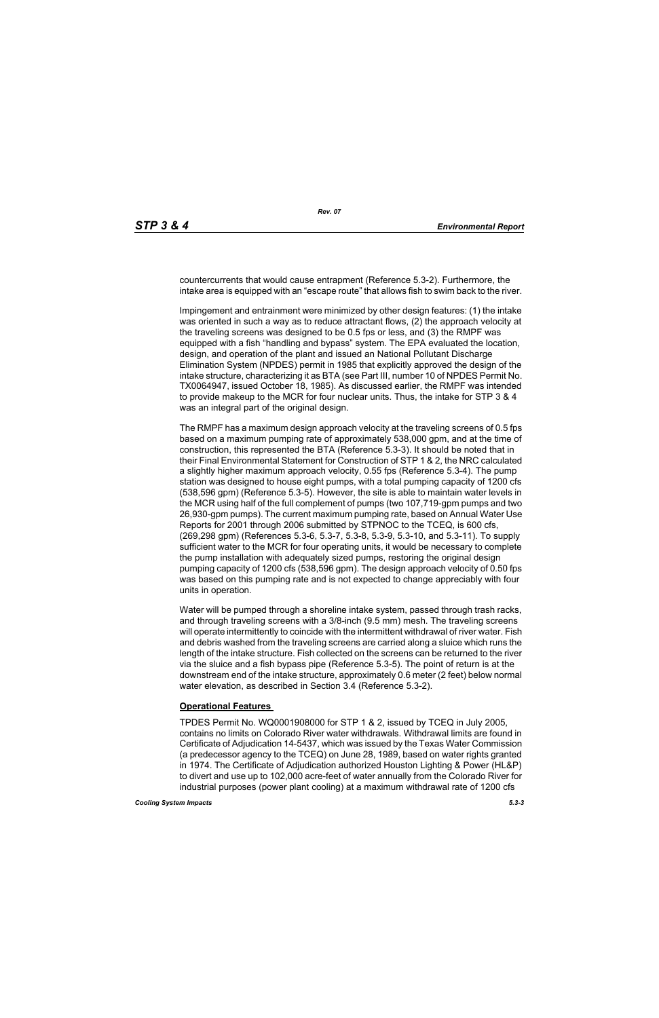countercurrents that would cause entrapment (Reference 5.3-2). Furthermore, the intake area is equipped with an "escape route" that allows fish to swim back to the river.

Impingement and entrainment were minimized by other design features: (1) the intake was oriented in such a way as to reduce attractant flows, (2) the approach velocity at the traveling screens was designed to be 0.5 fps or less, and (3) the RMPF was equipped with a fish "handling and bypass" system. The EPA evaluated the location, design, and operation of the plant and issued an National Pollutant Discharge Elimination System (NPDES) permit in 1985 that explicitly approved the design of the intake structure, characterizing it as BTA (see Part III, number 10 of NPDES Permit No. TX0064947, issued October 18, 1985). As discussed earlier, the RMPF was intended to provide makeup to the MCR for four nuclear units. Thus, the intake for STP 3 & 4 was an integral part of the original design.

The RMPF has a maximum design approach velocity at the traveling screens of 0.5 fps based on a maximum pumping rate of approximately 538,000 gpm, and at the time of construction, this represented the BTA (Reference 5.3-3). It should be noted that in their Final Environmental Statement for Construction of STP 1 & 2, the NRC calculated a slightly higher maximum approach velocity, 0.55 fps (Reference 5.3-4). The pump station was designed to house eight pumps, with a total pumping capacity of 1200 cfs (538,596 gpm) (Reference 5.3-5). However, the site is able to maintain water levels in the MCR using half of the full complement of pumps (two 107,719-gpm pumps and two 26,930-gpm pumps). The current maximum pumping rate, based on Annual Water Use Reports for 2001 through 2006 submitted by STPNOC to the TCEQ, is 600 cfs, (269,298 gpm) (References 5.3-6, 5.3-7, 5.3-8, 5.3-9, 5.3-10, and 5.3-11). To supply sufficient water to the MCR for four operating units, it would be necessary to complete the pump installation with adequately sized pumps, restoring the original design pumping capacity of 1200 cfs (538,596 gpm). The design approach velocity of 0.50 fps was based on this pumping rate and is not expected to change appreciably with four units in operation.

Water will be pumped through a shoreline intake system, passed through trash racks, and through traveling screens with a 3/8-inch (9.5 mm) mesh. The traveling screens will operate intermittently to coincide with the intermittent withdrawal of river water. Fish and debris washed from the traveling screens are carried along a sluice which runs the length of the intake structure. Fish collected on the screens can be returned to the river via the sluice and a fish bypass pipe (Reference 5.3-5). The point of return is at the downstream end of the intake structure, approximately 0.6 meter (2 feet) below normal water elevation, as described in Section 3.4 (Reference 5.3-2).

# **Operational Features**

TPDES Permit No. WQ0001908000 for STP 1 & 2, issued by TCEQ in July 2005, contains no limits on Colorado River water withdrawals. Withdrawal limits are found in Certificate of Adjudication 14-5437, which was issued by the Texas Water Commission (a predecessor agency to the TCEQ) on June 28, 1989, based on water rights granted in 1974. The Certificate of Adjudication authorized Houston Lighting & Power (HL&P) to divert and use up to 102,000 acre-feet of water annually from the Colorado River for industrial purposes (power plant cooling) at a maximum withdrawal rate of 1200 cfs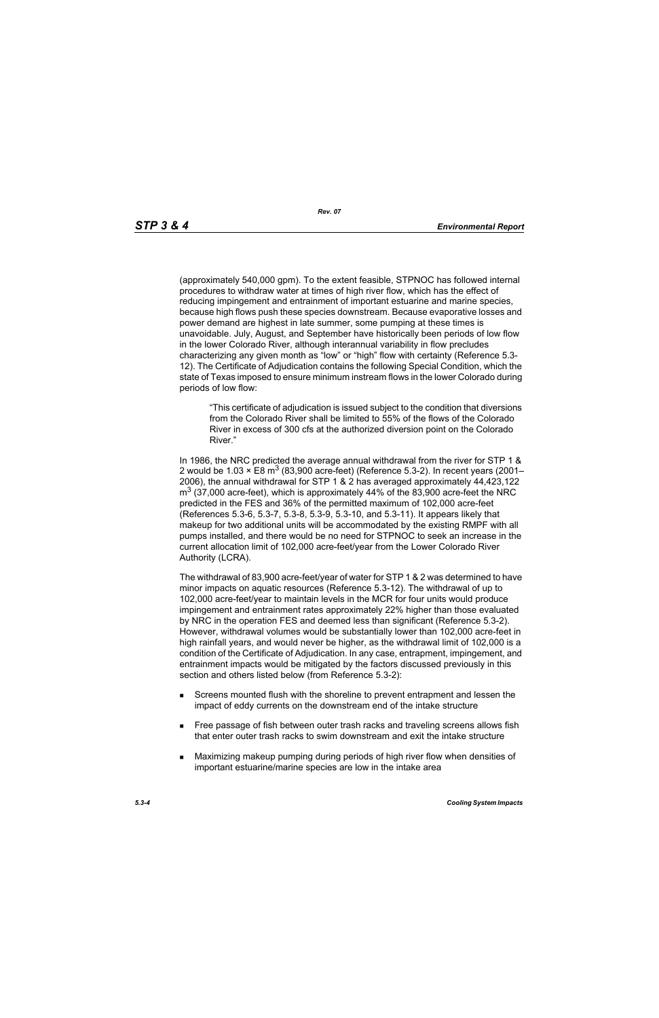(approximately 540,000 gpm). To the extent feasible, STPNOC has followed internal procedures to withdraw water at times of high river flow, which has the effect of reducing impingement and entrainment of important estuarine and marine species, because high flows push these species downstream. Because evaporative losses and power demand are highest in late summer, some pumping at these times is unavoidable. July, August, and September have historically been periods of low flow in the lower Colorado River, although interannual variability in flow precludes characterizing any given month as "low" or "high" flow with certainty (Reference 5.3- 12). The Certificate of Adjudication contains the following Special Condition, which the state of Texas imposed to ensure minimum instream flows in the lower Colorado during periods of low flow:

"This certificate of adjudication is issued subject to the condition that diversions from the Colorado River shall be limited to 55% of the flows of the Colorado River in excess of 300 cfs at the authorized diversion point on the Colorado River."

In 1986, the NRC predicted the average annual withdrawal from the river for STP 1 & 2 would be 1.03  $\times$  E8 m<sup>3</sup> (83,900 acre-feet) (Reference 5.3-2). In recent years (2001– 2006), the annual withdrawal for STP 1 & 2 has averaged approximately 44,423,122  $\text{m}^3$  (37,000 acre-feet), which is approximately 44% of the 83,900 acre-feet the NRC predicted in the FES and 36% of the permitted maximum of 102,000 acre-feet (References 5.3-6, 5.3-7, 5.3-8, 5.3-9, 5.3-10, and 5.3-11). It appears likely that makeup for two additional units will be accommodated by the existing RMPF with all pumps installed, and there would be no need for STPNOC to seek an increase in the current allocation limit of 102,000 acre-feet/year from the Lower Colorado River Authority (LCRA).

The withdrawal of 83,900 acre-feet/year of water for STP 1 & 2 was determined to have minor impacts on aquatic resources (Reference 5.3-12). The withdrawal of up to 102,000 acre-feet/year to maintain levels in the MCR for four units would produce impingement and entrainment rates approximately 22% higher than those evaluated by NRC in the operation FES and deemed less than significant (Reference 5.3-2). However, withdrawal volumes would be substantially lower than 102,000 acre-feet in high rainfall years, and would never be higher, as the withdrawal limit of 102,000 is a condition of the Certificate of Adjudication. In any case, entrapment, impingement, and entrainment impacts would be mitigated by the factors discussed previously in this section and others listed below (from Reference 5.3-2):

- Screens mounted flush with the shoreline to prevent entrapment and lessen the impact of eddy currents on the downstream end of the intake structure
- **Free passage of fish between outer trash racks and traveling screens allows fish** that enter outer trash racks to swim downstream and exit the intake structure
- Maximizing makeup pumping during periods of high river flow when densities of important estuarine/marine species are low in the intake area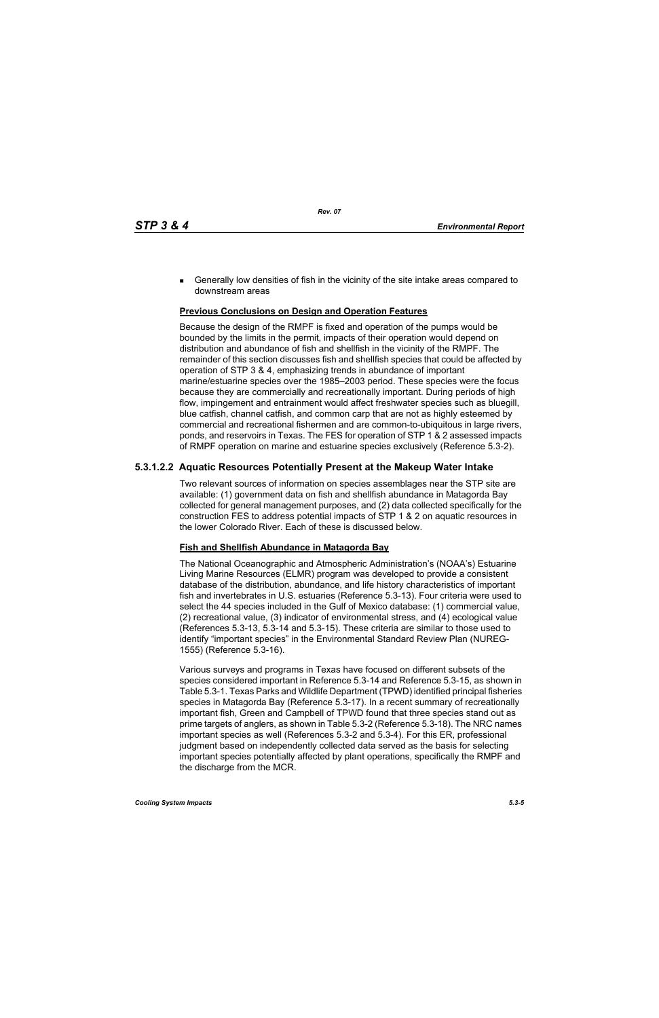**Generally low densities of fish in the vicinity of the site intake areas compared to** downstream areas

### **Previous Conclusions on Design and Operation Features**

Because the design of the RMPF is fixed and operation of the pumps would be bounded by the limits in the permit, impacts of their operation would depend on distribution and abundance of fish and shellfish in the vicinity of the RMPF. The remainder of this section discusses fish and shellfish species that could be affected by operation of STP 3 & 4, emphasizing trends in abundance of important marine/estuarine species over the 1985–2003 period. These species were the focus because they are commercially and recreationally important. During periods of high flow, impingement and entrainment would affect freshwater species such as bluegill, blue catfish, channel catfish, and common carp that are not as highly esteemed by commercial and recreational fishermen and are common-to-ubiquitous in large rivers, ponds, and reservoirs in Texas. The FES for operation of STP 1 & 2 assessed impacts of RMPF operation on marine and estuarine species exclusively (Reference 5.3-2).

# **5.3.1.2.2 Aquatic Resources Potentially Present at the Makeup Water Intake**

Two relevant sources of information on species assemblages near the STP site are available: (1) government data on fish and shellfish abundance in Matagorda Bay collected for general management purposes, and (2) data collected specifically for the construction FES to address potential impacts of STP 1 & 2 on aquatic resources in the lower Colorado River. Each of these is discussed below.

#### **Fish and Shellfish Abundance in Matagorda Bay**

The National Oceanographic and Atmospheric Administration's (NOAA's) Estuarine Living Marine Resources (ELMR) program was developed to provide a consistent database of the distribution, abundance, and life history characteristics of important fish and invertebrates in U.S. estuaries (Reference 5.3-13). Four criteria were used to select the 44 species included in the Gulf of Mexico database: (1) commercial value, (2) recreational value, (3) indicator of environmental stress, and (4) ecological value (References 5.3-13, 5.3-14 and 5.3-15). These criteria are similar to those used to identify "important species" in the Environmental Standard Review Plan (NUREG-1555) (Reference 5.3-16).

Various surveys and programs in Texas have focused on different subsets of the species considered important in Reference 5.3-14 and Reference 5.3-15, as shown in Table 5.3-1. Texas Parks and Wildlife Department (TPWD) identified principal fisheries species in Matagorda Bay (Reference 5.3-17). In a recent summary of recreationally important fish, Green and Campbell of TPWD found that three species stand out as prime targets of anglers, as shown in Table 5.3-2 (Reference 5.3-18). The NRC names important species as well (References 5.3-2 and 5.3-4). For this ER, professional judgment based on independently collected data served as the basis for selecting important species potentially affected by plant operations, specifically the RMPF and the discharge from the MCR.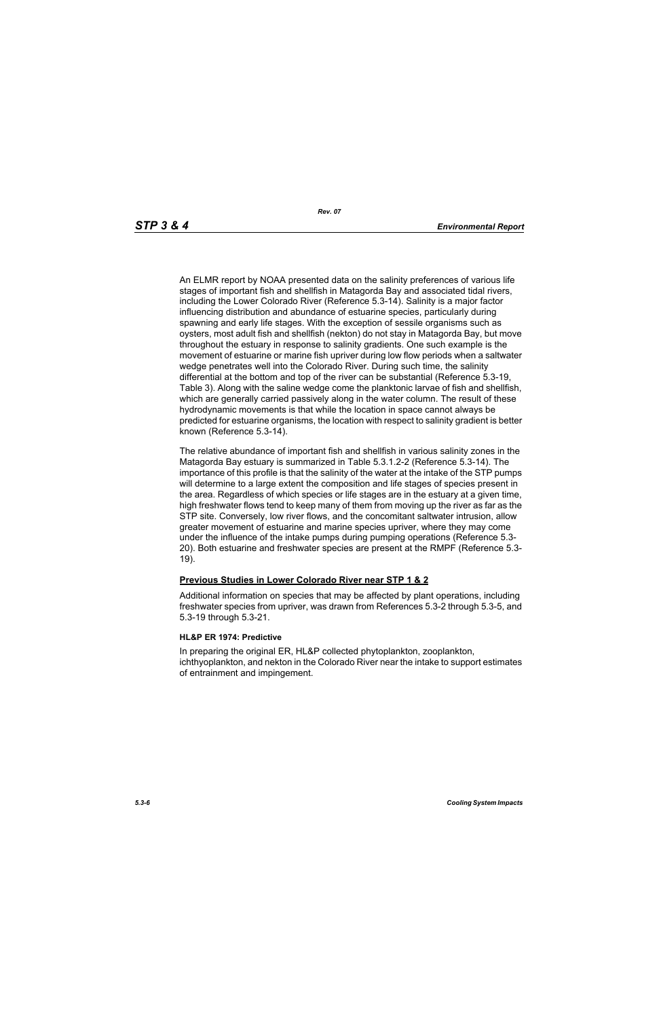An ELMR report by NOAA presented data on the salinity preferences of various life stages of important fish and shellfish in Matagorda Bay and associated tidal rivers, including the Lower Colorado River (Reference 5.3-14). Salinity is a major factor influencing distribution and abundance of estuarine species, particularly during spawning and early life stages. With the exception of sessile organisms such as oysters, most adult fish and shellfish (nekton) do not stay in Matagorda Bay, but move throughout the estuary in response to salinity gradients. One such example is the movement of estuarine or marine fish upriver during low flow periods when a saltwater wedge penetrates well into the Colorado River. During such time, the salinity differential at the bottom and top of the river can be substantial (Reference 5.3-19, Table 3). Along with the saline wedge come the planktonic larvae of fish and shellfish, which are generally carried passively along in the water column. The result of these hydrodynamic movements is that while the location in space cannot always be predicted for estuarine organisms, the location with respect to salinity gradient is better known (Reference 5.3-14).

The relative abundance of important fish and shellfish in various salinity zones in the Matagorda Bay estuary is summarized in Table 5.3.1.2-2 (Reference 5.3-14). The importance of this profile is that the salinity of the water at the intake of the STP pumps will determine to a large extent the composition and life stages of species present in the area. Regardless of which species or life stages are in the estuary at a given time, high freshwater flows tend to keep many of them from moving up the river as far as the STP site. Conversely, low river flows, and the concomitant saltwater intrusion, allow greater movement of estuarine and marine species upriver, where they may come under the influence of the intake pumps during pumping operations (Reference 5.3- 20). Both estuarine and freshwater species are present at the RMPF (Reference 5.3- 19).

# **Previous Studies in Lower Colorado River near STP 1 & 2**

Additional information on species that may be affected by plant operations, including freshwater species from upriver, was drawn from References 5.3-2 through 5.3-5, and 5.3-19 through 5.3-21.

#### **HL&P ER 1974: Predictive**

In preparing the original ER, HL&P collected phytoplankton, zooplankton, ichthyoplankton, and nekton in the Colorado River near the intake to support estimates of entrainment and impingement.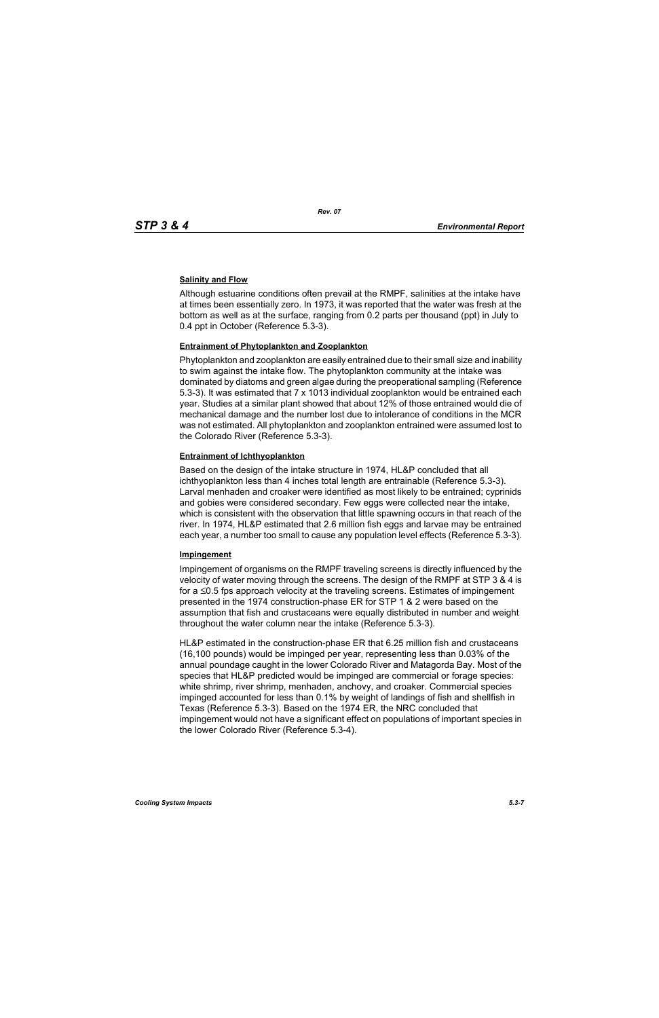### **Salinity and Flow**

Although estuarine conditions often prevail at the RMPF, salinities at the intake have at times been essentially zero. In 1973, it was reported that the water was fresh at the bottom as well as at the surface, ranging from 0.2 parts per thousand (ppt) in July to 0.4 ppt in October (Reference 5.3-3).

#### **Entrainment of Phytoplankton and Zooplankton**

Phytoplankton and zooplankton are easily entrained due to their small size and inability to swim against the intake flow. The phytoplankton community at the intake was dominated by diatoms and green algae during the preoperational sampling (Reference 5.3-3). It was estimated that 7 x 1013 individual zooplankton would be entrained each year. Studies at a similar plant showed that about 12% of those entrained would die of mechanical damage and the number lost due to intolerance of conditions in the MCR was not estimated. All phytoplankton and zooplankton entrained were assumed lost to the Colorado River (Reference 5.3-3).

#### **Entrainment of Ichthyoplankton**

Based on the design of the intake structure in 1974, HL&P concluded that all ichthyoplankton less than 4 inches total length are entrainable (Reference 5.3-3). Larval menhaden and croaker were identified as most likely to be entrained; cyprinids and gobies were considered secondary. Few eggs were collected near the intake, which is consistent with the observation that little spawning occurs in that reach of the river. In 1974, HL&P estimated that 2.6 million fish eggs and larvae may be entrained each year, a number too small to cause any population level effects (Reference 5.3-3).

#### **Impingement**

Impingement of organisms on the RMPF traveling screens is directly influenced by the velocity of water moving through the screens. The design of the RMPF at STP 3 & 4 is for a ≤0.5 fps approach velocity at the traveling screens. Estimates of impingement presented in the 1974 construction-phase ER for STP 1 & 2 were based on the assumption that fish and crustaceans were equally distributed in number and weight throughout the water column near the intake (Reference 5.3-3).

HL&P estimated in the construction-phase ER that 6.25 million fish and crustaceans (16,100 pounds) would be impinged per year, representing less than 0.03% of the annual poundage caught in the lower Colorado River and Matagorda Bay. Most of the species that HL&P predicted would be impinged are commercial or forage species: white shrimp, river shrimp, menhaden, anchovy, and croaker. Commercial species impinged accounted for less than 0.1% by weight of landings of fish and shellfish in Texas (Reference 5.3-3). Based on the 1974 ER, the NRC concluded that impingement would not have a significant effect on populations of important species in the lower Colorado River (Reference 5.3-4).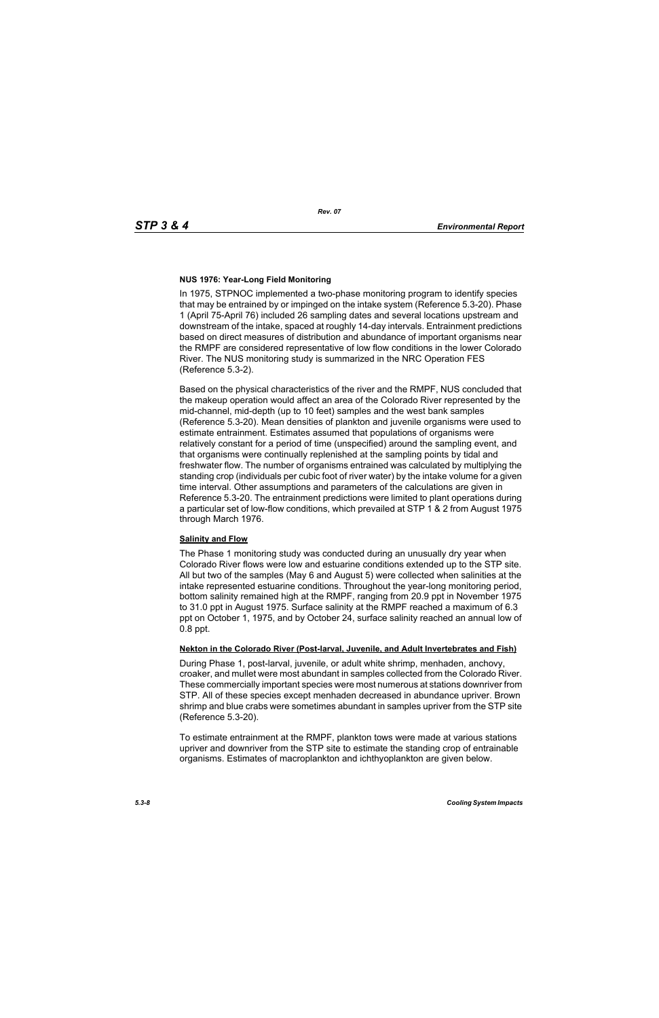### **NUS 1976: Year-Long Field Monitoring**

In 1975, STPNOC implemented a two-phase monitoring program to identify species that may be entrained by or impinged on the intake system (Reference 5.3-20). Phase 1 (April 75-April 76) included 26 sampling dates and several locations upstream and downstream of the intake, spaced at roughly 14-day intervals. Entrainment predictions based on direct measures of distribution and abundance of important organisms near the RMPF are considered representative of low flow conditions in the lower Colorado River. The NUS monitoring study is summarized in the NRC Operation FES (Reference 5.3-2).

Based on the physical characteristics of the river and the RMPF, NUS concluded that the makeup operation would affect an area of the Colorado River represented by the mid-channel, mid-depth (up to 10 feet) samples and the west bank samples (Reference 5.3-20). Mean densities of plankton and juvenile organisms were used to estimate entrainment. Estimates assumed that populations of organisms were relatively constant for a period of time (unspecified) around the sampling event, and that organisms were continually replenished at the sampling points by tidal and freshwater flow. The number of organisms entrained was calculated by multiplying the standing crop (individuals per cubic foot of river water) by the intake volume for a given time interval. Other assumptions and parameters of the calculations are given in Reference 5.3-20. The entrainment predictions were limited to plant operations during a particular set of low-flow conditions, which prevailed at STP 1 & 2 from August 1975 through March 1976.

#### **Salinity and Flow**

The Phase 1 monitoring study was conducted during an unusually dry year when Colorado River flows were low and estuarine conditions extended up to the STP site. All but two of the samples (May 6 and August 5) were collected when salinities at the intake represented estuarine conditions. Throughout the year-long monitoring period, bottom salinity remained high at the RMPF, ranging from 20.9 ppt in November 1975 to 31.0 ppt in August 1975. Surface salinity at the RMPF reached a maximum of 6.3 ppt on October 1, 1975, and by October 24, surface salinity reached an annual low of 0.8 ppt.

#### **Nekton in the Colorado River (Post-larval, Juvenile, and Adult Invertebrates and Fish)**

During Phase 1, post-larval, juvenile, or adult white shrimp, menhaden, anchovy, croaker, and mullet were most abundant in samples collected from the Colorado River. These commercially important species were most numerous at stations downriver from STP. All of these species except menhaden decreased in abundance upriver. Brown shrimp and blue crabs were sometimes abundant in samples upriver from the STP site (Reference 5.3-20).

To estimate entrainment at the RMPF, plankton tows were made at various stations upriver and downriver from the STP site to estimate the standing crop of entrainable organisms. Estimates of macroplankton and ichthyoplankton are given below.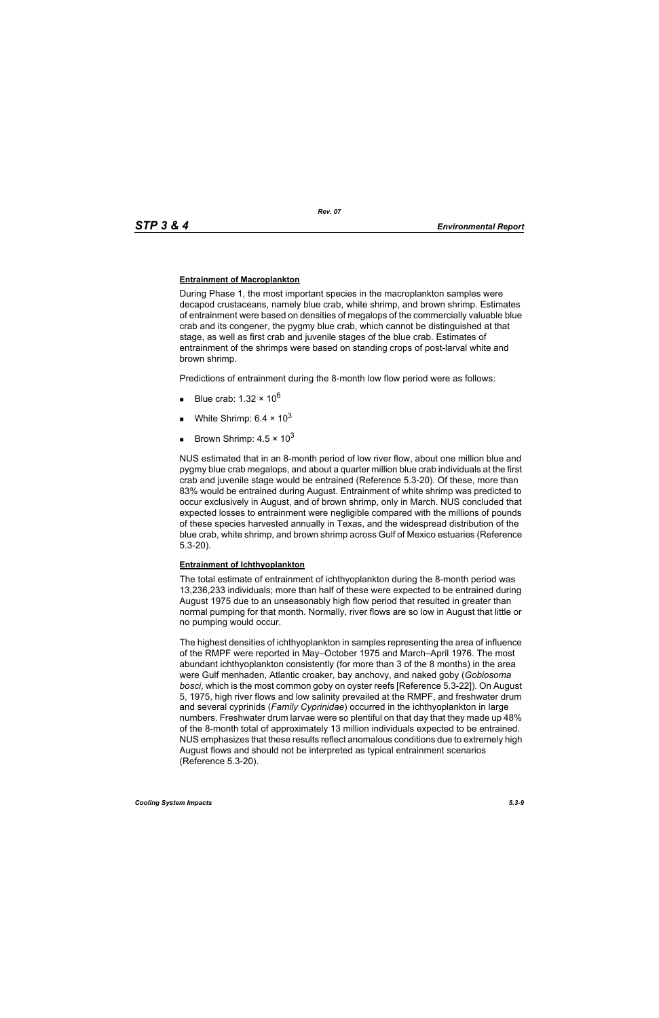#### **Entrainment of Macroplankton**

During Phase 1, the most important species in the macroplankton samples were decapod crustaceans, namely blue crab, white shrimp, and brown shrimp. Estimates of entrainment were based on densities of megalops of the commercially valuable blue crab and its congener, the pygmy blue crab, which cannot be distinguished at that stage, as well as first crab and juvenile stages of the blue crab. Estimates of entrainment of the shrimps were based on standing crops of post-larval white and brown shrimp.

Predictions of entrainment during the 8-month low flow period were as follows:

- Blue crab: 1.32  $\times$  10<sup>6</sup>
- White Shrimp:  $6.4 \times 10^3$
- Brown Shrimp:  $4.5 \times 10^3$

NUS estimated that in an 8-month period of low river flow, about one million blue and pygmy blue crab megalops, and about a quarter million blue crab individuals at the first crab and juvenile stage would be entrained (Reference 5.3-20). Of these, more than 83% would be entrained during August. Entrainment of white shrimp was predicted to occur exclusively in August, and of brown shrimp, only in March. NUS concluded that expected losses to entrainment were negligible compared with the millions of pounds of these species harvested annually in Texas, and the widespread distribution of the blue crab, white shrimp, and brown shrimp across Gulf of Mexico estuaries (Reference 5.3-20).

#### **Entrainment of Ichthyoplankton**

The total estimate of entrainment of ichthyoplankton during the 8-month period was 13,236,233 individuals; more than half of these were expected to be entrained during August 1975 due to an unseasonably high flow period that resulted in greater than normal pumping for that month. Normally, river flows are so low in August that little or no pumping would occur.

The highest densities of ichthyoplankton in samples representing the area of influence of the RMPF were reported in May–October 1975 and March–April 1976. The most abundant ichthyoplankton consistently (for more than 3 of the 8 months) in the area were Gulf menhaden, Atlantic croaker, bay anchovy, and naked goby (*Gobiosoma bosci*, which is the most common goby on oyster reefs [Reference 5.3-22]). On August 5, 1975, high river flows and low salinity prevailed at the RMPF, and freshwater drum and several cyprinids (*Family Cyprinidae*) occurred in the ichthyoplankton in large numbers. Freshwater drum larvae were so plentiful on that day that they made up 48% of the 8-month total of approximately 13 million individuals expected to be entrained. NUS emphasizes that these results reflect anomalous conditions due to extremely high August flows and should not be interpreted as typical entrainment scenarios (Reference 5.3-20).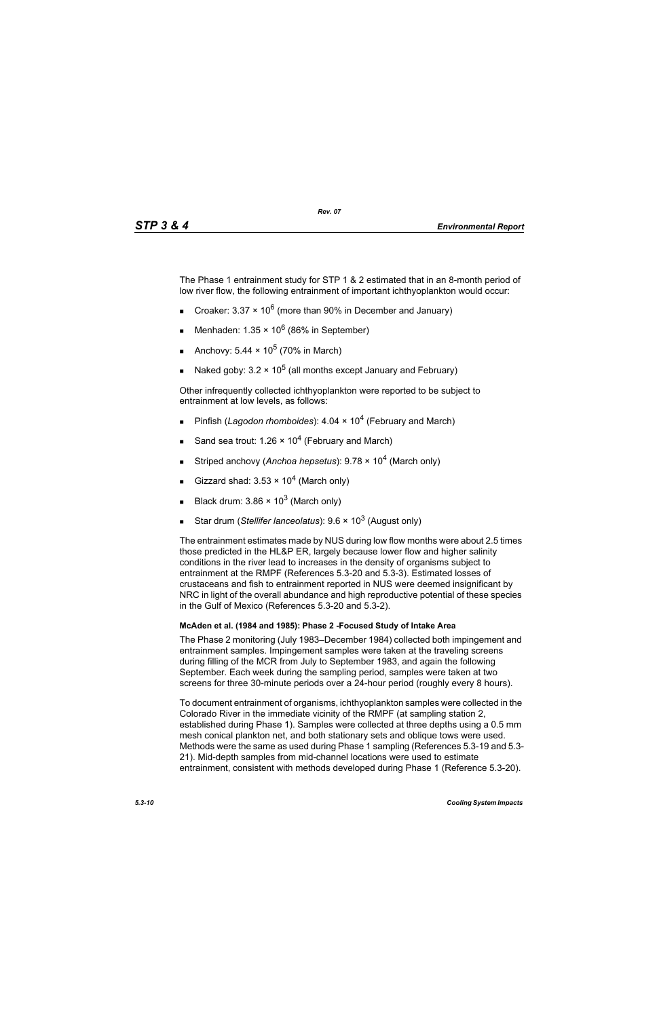The Phase 1 entrainment study for STP 1 & 2 estimated that in an 8-month period of low river flow, the following entrainment of important ichthyoplankton would occur:

- Croaker: 3.37  $\times$  10<sup>6</sup> (more than 90% in December and January)
- Menhaden:  $1.35 \times 10^6$  (86% in September)
- Anchovy:  $5.44 \times 10^5$  (70% in March)
- Naked goby:  $3.2 \times 10^5$  (all months except January and February)

Other infrequently collected ichthyoplankton were reported to be subject to entrainment at low levels, as follows:

- Pinfish (*Lagodon rhomboides*): 4.04 × 10<sup>4</sup> (February and March)
- Sand sea trout: 1.26  $\times$  10<sup>4</sup> (February and March)
- Striped anchovy (*Anchoa hepsetus*): 9.78 × 104 (March only)
- Gizzard shad:  $3.53 \times 10^4$  (March only)
- Black drum:  $3.86 \times 10^3$  (March only)
- Star drum (*Stellifer lanceolatus*): 9.6 × 10<sup>3</sup> (August only)

The entrainment estimates made by NUS during low flow months were about 2.5 times those predicted in the HL&P ER, largely because lower flow and higher salinity conditions in the river lead to increases in the density of organisms subject to entrainment at the RMPF (References 5.3-20 and 5.3-3). Estimated losses of crustaceans and fish to entrainment reported in NUS were deemed insignificant by NRC in light of the overall abundance and high reproductive potential of these species in the Gulf of Mexico (References 5.3-20 and 5.3-2).

# **McAden et al. (1984 and 1985): Phase 2 -Focused Study of Intake Area**

The Phase 2 monitoring (July 1983–December 1984) collected both impingement and entrainment samples. Impingement samples were taken at the traveling screens during filling of the MCR from July to September 1983, and again the following September. Each week during the sampling period, samples were taken at two screens for three 30-minute periods over a 24-hour period (roughly every 8 hours).

To document entrainment of organisms, ichthyoplankton samples were collected in the Colorado River in the immediate vicinity of the RMPF (at sampling station 2, established during Phase 1). Samples were collected at three depths using a 0.5 mm mesh conical plankton net, and both stationary sets and oblique tows were used. Methods were the same as used during Phase 1 sampling (References 5.3-19 and 5.3- 21). Mid-depth samples from mid-channel locations were used to estimate entrainment, consistent with methods developed during Phase 1 (Reference 5.3-20).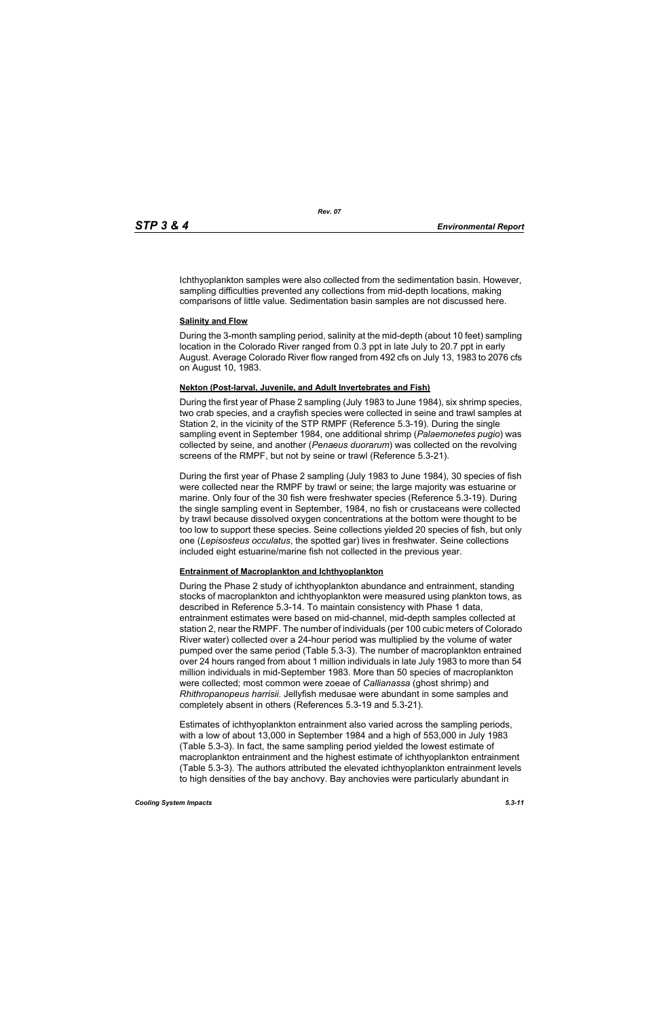Ichthyoplankton samples were also collected from the sedimentation basin. However, sampling difficulties prevented any collections from mid-depth locations, making comparisons of little value. Sedimentation basin samples are not discussed here.

#### **Salinity and Flow**

During the 3-month sampling period, salinity at the mid-depth (about 10 feet) sampling location in the Colorado River ranged from 0.3 ppt in late July to 20.7 ppt in early August. Average Colorado River flow ranged from 492 cfs on July 13, 1983 to 2076 cfs on August 10, 1983.

# **Nekton (Post-larval, Juvenile, and Adult Invertebrates and Fish)**

During the first year of Phase 2 sampling (July 1983 to June 1984), six shrimp species, two crab species, and a crayfish species were collected in seine and trawl samples at Station 2, in the vicinity of the STP RMPF (Reference 5.3-19). During the single sampling event in September 1984, one additional shrimp (*Palaemonetes pugio*) was collected by seine, and another (*Penaeus duorarum*) was collected on the revolving screens of the RMPF, but not by seine or trawl (Reference 5.3-21).

During the first year of Phase 2 sampling (July 1983 to June 1984), 30 species of fish were collected near the RMPF by trawl or seine; the large majority was estuarine or marine. Only four of the 30 fish were freshwater species (Reference 5.3-19). During the single sampling event in September, 1984, no fish or crustaceans were collected by trawl because dissolved oxygen concentrations at the bottom were thought to be too low to support these species. Seine collections yielded 20 species of fish, but only one (*Lepisosteus occulatus*, the spotted gar) lives in freshwater. Seine collections included eight estuarine/marine fish not collected in the previous year.

#### **Entrainment of Macroplankton and Ichthyoplankton**

During the Phase 2 study of ichthyoplankton abundance and entrainment, standing stocks of macroplankton and ichthyoplankton were measured using plankton tows, as described in Reference 5.3-14. To maintain consistency with Phase 1 data, entrainment estimates were based on mid-channel, mid-depth samples collected at station 2, near the RMPF. The number of individuals (per 100 cubic meters of Colorado River water) collected over a 24-hour period was multiplied by the volume of water pumped over the same period (Table 5.3-3). The number of macroplankton entrained over 24 hours ranged from about 1 million individuals in late July 1983 to more than 54 million individuals in mid-September 1983. More than 50 species of macroplankton were collected; most common were zoeae of *Callianassa* (ghost shrimp) and *Rhithropanopeus harrisii*. Jellyfish medusae were abundant in some samples and completely absent in others (References 5.3-19 and 5.3-21).

Estimates of ichthyoplankton entrainment also varied across the sampling periods, with a low of about 13,000 in September 1984 and a high of 553,000 in July 1983 (Table 5.3-3). In fact, the same sampling period yielded the lowest estimate of macroplankton entrainment and the highest estimate of ichthyoplankton entrainment (Table 5.3-3). The authors attributed the elevated ichthyoplankton entrainment levels to high densities of the bay anchovy. Bay anchovies were particularly abundant in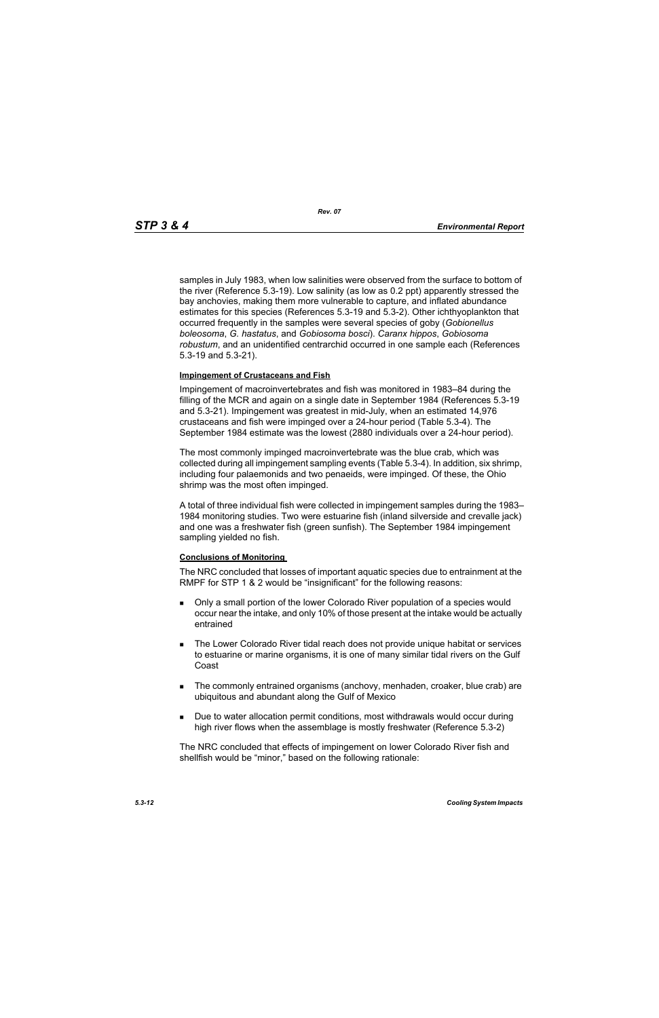samples in July 1983, when low salinities were observed from the surface to bottom of the river (Reference 5.3-19). Low salinity (as low as 0.2 ppt) apparently stressed the bay anchovies, making them more vulnerable to capture, and inflated abundance estimates for this species (References 5.3-19 and 5.3-2). Other ichthyoplankton that occurred frequently in the samples were several species of goby (*Gobionellus boleosoma*, *G. hastatus*, and *Gobiosoma bosci*). *Caranx hippos*, *Gobiosoma robustum*, and an unidentified centrarchid occurred in one sample each (References 5.3-19 and 5.3-21).

#### **Impingement of Crustaceans and Fish**

Impingement of macroinvertebrates and fish was monitored in 1983–84 during the filling of the MCR and again on a single date in September 1984 (References 5.3-19 and 5.3-21). Impingement was greatest in mid-July, when an estimated 14,976 crustaceans and fish were impinged over a 24-hour period (Table 5.3-4). The September 1984 estimate was the lowest (2880 individuals over a 24-hour period).

The most commonly impinged macroinvertebrate was the blue crab, which was collected during all impingement sampling events (Table 5.3-4). In addition, six shrimp, including four palaemonids and two penaeids, were impinged. Of these, the Ohio shrimp was the most often impinged.

A total of three individual fish were collected in impingement samples during the 1983– 1984 monitoring studies. Two were estuarine fish (inland silverside and crevalle jack) and one was a freshwater fish (green sunfish). The September 1984 impingement sampling yielded no fish.

#### **Conclusions of Monitoring**

The NRC concluded that losses of important aquatic species due to entrainment at the RMPF for STP 1 & 2 would be "insignificant" for the following reasons:

- Only a small portion of the lower Colorado River population of a species would occur near the intake, and only 10% of those present at the intake would be actually entrained
- **The Lower Colorado River tidal reach does not provide unique habitat or services** to estuarine or marine organisms, it is one of many similar tidal rivers on the Gulf Coast
- The commonly entrained organisms (anchovy, menhaden, croaker, blue crab) are ubiquitous and abundant along the Gulf of Mexico
- **Due to water allocation permit conditions, most withdrawals would occur during** high river flows when the assemblage is mostly freshwater (Reference 5.3-2)

The NRC concluded that effects of impingement on lower Colorado River fish and shellfish would be "minor," based on the following rationale: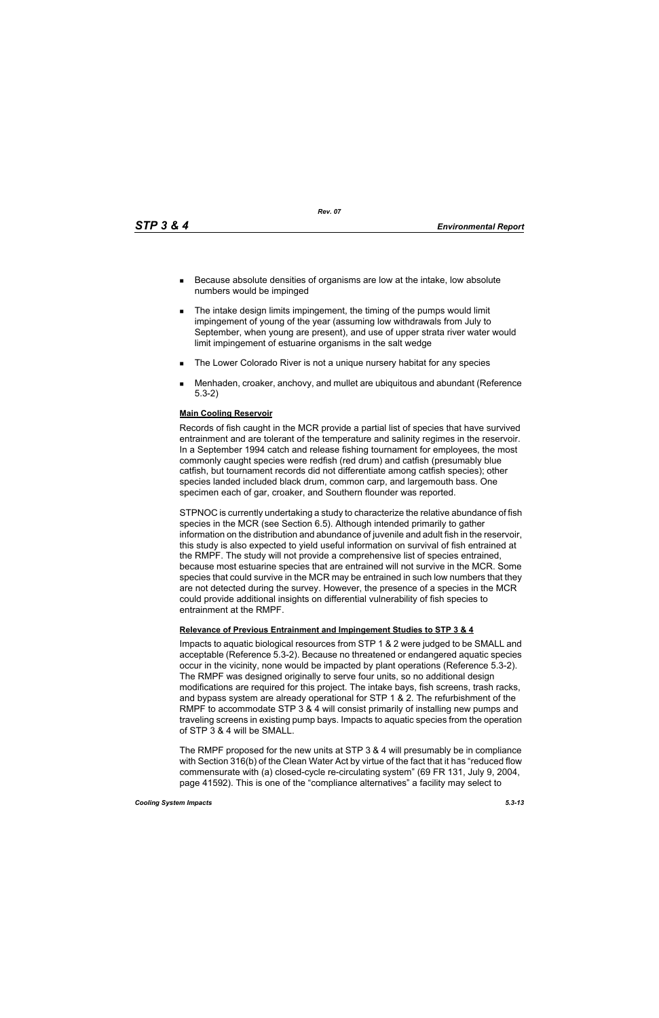*Rev. 07*

- Because absolute densities of organisms are low at the intake, low absolute numbers would be impinged
- **The intake design limits impingement, the timing of the pumps would limit** impingement of young of the year (assuming low withdrawals from July to September, when young are present), and use of upper strata river water would limit impingement of estuarine organisms in the salt wedge
- **The Lower Colorado River is not a unique nursery habitat for any species**
- Menhaden, croaker, anchovy, and mullet are ubiquitous and abundant (Reference 5.3-2)

#### **Main Cooling Reservoir**

Records of fish caught in the MCR provide a partial list of species that have survived entrainment and are tolerant of the temperature and salinity regimes in the reservoir. In a September 1994 catch and release fishing tournament for employees, the most commonly caught species were redfish (red drum) and catfish (presumably blue catfish, but tournament records did not differentiate among catfish species); other species landed included black drum, common carp, and largemouth bass. One specimen each of gar, croaker, and Southern flounder was reported.

STPNOC is currently undertaking a study to characterize the relative abundance of fish species in the MCR (see Section 6.5). Although intended primarily to gather information on the distribution and abundance of juvenile and adult fish in the reservoir, this study is also expected to yield useful information on survival of fish entrained at the RMPF. The study will not provide a comprehensive list of species entrained, because most estuarine species that are entrained will not survive in the MCR. Some species that could survive in the MCR may be entrained in such low numbers that they are not detected during the survey. However, the presence of a species in the MCR could provide additional insights on differential vulnerability of fish species to entrainment at the RMPF.

# **Relevance of Previous Entrainment and Impingement Studies to STP 3 & 4**

Impacts to aquatic biological resources from STP 1 & 2 were judged to be SMALL and acceptable (Reference 5.3-2). Because no threatened or endangered aquatic species occur in the vicinity, none would be impacted by plant operations (Reference 5.3-2). The RMPF was designed originally to serve four units, so no additional design modifications are required for this project. The intake bays, fish screens, trash racks, and bypass system are already operational for STP 1 & 2. The refurbishment of the RMPF to accommodate STP 3 & 4 will consist primarily of installing new pumps and traveling screens in existing pump bays. Impacts to aquatic species from the operation of STP 3 & 4 will be SMALL.

The RMPF proposed for the new units at STP 3 & 4 will presumably be in compliance with Section 316(b) of the Clean Water Act by virtue of the fact that it has "reduced flow commensurate with (a) closed-cycle re-circulating system" (69 FR 131, July 9, 2004, page 41592). This is one of the "compliance alternatives" a facility may select to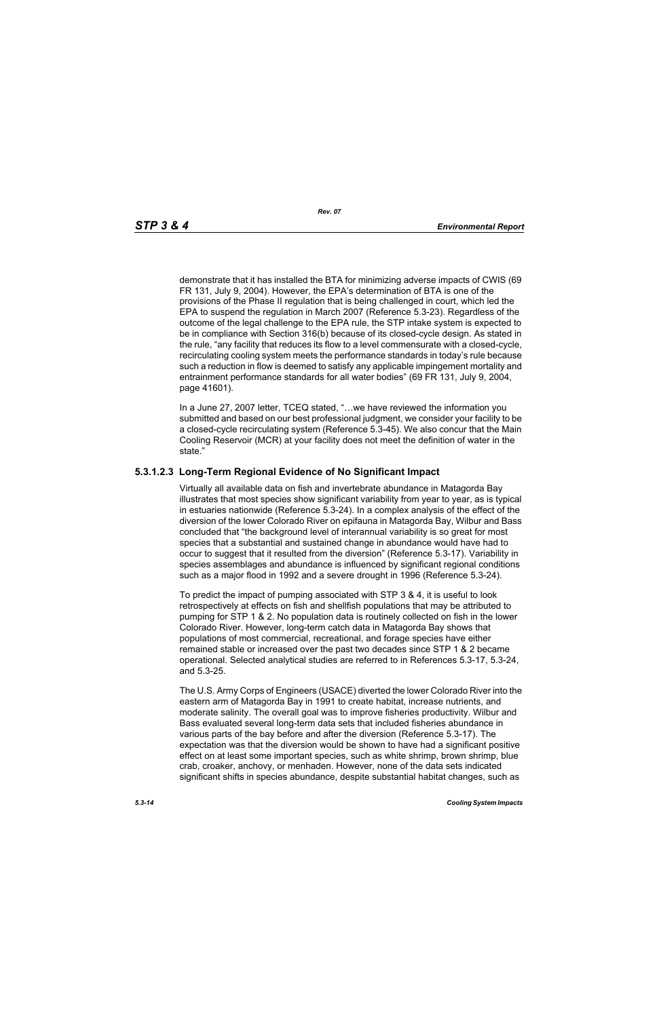demonstrate that it has installed the BTA for minimizing adverse impacts of CWIS (69 FR 131, July 9, 2004). However, the EPA's determination of BTA is one of the provisions of the Phase II regulation that is being challenged in court, which led the EPA to suspend the regulation in March 2007 (Reference 5.3-23). Regardless of the outcome of the legal challenge to the EPA rule, the STP intake system is expected to be in compliance with Section 316(b) because of its closed-cycle design. As stated in the rule, "any facility that reduces its flow to a level commensurate with a closed-cycle, recirculating cooling system meets the performance standards in today's rule because such a reduction in flow is deemed to satisfy any applicable impingement mortality and entrainment performance standards for all water bodies" (69 FR 131, July 9, 2004, page 41601).

In a June 27, 2007 letter, TCEQ stated, "…we have reviewed the information you submitted and based on our best professional judgment, we consider your facility to be a closed-cycle recirculating system (Reference 5.3-45). We also concur that the Main Cooling Reservoir (MCR) at your facility does not meet the definition of water in the state."

# **5.3.1.2.3 Long-Term Regional Evidence of No Significant Impact**

Virtually all available data on fish and invertebrate abundance in Matagorda Bay illustrates that most species show significant variability from year to year, as is typical in estuaries nationwide (Reference 5.3-24). In a complex analysis of the effect of the diversion of the lower Colorado River on epifauna in Matagorda Bay, Wilbur and Bass concluded that "the background level of interannual variability is so great for most species that a substantial and sustained change in abundance would have had to occur to suggest that it resulted from the diversion" (Reference 5.3-17). Variability in species assemblages and abundance is influenced by significant regional conditions such as a major flood in 1992 and a severe drought in 1996 (Reference 5.3-24).

To predict the impact of pumping associated with STP 3 & 4, it is useful to look retrospectively at effects on fish and shellfish populations that may be attributed to pumping for STP 1 & 2. No population data is routinely collected on fish in the lower Colorado River. However, long-term catch data in Matagorda Bay shows that populations of most commercial, recreational, and forage species have either remained stable or increased over the past two decades since STP 1 & 2 became operational. Selected analytical studies are referred to in References 5.3-17, 5.3-24, and 5.3-25.

The U.S. Army Corps of Engineers (USACE) diverted the lower Colorado River into the eastern arm of Matagorda Bay in 1991 to create habitat, increase nutrients, and moderate salinity. The overall goal was to improve fisheries productivity. Wilbur and Bass evaluated several long-term data sets that included fisheries abundance in various parts of the bay before and after the diversion (Reference 5.3-17). The expectation was that the diversion would be shown to have had a significant positive effect on at least some important species, such as white shrimp, brown shrimp, blue crab, croaker, anchovy, or menhaden. However, none of the data sets indicated significant shifts in species abundance, despite substantial habitat changes, such as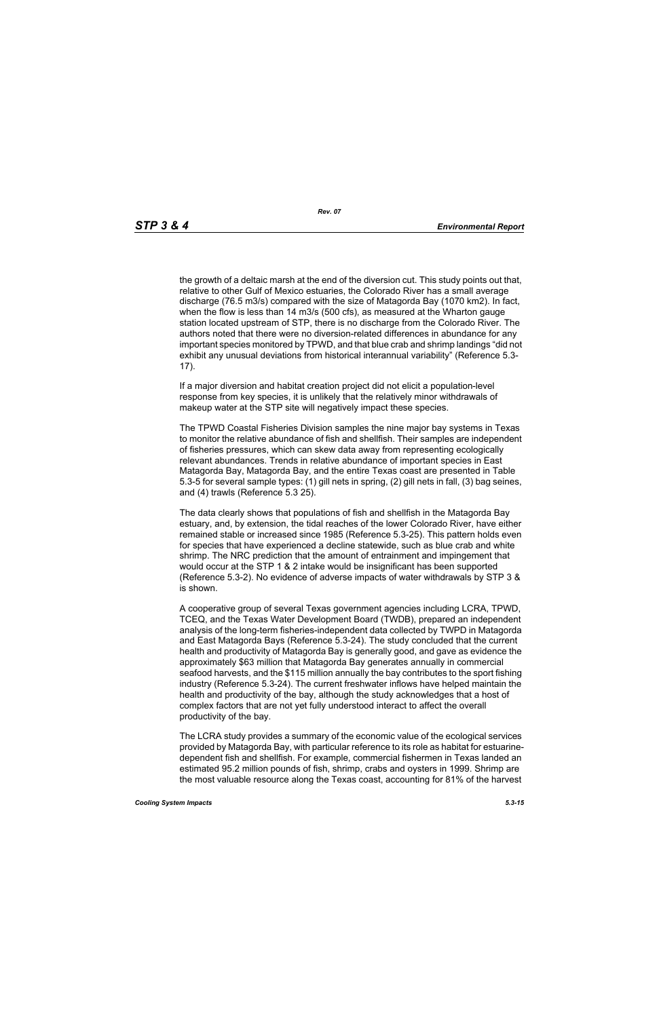the growth of a deltaic marsh at the end of the diversion cut. This study points out that, relative to other Gulf of Mexico estuaries, the Colorado River has a small average discharge (76.5 m3/s) compared with the size of Matagorda Bay (1070 km2). In fact, when the flow is less than 14 m3/s (500 cfs), as measured at the Wharton gauge station located upstream of STP, there is no discharge from the Colorado River. The authors noted that there were no diversion-related differences in abundance for any important species monitored by TPWD, and that blue crab and shrimp landings "did not exhibit any unusual deviations from historical interannual variability" (Reference 5.3- 17).

If a major diversion and habitat creation project did not elicit a population-level response from key species, it is unlikely that the relatively minor withdrawals of makeup water at the STP site will negatively impact these species.

The TPWD Coastal Fisheries Division samples the nine major bay systems in Texas to monitor the relative abundance of fish and shellfish. Their samples are independent of fisheries pressures, which can skew data away from representing ecologically relevant abundances. Trends in relative abundance of important species in East Matagorda Bay, Matagorda Bay, and the entire Texas coast are presented in Table 5.3-5 for several sample types: (1) gill nets in spring, (2) gill nets in fall, (3) bag seines, and (4) trawls (Reference 5.3 25).

The data clearly shows that populations of fish and shellfish in the Matagorda Bay estuary, and, by extension, the tidal reaches of the lower Colorado River, have either remained stable or increased since 1985 (Reference 5.3-25). This pattern holds even for species that have experienced a decline statewide, such as blue crab and white shrimp. The NRC prediction that the amount of entrainment and impingement that would occur at the STP 1 & 2 intake would be insignificant has been supported (Reference 5.3-2). No evidence of adverse impacts of water withdrawals by STP 3 & is shown.

A cooperative group of several Texas government agencies including LCRA, TPWD, TCEQ, and the Texas Water Development Board (TWDB), prepared an independent analysis of the long-term fisheries-independent data collected by TWPD in Matagorda and East Matagorda Bays (Reference 5.3-24). The study concluded that the current health and productivity of Matagorda Bay is generally good, and gave as evidence the approximately \$63 million that Matagorda Bay generates annually in commercial seafood harvests, and the \$115 million annually the bay contributes to the sport fishing industry (Reference 5.3-24). The current freshwater inflows have helped maintain the health and productivity of the bay, although the study acknowledges that a host of complex factors that are not yet fully understood interact to affect the overall productivity of the bay.

The LCRA study provides a summary of the economic value of the ecological services provided by Matagorda Bay, with particular reference to its role as habitat for estuarinedependent fish and shellfish. For example, commercial fishermen in Texas landed an estimated 95.2 million pounds of fish, shrimp, crabs and oysters in 1999. Shrimp are the most valuable resource along the Texas coast, accounting for 81% of the harvest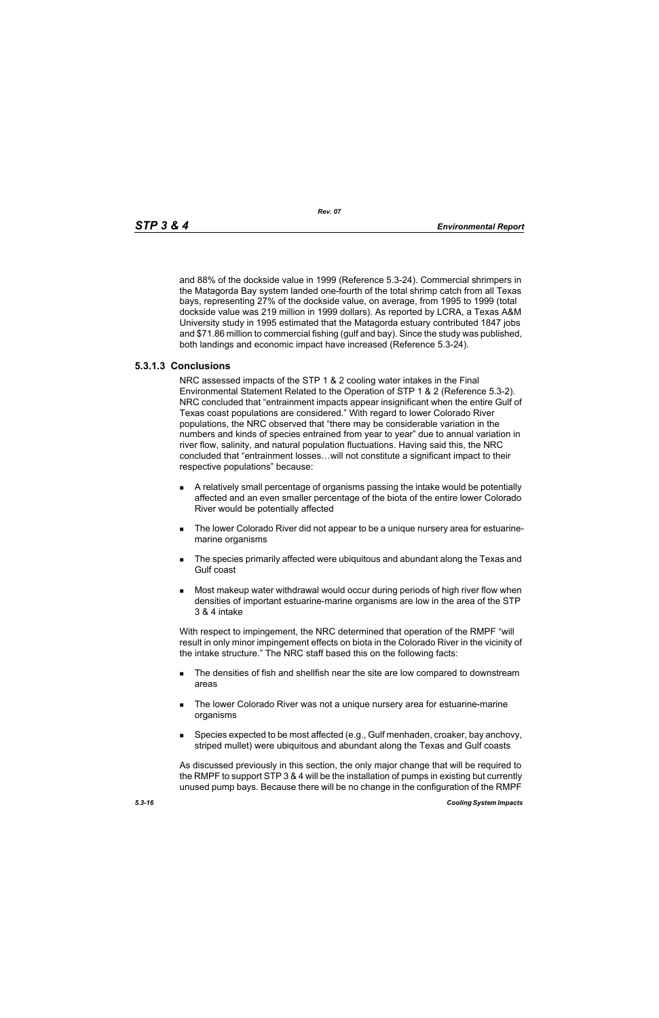and 88% of the dockside value in 1999 (Reference 5.3-24). Commercial shrimpers in the Matagorda Bay system landed one-fourth of the total shrimp catch from all Texas bays, representing 27% of the dockside value, on average, from 1995 to 1999 (total dockside value was 219 million in 1999 dollars). As reported by LCRA, a Texas A&M University study in 1995 estimated that the Matagorda estuary contributed 1847 jobs and \$71.86 million to commercial fishing (gulf and bay). Since the study was published, both landings and economic impact have increased (Reference 5.3-24).

# **5.3.1.3 Conclusions**

NRC assessed impacts of the STP 1 & 2 cooling water intakes in the Final Environmental Statement Related to the Operation of STP 1 & 2 (Reference 5.3-2). NRC concluded that "entrainment impacts appear insignificant when the entire Gulf of Texas coast populations are considered." With regard to lower Colorado River populations, the NRC observed that "there may be considerable variation in the numbers and kinds of species entrained from year to year" due to annual variation in river flow, salinity, and natural population fluctuations. Having said this, the NRC concluded that "entrainment losses…will not constitute a significant impact to their respective populations" because:

- A relatively small percentage of organisms passing the intake would be potentially affected and an even smaller percentage of the biota of the entire lower Colorado River would be potentially affected
- The lower Colorado River did not appear to be a unique nursery area for estuarinemarine organisms
- **The species primarily affected were ubiquitous and abundant along the Texas and** Gulf coast
- Most makeup water withdrawal would occur during periods of high river flow when densities of important estuarine-marine organisms are low in the area of the STP 3 & 4 intake

With respect to impingement, the NRC determined that operation of the RMPF "will result in only minor impingement effects on biota in the Colorado River in the vicinity of the intake structure." The NRC staff based this on the following facts:

- **The densities of fish and shellfish near the site are low compared to downstream** areas
- **The lower Colorado River was not a unique nursery area for estuarine-marine** organisms
- **Species expected to be most affected (e.g., Gulf menhaden, croaker, bay anchovy,** striped mullet) were ubiquitous and abundant along the Texas and Gulf coasts

As discussed previously in this section, the only major change that will be required to the RMPF to support STP 3 & 4 will be the installation of pumps in existing but currently unused pump bays. Because there will be no change in the configuration of the RMPF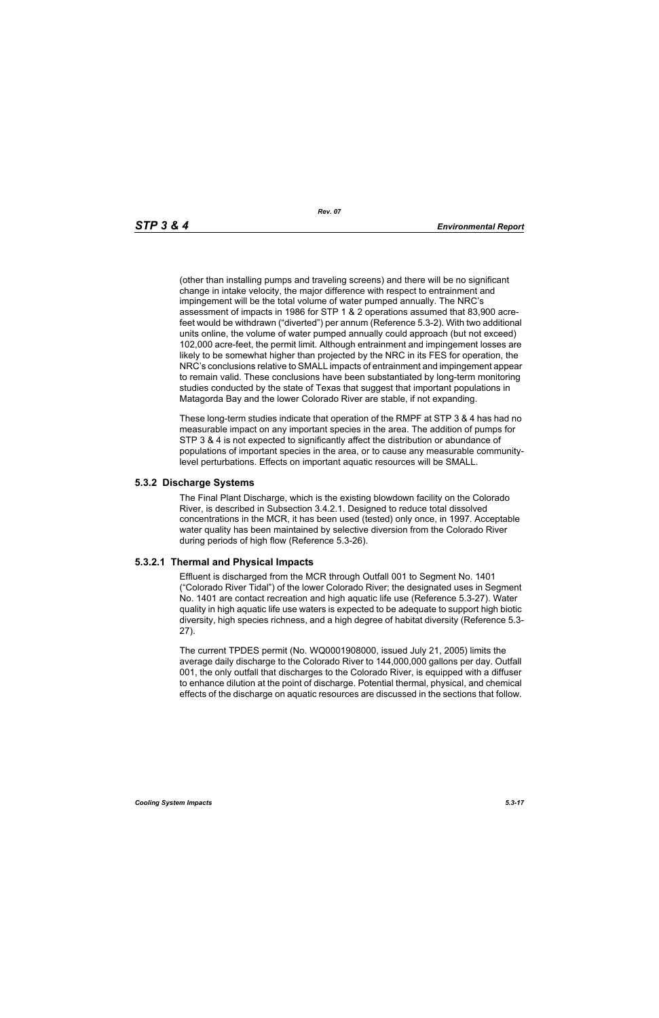(other than installing pumps and traveling screens) and there will be no significant change in intake velocity, the major difference with respect to entrainment and impingement will be the total volume of water pumped annually. The NRC's assessment of impacts in 1986 for STP 1 & 2 operations assumed that 83,900 acrefeet would be withdrawn ("diverted") per annum (Reference 5.3-2). With two additional units online, the volume of water pumped annually could approach (but not exceed) 102,000 acre-feet, the permit limit. Although entrainment and impingement losses are likely to be somewhat higher than projected by the NRC in its FES for operation, the NRC's conclusions relative to SMALL impacts of entrainment and impingement appear to remain valid. These conclusions have been substantiated by long-term monitoring studies conducted by the state of Texas that suggest that important populations in Matagorda Bay and the lower Colorado River are stable, if not expanding.

These long-term studies indicate that operation of the RMPF at STP 3 & 4 has had no measurable impact on any important species in the area. The addition of pumps for STP 3 & 4 is not expected to significantly affect the distribution or abundance of populations of important species in the area, or to cause any measurable communitylevel perturbations. Effects on important aquatic resources will be SMALL.

# **5.3.2 Discharge Systems**

The Final Plant Discharge, which is the existing blowdown facility on the Colorado River, is described in Subsection 3.4.2.1. Designed to reduce total dissolved concentrations in the MCR, it has been used (tested) only once, in 1997. Acceptable water quality has been maintained by selective diversion from the Colorado River during periods of high flow (Reference 5.3-26).

# **5.3.2.1 Thermal and Physical Impacts**

Effluent is discharged from the MCR through Outfall 001 to Segment No. 1401 ("Colorado River Tidal") of the lower Colorado River; the designated uses in Segment No. 1401 are contact recreation and high aquatic life use (Reference 5.3-27). Water quality in high aquatic life use waters is expected to be adequate to support high biotic diversity, high species richness, and a high degree of habitat diversity (Reference 5.3- 27).

The current TPDES permit (No. WQ0001908000, issued July 21, 2005) limits the average daily discharge to the Colorado River to 144,000,000 gallons per day. Outfall 001, the only outfall that discharges to the Colorado River, is equipped with a diffuser to enhance dilution at the point of discharge. Potential thermal, physical, and chemical effects of the discharge on aquatic resources are discussed in the sections that follow.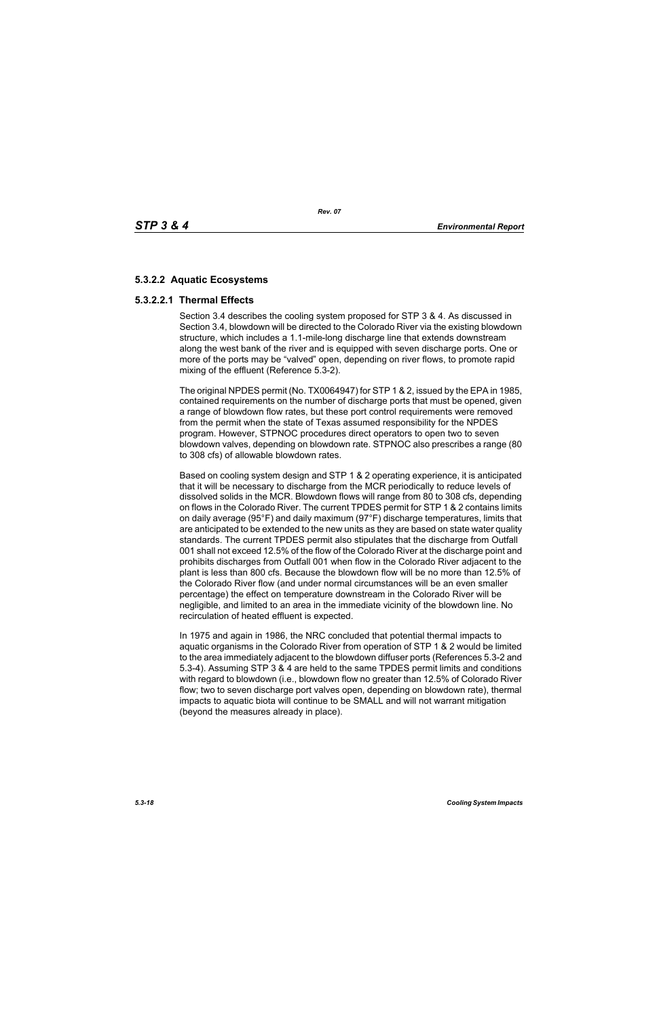# **5.3.2.2 Aquatic Ecosystems**

# **5.3.2.2.1 Thermal Effects**

Section 3.4 describes the cooling system proposed for STP 3 & 4. As discussed in Section 3.4, blowdown will be directed to the Colorado River via the existing blowdown structure, which includes a 1.1-mile-long discharge line that extends downstream along the west bank of the river and is equipped with seven discharge ports. One or more of the ports may be "valved" open, depending on river flows, to promote rapid mixing of the effluent (Reference 5.3-2).

The original NPDES permit (No. TX0064947) for STP 1 & 2, issued by the EPA in 1985, contained requirements on the number of discharge ports that must be opened, given a range of blowdown flow rates, but these port control requirements were removed from the permit when the state of Texas assumed responsibility for the NPDES program. However, STPNOC procedures direct operators to open two to seven blowdown valves, depending on blowdown rate. STPNOC also prescribes a range (80 to 308 cfs) of allowable blowdown rates.

Based on cooling system design and STP 1 & 2 operating experience, it is anticipated that it will be necessary to discharge from the MCR periodically to reduce levels of dissolved solids in the MCR. Blowdown flows will range from 80 to 308 cfs, depending on flows in the Colorado River. The current TPDES permit for STP 1 & 2 contains limits on daily average (95°F) and daily maximum (97°F) discharge temperatures, limits that are anticipated to be extended to the new units as they are based on state water quality standards. The current TPDES permit also stipulates that the discharge from Outfall 001 shall not exceed 12.5% of the flow of the Colorado River at the discharge point and prohibits discharges from Outfall 001 when flow in the Colorado River adjacent to the plant is less than 800 cfs. Because the blowdown flow will be no more than 12.5% of the Colorado River flow (and under normal circumstances will be an even smaller percentage) the effect on temperature downstream in the Colorado River will be negligible, and limited to an area in the immediate vicinity of the blowdown line. No recirculation of heated effluent is expected.

In 1975 and again in 1986, the NRC concluded that potential thermal impacts to aquatic organisms in the Colorado River from operation of STP 1 & 2 would be limited to the area immediately adjacent to the blowdown diffuser ports (References 5.3-2 and 5.3-4). Assuming STP 3 & 4 are held to the same TPDES permit limits and conditions with regard to blowdown (i.e., blowdown flow no greater than 12.5% of Colorado River flow; two to seven discharge port valves open, depending on blowdown rate), thermal impacts to aquatic biota will continue to be SMALL and will not warrant mitigation (beyond the measures already in place).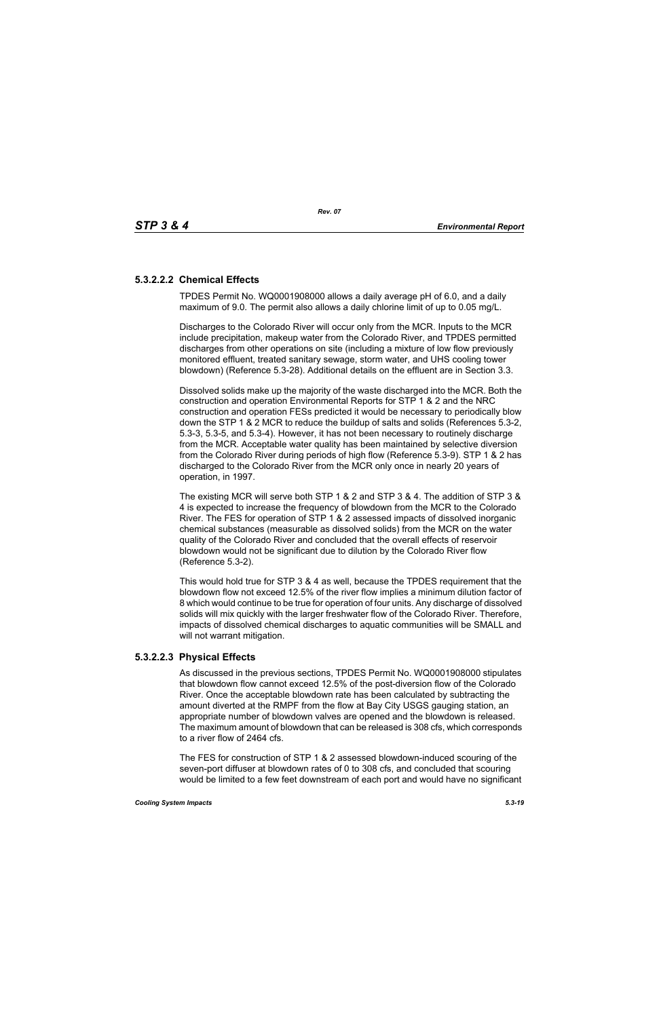# **5.3.2.2.2 Chemical Effects**

TPDES Permit No. WQ0001908000 allows a daily average pH of 6.0, and a daily maximum of 9.0. The permit also allows a daily chlorine limit of up to 0.05 mg/L.

Discharges to the Colorado River will occur only from the MCR. Inputs to the MCR include precipitation, makeup water from the Colorado River, and TPDES permitted discharges from other operations on site (including a mixture of low flow previously monitored effluent, treated sanitary sewage, storm water, and UHS cooling tower blowdown) (Reference 5.3-28). Additional details on the effluent are in Section 3.3.

Dissolved solids make up the majority of the waste discharged into the MCR. Both the construction and operation Environmental Reports for STP 1 & 2 and the NRC construction and operation FESs predicted it would be necessary to periodically blow down the STP 1 & 2 MCR to reduce the buildup of salts and solids (References 5.3-2, 5.3-3, 5.3-5, and 5.3-4). However, it has not been necessary to routinely discharge from the MCR. Acceptable water quality has been maintained by selective diversion from the Colorado River during periods of high flow (Reference 5.3-9). STP 1 & 2 has discharged to the Colorado River from the MCR only once in nearly 20 years of operation, in 1997.

The existing MCR will serve both STP 1 & 2 and STP 3 & 4. The addition of STP 3 & 4 is expected to increase the frequency of blowdown from the MCR to the Colorado River. The FES for operation of STP 1 & 2 assessed impacts of dissolved inorganic chemical substances (measurable as dissolved solids) from the MCR on the water quality of the Colorado River and concluded that the overall effects of reservoir blowdown would not be significant due to dilution by the Colorado River flow (Reference 5.3-2).

This would hold true for STP 3 & 4 as well, because the TPDES requirement that the blowdown flow not exceed 12.5% of the river flow implies a minimum dilution factor of 8 which would continue to be true for operation of four units. Any discharge of dissolved solids will mix quickly with the larger freshwater flow of the Colorado River. Therefore, impacts of dissolved chemical discharges to aquatic communities will be SMALL and will not warrant mitigation.

# **5.3.2.2.3 Physical Effects**

As discussed in the previous sections, TPDES Permit No. WQ0001908000 stipulates that blowdown flow cannot exceed 12.5% of the post-diversion flow of the Colorado River. Once the acceptable blowdown rate has been calculated by subtracting the amount diverted at the RMPF from the flow at Bay City USGS gauging station, an appropriate number of blowdown valves are opened and the blowdown is released. The maximum amount of blowdown that can be released is 308 cfs, which corresponds to a river flow of 2464 cfs.

The FES for construction of STP 1 & 2 assessed blowdown-induced scouring of the seven-port diffuser at blowdown rates of 0 to 308 cfs, and concluded that scouring would be limited to a few feet downstream of each port and would have no significant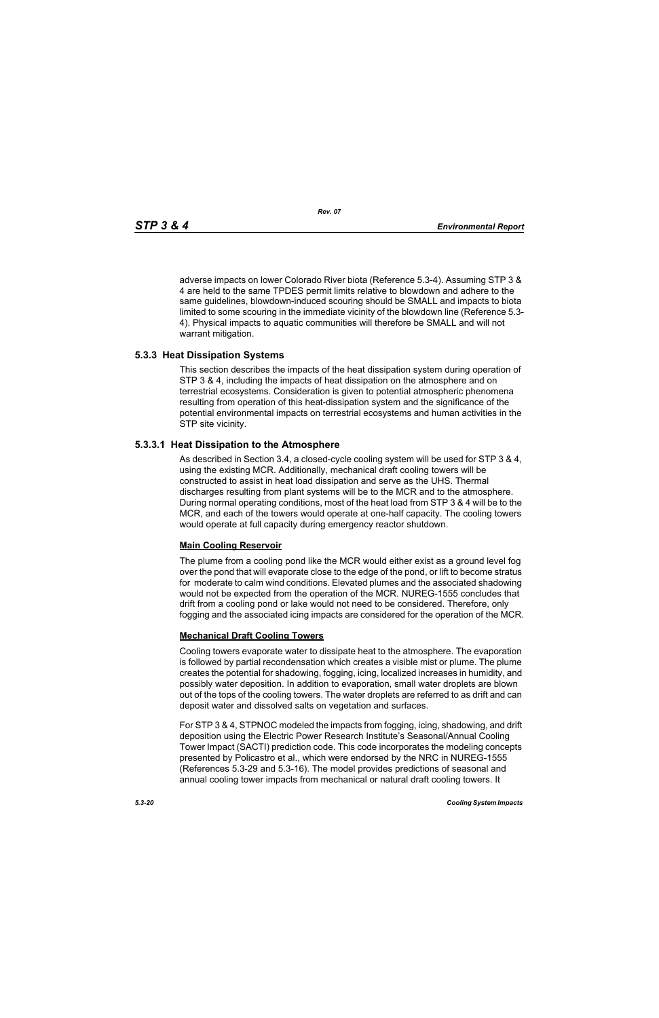adverse impacts on lower Colorado River biota (Reference 5.3-4). Assuming STP 3 & 4 are held to the same TPDES permit limits relative to blowdown and adhere to the same guidelines, blowdown-induced scouring should be SMALL and impacts to biota limited to some scouring in the immediate vicinity of the blowdown line (Reference 5.3- 4). Physical impacts to aquatic communities will therefore be SMALL and will not warrant mitigation.

# **5.3.3 Heat Dissipation Systems**

This section describes the impacts of the heat dissipation system during operation of STP 3 & 4, including the impacts of heat dissipation on the atmosphere and on terrestrial ecosystems. Consideration is given to potential atmospheric phenomena resulting from operation of this heat-dissipation system and the significance of the potential environmental impacts on terrestrial ecosystems and human activities in the STP site vicinity.

# **5.3.3.1 Heat Dissipation to the Atmosphere**

As described in Section 3.4, a closed-cycle cooling system will be used for STP 3 & 4, using the existing MCR. Additionally, mechanical draft cooling towers will be constructed to assist in heat load dissipation and serve as the UHS. Thermal discharges resulting from plant systems will be to the MCR and to the atmosphere. During normal operating conditions, most of the heat load from STP 3 & 4 will be to the MCR, and each of the towers would operate at one-half capacity. The cooling towers would operate at full capacity during emergency reactor shutdown.

# **Main Cooling Reservoir**

The plume from a cooling pond like the MCR would either exist as a ground level fog over the pond that will evaporate close to the edge of the pond, or lift to become stratus for moderate to calm wind conditions. Elevated plumes and the associated shadowing would not be expected from the operation of the MCR. NUREG-1555 concludes that drift from a cooling pond or lake would not need to be considered. Therefore, only fogging and the associated icing impacts are considered for the operation of the MCR.

# **Mechanical Draft Cooling Towers**

Cooling towers evaporate water to dissipate heat to the atmosphere. The evaporation is followed by partial recondensation which creates a visible mist or plume. The plume creates the potential for shadowing, fogging, icing, localized increases in humidity, and possibly water deposition. In addition to evaporation, small water droplets are blown out of the tops of the cooling towers. The water droplets are referred to as drift and can deposit water and dissolved salts on vegetation and surfaces.

For STP 3 & 4, STPNOC modeled the impacts from fogging, icing, shadowing, and drift deposition using the Electric Power Research Institute's Seasonal/Annual Cooling Tower Impact (SACTI) prediction code. This code incorporates the modeling concepts presented by Policastro et al., which were endorsed by the NRC in NUREG-1555 (References 5.3-29 and 5.3-16). The model provides predictions of seasonal and annual cooling tower impacts from mechanical or natural draft cooling towers. It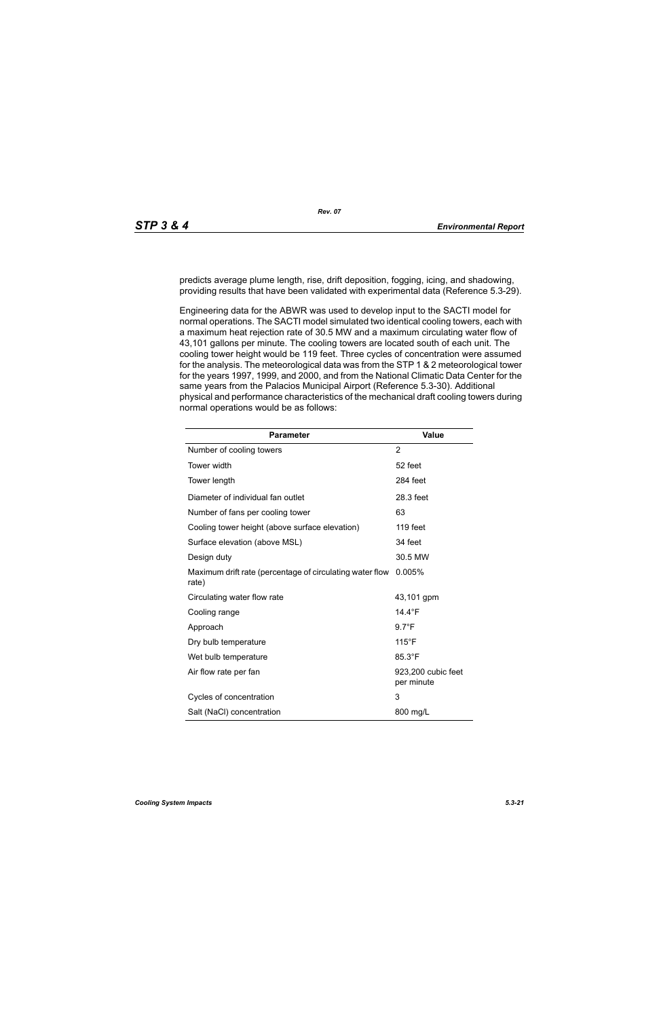predicts average plume length, rise, drift deposition, fogging, icing, and shadowing, providing results that have been validated with experimental data (Reference 5.3-29).

Engineering data for the ABWR was used to develop input to the SACTI model for normal operations. The SACTI model simulated two identical cooling towers, each with a maximum heat rejection rate of 30.5 MW and a maximum circulating water flow of 43,101 gallons per minute. The cooling towers are located south of each unit. The cooling tower height would be 119 feet. Three cycles of concentration were assumed for the analysis. The meteorological data was from the STP 1 & 2 meteorological tower for the years 1997, 1999, and 2000, and from the National Climatic Data Center for the same years from the Palacios Municipal Airport (Reference 5.3-30). Additional physical and performance characteristics of the mechanical draft cooling towers during normal operations would be as follows:

| <b>Parameter</b>                                                  | <b>Value</b>                     |
|-------------------------------------------------------------------|----------------------------------|
| Number of cooling towers                                          | 2                                |
| Tower width                                                       | 52 feet                          |
| Tower length                                                      | 284 feet                         |
| Diameter of individual fan outlet                                 | 28.3 feet                        |
| Number of fans per cooling tower                                  | 63                               |
| Cooling tower height (above surface elevation)                    | 119 feet                         |
| Surface elevation (above MSL)                                     | 34 feet                          |
| Design duty                                                       | 30.5 MW                          |
| Maximum drift rate (percentage of circulating water flow<br>rate) | 0.005%                           |
| Circulating water flow rate                                       | 43,101 gpm                       |
| Cooling range                                                     | 14.4 $\degree$ F                 |
| Approach                                                          | $9.7^{\circ}F$                   |
| Dry bulb temperature                                              | $115^{\circ}$ F                  |
| Wet bulb temperature                                              | 85.3°F                           |
| Air flow rate per fan                                             | 923,200 cubic feet<br>per minute |
| Cycles of concentration                                           | 3                                |
| Salt (NaCl) concentration                                         | 800 mg/L                         |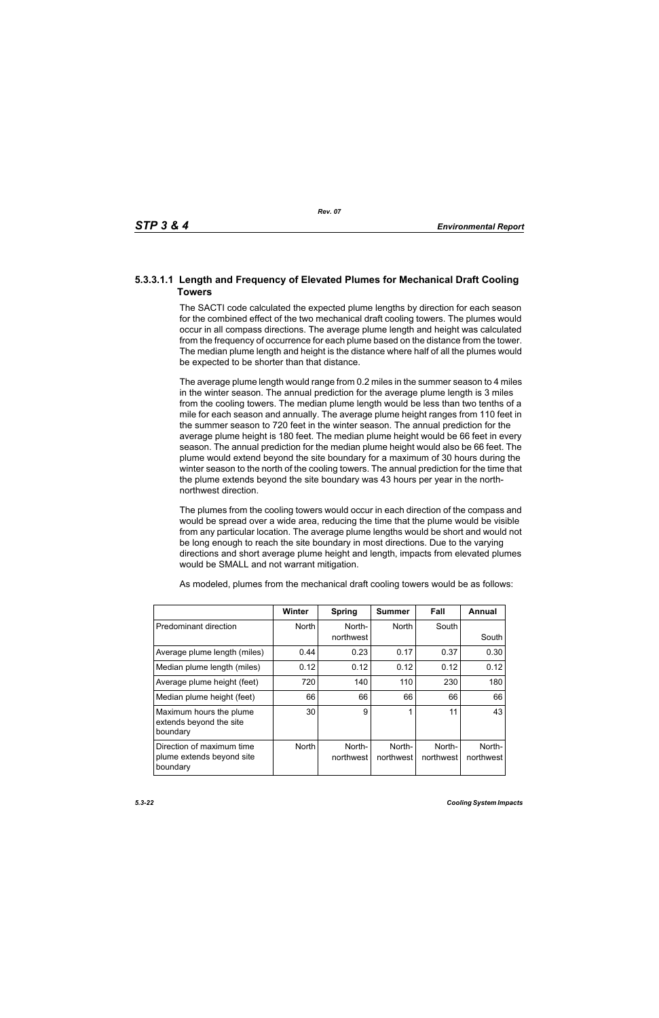# **5.3.3.1.1 Length and Frequency of Elevated Plumes for Mechanical Draft Cooling Towers**

The SACTI code calculated the expected plume lengths by direction for each season for the combined effect of the two mechanical draft cooling towers. The plumes would occur in all compass directions. The average plume length and height was calculated from the frequency of occurrence for each plume based on the distance from the tower. The median plume length and height is the distance where half of all the plumes would be expected to be shorter than that distance.

The average plume length would range from 0.2 miles in the summer season to 4 miles in the winter season. The annual prediction for the average plume length is 3 miles from the cooling towers. The median plume length would be less than two tenths of a mile for each season and annually. The average plume height ranges from 110 feet in the summer season to 720 feet in the winter season. The annual prediction for the average plume height is 180 feet. The median plume height would be 66 feet in every season. The annual prediction for the median plume height would also be 66 feet. The plume would extend beyond the site boundary for a maximum of 30 hours during the winter season to the north of the cooling towers. The annual prediction for the time that the plume extends beyond the site boundary was 43 hours per year in the northnorthwest direction.

The plumes from the cooling towers would occur in each direction of the compass and would be spread over a wide area, reducing the time that the plume would be visible from any particular location. The average plume lengths would be short and would not be long enough to reach the site boundary in most directions. Due to the varying directions and short average plume height and length, impacts from elevated plumes would be SMALL and not warrant mitigation.

|                                                                    | <b>Winter</b> | <b>Spring</b>       | Summer              | Fall                | Annual              |
|--------------------------------------------------------------------|---------------|---------------------|---------------------|---------------------|---------------------|
| Predominant direction                                              | <b>North</b>  | North-<br>northwest | <b>North</b>        | South               | South               |
| Average plume length (miles)                                       | 0.44          | 0.23                | 0.17                | 0.37                | 0.30                |
| Median plume length (miles)                                        | 0.12          | 0.12                | 0.12                | 0.12                | 0.12                |
| Average plume height (feet)                                        | 720           | 140                 | 110                 | 230                 | 180                 |
| Median plume height (feet)                                         | 66            | 66                  | 66                  | 66                  | 66                  |
| Maximum hours the plume<br>extends beyond the site<br>boundary     | 30            | 9                   | 1                   | 11                  | 43                  |
| Direction of maximum time<br>plume extends beyond site<br>boundary | <b>North</b>  | North-<br>northwest | North-<br>northwest | North-<br>northwest | North-<br>northwest |

As modeled, plumes from the mechanical draft cooling towers would be as follows: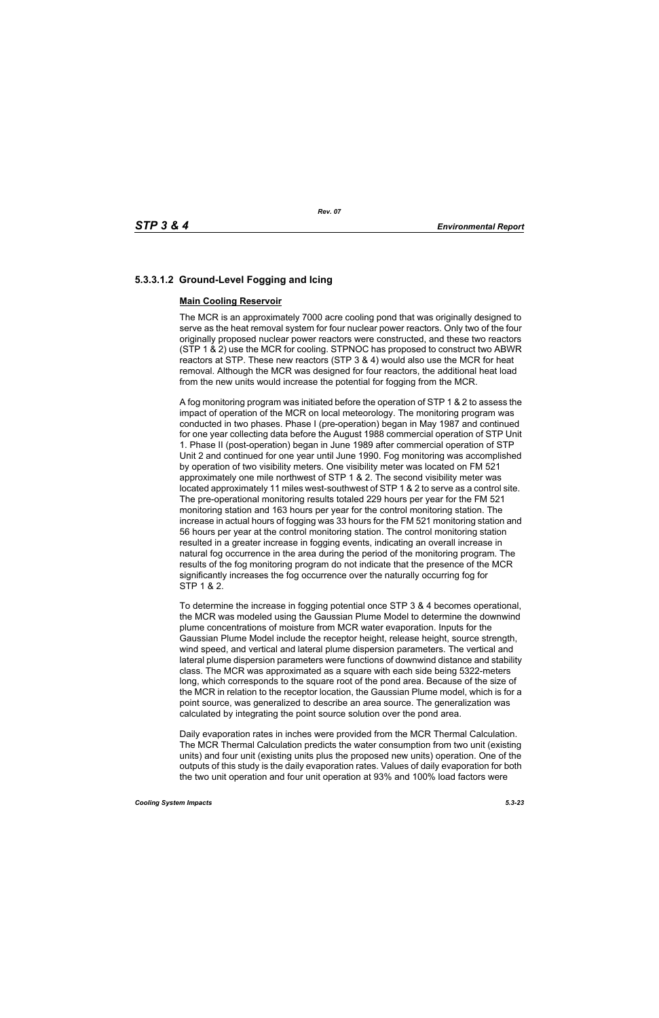# **5.3.3.1.2 Ground-Level Fogging and Icing**

# **Main Cooling Reservoir**

The MCR is an approximately 7000 acre cooling pond that was originally designed to serve as the heat removal system for four nuclear power reactors. Only two of the four originally proposed nuclear power reactors were constructed, and these two reactors (STP 1 & 2) use the MCR for cooling. STPNOC has proposed to construct two ABWR reactors at STP. These new reactors (STP 3 & 4) would also use the MCR for heat removal. Although the MCR was designed for four reactors, the additional heat load from the new units would increase the potential for fogging from the MCR.

A fog monitoring program was initiated before the operation of STP 1 & 2 to assess the impact of operation of the MCR on local meteorology. The monitoring program was conducted in two phases. Phase I (pre-operation) began in May 1987 and continued for one year collecting data before the August 1988 commercial operation of STP Unit 1. Phase II (post-operation) began in June 1989 after commercial operation of STP Unit 2 and continued for one year until June 1990. Fog monitoring was accomplished by operation of two visibility meters. One visibility meter was located on FM 521 approximately one mile northwest of STP 1 & 2. The second visibility meter was located approximately 11 miles west-southwest of STP 1 & 2 to serve as a control site. The pre-operational monitoring results totaled 229 hours per year for the FM 521 monitoring station and 163 hours per year for the control monitoring station. The increase in actual hours of fogging was 33 hours for the FM 521 monitoring station and 56 hours per year at the control monitoring station. The control monitoring station resulted in a greater increase in fogging events, indicating an overall increase in natural fog occurrence in the area during the period of the monitoring program. The results of the fog monitoring program do not indicate that the presence of the MCR significantly increases the fog occurrence over the naturally occurring fog for STP 1 & 2.

To determine the increase in fogging potential once STP 3 & 4 becomes operational, the MCR was modeled using the Gaussian Plume Model to determine the downwind plume concentrations of moisture from MCR water evaporation. Inputs for the Gaussian Plume Model include the receptor height, release height, source strength, wind speed, and vertical and lateral plume dispersion parameters. The vertical and lateral plume dispersion parameters were functions of downwind distance and stability class. The MCR was approximated as a square with each side being 5322-meters long, which corresponds to the square root of the pond area. Because of the size of the MCR in relation to the receptor location, the Gaussian Plume model, which is for a point source, was generalized to describe an area source. The generalization was calculated by integrating the point source solution over the pond area.

Daily evaporation rates in inches were provided from the MCR Thermal Calculation. The MCR Thermal Calculation predicts the water consumption from two unit (existing units) and four unit (existing units plus the proposed new units) operation. One of the outputs of this study is the daily evaporation rates. Values of daily evaporation for both the two unit operation and four unit operation at 93% and 100% load factors were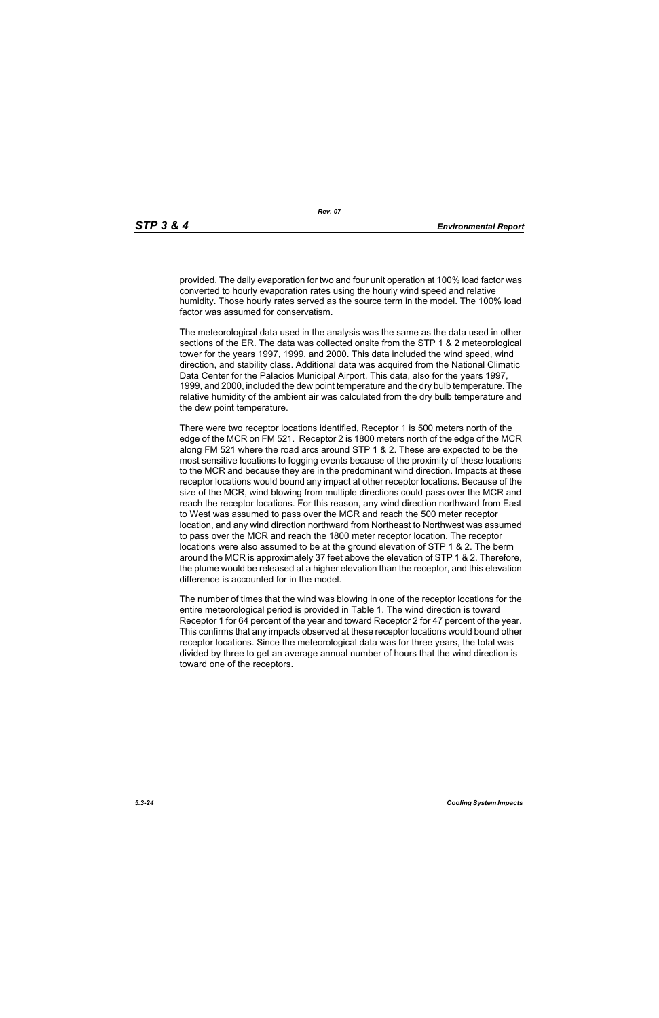provided. The daily evaporation for two and four unit operation at 100% load factor was converted to hourly evaporation rates using the hourly wind speed and relative humidity. Those hourly rates served as the source term in the model. The 100% load factor was assumed for conservatism.

The meteorological data used in the analysis was the same as the data used in other sections of the ER. The data was collected onsite from the STP 1 & 2 meteorological tower for the years 1997, 1999, and 2000. This data included the wind speed, wind direction, and stability class. Additional data was acquired from the National Climatic Data Center for the Palacios Municipal Airport. This data, also for the years 1997, 1999, and 2000, included the dew point temperature and the dry bulb temperature. The relative humidity of the ambient air was calculated from the dry bulb temperature and the dew point temperature.

There were two receptor locations identified, Receptor 1 is 500 meters north of the edge of the MCR on FM 521. Receptor 2 is 1800 meters north of the edge of the MCR along FM 521 where the road arcs around STP 1 & 2. These are expected to be the most sensitive locations to fogging events because of the proximity of these locations to the MCR and because they are in the predominant wind direction. Impacts at these receptor locations would bound any impact at other receptor locations. Because of the size of the MCR, wind blowing from multiple directions could pass over the MCR and reach the receptor locations. For this reason, any wind direction northward from East to West was assumed to pass over the MCR and reach the 500 meter receptor location, and any wind direction northward from Northeast to Northwest was assumed to pass over the MCR and reach the 1800 meter receptor location. The receptor locations were also assumed to be at the ground elevation of STP 1 & 2. The berm around the MCR is approximately 37 feet above the elevation of STP 1 & 2. Therefore, the plume would be released at a higher elevation than the receptor, and this elevation difference is accounted for in the model.

The number of times that the wind was blowing in one of the receptor locations for the entire meteorological period is provided in Table 1. The wind direction is toward Receptor 1 for 64 percent of the year and toward Receptor 2 for 47 percent of the year. This confirms that any impacts observed at these receptor locations would bound other receptor locations. Since the meteorological data was for three years, the total was divided by three to get an average annual number of hours that the wind direction is toward one of the receptors.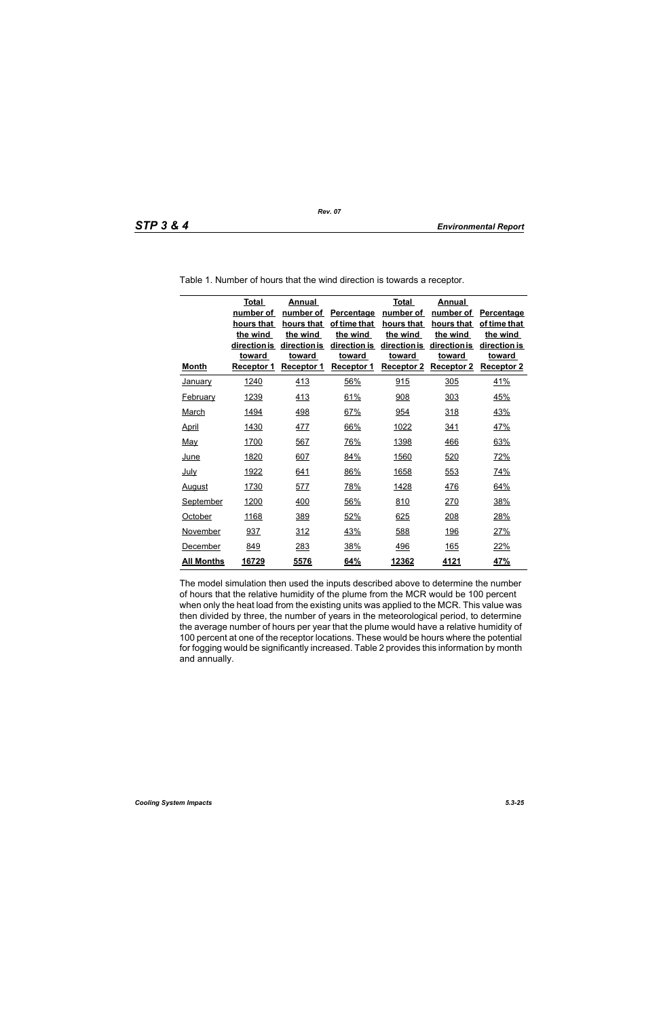| <b>Month</b>      | <b>Total</b><br>number of<br>hours that<br>the wind<br>direction is<br><b>toward</b><br>Receptor 1 | <b>Annual</b><br>number of<br>hours that<br>the wind<br>direction is<br>toward<br>Receptor 1 | Percentage<br>of time that<br>the wind<br>direction is<br><b>toward</b><br><b>Receptor 1</b> | <b>Total</b><br>number of<br>hours that<br>the wind<br>direction is<br><b>toward</b><br><b>Receptor 2</b> | <b>Annual</b><br>number of<br>hours that<br>the wind<br>direction is<br>toward<br><b>Receptor 2</b> | Percentage<br>of time that<br>the wind<br>direction is<br><b>toward</b><br><b>Receptor 2</b> |
|-------------------|----------------------------------------------------------------------------------------------------|----------------------------------------------------------------------------------------------|----------------------------------------------------------------------------------------------|-----------------------------------------------------------------------------------------------------------|-----------------------------------------------------------------------------------------------------|----------------------------------------------------------------------------------------------|
| <b>January</b>    | 1240                                                                                               | 413                                                                                          | 56%                                                                                          | 915                                                                                                       | 305                                                                                                 | 41%                                                                                          |
| <b>February</b>   | 1239                                                                                               | 413                                                                                          | 61%                                                                                          | 908                                                                                                       | 303                                                                                                 | 45%                                                                                          |
| <b>March</b>      | <u>1494</u>                                                                                        | <u>498</u>                                                                                   | 67%                                                                                          | 954                                                                                                       | 318                                                                                                 | <u>43%</u>                                                                                   |
| <b>April</b>      | 1430                                                                                               | <u>477</u>                                                                                   | 66%                                                                                          | 1022                                                                                                      | <u>341</u>                                                                                          | <u>47%</u>                                                                                   |
| <u>May</u>        | 1700                                                                                               | 567                                                                                          | 76%                                                                                          | 1398                                                                                                      | 466                                                                                                 | 63%                                                                                          |
| <u>June</u>       | 1820                                                                                               | 607                                                                                          | 84%                                                                                          | 1560                                                                                                      | 520                                                                                                 | 72%                                                                                          |
| <u>July</u>       | 1922                                                                                               | 641                                                                                          | 86%                                                                                          | 1658                                                                                                      | 553                                                                                                 | 74%                                                                                          |
| <b>August</b>     | 1730                                                                                               | 577                                                                                          | 78%                                                                                          | 1428                                                                                                      | 476                                                                                                 | 64%                                                                                          |
| <b>September</b>  | 1200                                                                                               | 400                                                                                          | 56%                                                                                          | 810                                                                                                       | 270                                                                                                 | 38%                                                                                          |
| October           | 1168                                                                                               | 389                                                                                          | 52%                                                                                          | 625                                                                                                       | 208                                                                                                 | 28%                                                                                          |
| November          | 937                                                                                                | 312                                                                                          | 43%                                                                                          | 588                                                                                                       | <u>196</u>                                                                                          | 27%                                                                                          |
| December          | 849                                                                                                | 283                                                                                          | 38%                                                                                          | <u>496</u>                                                                                                | <u>165</u>                                                                                          | 22%                                                                                          |
| <u>All Months</u> | 16729                                                                                              | 5576                                                                                         | 64%                                                                                          | 12362                                                                                                     | 4121                                                                                                | 47%                                                                                          |

Table 1. Number of hours that the wind direction is towards a receptor.

The model simulation then used the inputs described above to determine the number of hours that the relative humidity of the plume from the MCR would be 100 percent when only the heat load from the existing units was applied to the MCR. This value was then divided by three, the number of years in the meteorological period, to determine the average number of hours per year that the plume would have a relative humidity of 100 percent at one of the receptor locations. These would be hours where the potential for fogging would be significantly increased. Table 2 provides this information by month and annually.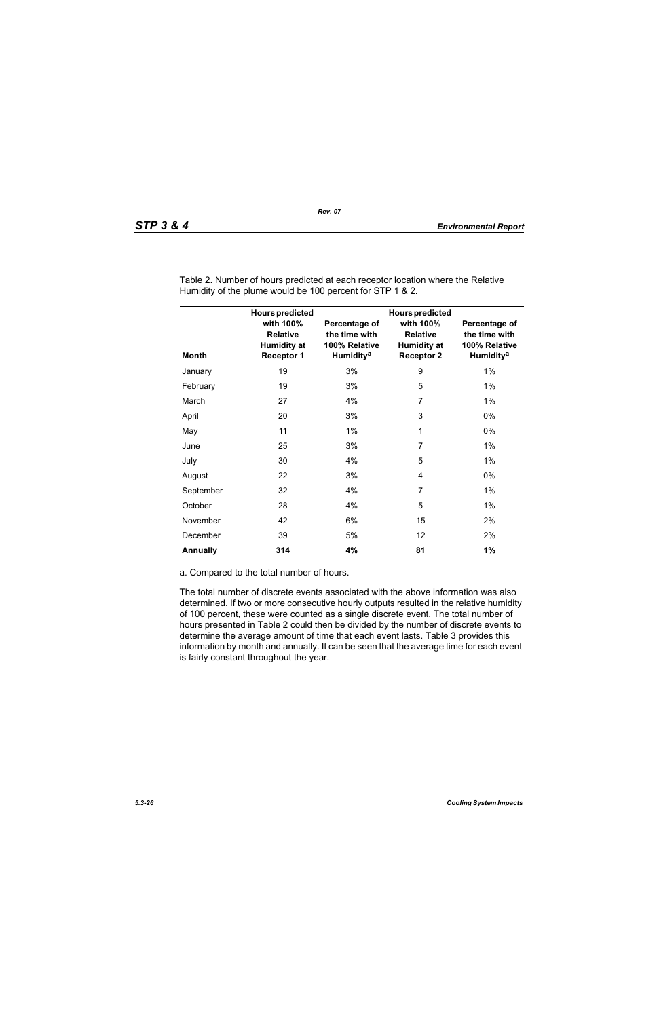| <b>Month</b>    | <b>Hours predicted</b><br>with 100%<br><b>Relative</b><br><b>Humidity at</b><br><b>Receptor 1</b> | Percentage of<br>the time with<br>100% Relative<br>Humidity <sup>a</sup> | <b>Hours predicted</b><br>with 100%<br><b>Relative</b><br><b>Humidity at</b><br><b>Receptor 2</b> | Percentage of<br>the time with<br>100% Relative<br><b>Humidity<sup>a</sup></b> |
|-----------------|---------------------------------------------------------------------------------------------------|--------------------------------------------------------------------------|---------------------------------------------------------------------------------------------------|--------------------------------------------------------------------------------|
| January         | 19                                                                                                | 3%                                                                       | 9                                                                                                 | $1\%$                                                                          |
| February        | 19                                                                                                | 3%                                                                       | 5                                                                                                 | $1\%$                                                                          |
| March           | 27                                                                                                | 4%                                                                       | 7                                                                                                 | $1\%$                                                                          |
| April           | 20                                                                                                | 3%                                                                       | 3                                                                                                 | 0%                                                                             |
| May             | 11                                                                                                | $1\%$                                                                    | 1                                                                                                 | 0%                                                                             |
| June            | 25                                                                                                | 3%                                                                       | $\overline{7}$                                                                                    | 1%                                                                             |
| July            | 30                                                                                                | 4%                                                                       | 5                                                                                                 | $1\%$                                                                          |
| August          | 22                                                                                                | 3%                                                                       | 4                                                                                                 | 0%                                                                             |
| September       | 32                                                                                                | 4%                                                                       | 7                                                                                                 | $1\%$                                                                          |
| October         | 28                                                                                                | 4%                                                                       | 5                                                                                                 | 1%                                                                             |
| November        | 42                                                                                                | 6%                                                                       | 15                                                                                                | 2%                                                                             |
| December        | 39                                                                                                | 5%                                                                       | 12                                                                                                | 2%                                                                             |
| <b>Annually</b> | 314                                                                                               | 4%                                                                       | 81                                                                                                | 1%                                                                             |

Table 2. Number of hours predicted at each receptor location where the Relative Humidity of the plume would be 100 percent for STP 1 & 2.

a. Compared to the total number of hours.

The total number of discrete events associated with the above information was also determined. If two or more consecutive hourly outputs resulted in the relative humidity of 100 percent, these were counted as a single discrete event. The total number of hours presented in Table 2 could then be divided by the number of discrete events to determine the average amount of time that each event lasts. Table 3 provides this information by month and annually. It can be seen that the average time for each event is fairly constant throughout the year.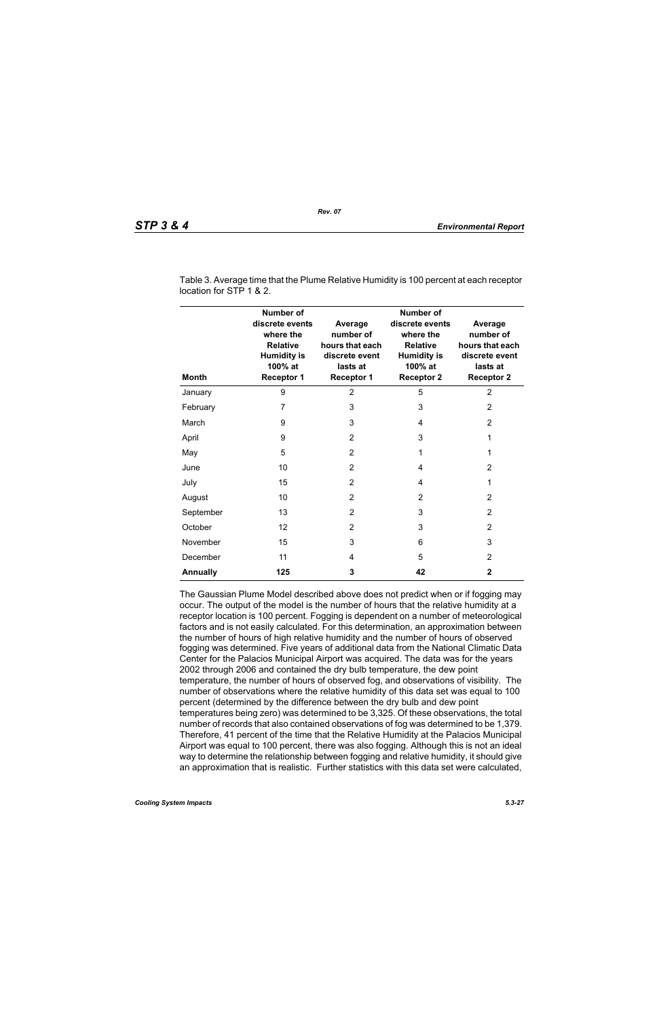| <b>Month</b>    | Number of<br>discrete events<br>where the<br><b>Relative</b><br><b>Humidity is</b><br>100% at<br><b>Receptor 1</b> | Average<br>number of<br>hours that each<br>discrete event<br>lasts at<br><b>Receptor 1</b> | <b>Number of</b><br>discrete events<br>where the<br><b>Relative</b><br><b>Humidity is</b><br>100% at<br><b>Receptor 2</b> | Average<br>number of<br>hours that each<br>discrete event<br>lasts at<br><b>Receptor 2</b> |
|-----------------|--------------------------------------------------------------------------------------------------------------------|--------------------------------------------------------------------------------------------|---------------------------------------------------------------------------------------------------------------------------|--------------------------------------------------------------------------------------------|
| January         | 9                                                                                                                  | $\overline{2}$                                                                             | 5                                                                                                                         | $\overline{2}$                                                                             |
| February        | 7                                                                                                                  | 3                                                                                          | 3                                                                                                                         | 2                                                                                          |
| March           | 9                                                                                                                  | 3                                                                                          | 4                                                                                                                         | $\overline{2}$                                                                             |
| April           | 9                                                                                                                  | $\overline{2}$                                                                             | 3                                                                                                                         | 1                                                                                          |
| May             | 5                                                                                                                  | $\overline{2}$                                                                             | 1                                                                                                                         | 1                                                                                          |
| June            | 10                                                                                                                 | $\overline{2}$                                                                             | 4                                                                                                                         | 2                                                                                          |
| July            | 15                                                                                                                 | $\overline{2}$                                                                             | 4                                                                                                                         | 1                                                                                          |
| August          | 10                                                                                                                 | $\overline{2}$                                                                             | $\overline{2}$                                                                                                            | 2                                                                                          |
| September       | 13                                                                                                                 | $\overline{2}$                                                                             | 3                                                                                                                         | $\overline{2}$                                                                             |
| October         | 12                                                                                                                 | 2                                                                                          | 3                                                                                                                         | 2                                                                                          |
| November        | 15                                                                                                                 | 3                                                                                          | 6                                                                                                                         | 3                                                                                          |
| December        | 11                                                                                                                 | 4                                                                                          | 5                                                                                                                         | 2                                                                                          |
| <b>Annually</b> | 125                                                                                                                | 3                                                                                          | 42                                                                                                                        | 2                                                                                          |

Table 3. Average time that the Plume Relative Humidity is 100 percent at each receptor location for STP 1 & 2.

The Gaussian Plume Model described above does not predict when or if fogging may occur. The output of the model is the number of hours that the relative humidity at a receptor location is 100 percent. Fogging is dependent on a number of meteorological factors and is not easily calculated. For this determination, an approximation between the number of hours of high relative humidity and the number of hours of observed fogging was determined. Five years of additional data from the National Climatic Data Center for the Palacios Municipal Airport was acquired. The data was for the years 2002 through 2006 and contained the dry bulb temperature, the dew point temperature, the number of hours of observed fog, and observations of visibility. The number of observations where the relative humidity of this data set was equal to 100 percent (determined by the difference between the dry bulb and dew point temperatures being zero) was determined to be 3,325. Of these observations, the total number of records that also contained observations of fog was determined to be 1,379. Therefore, 41 percent of the time that the Relative Humidity at the Palacios Municipal Airport was equal to 100 percent, there was also fogging. Although this is not an ideal way to determine the relationship between fogging and relative humidity, it should give an approximation that is realistic. Further statistics with this data set were calculated,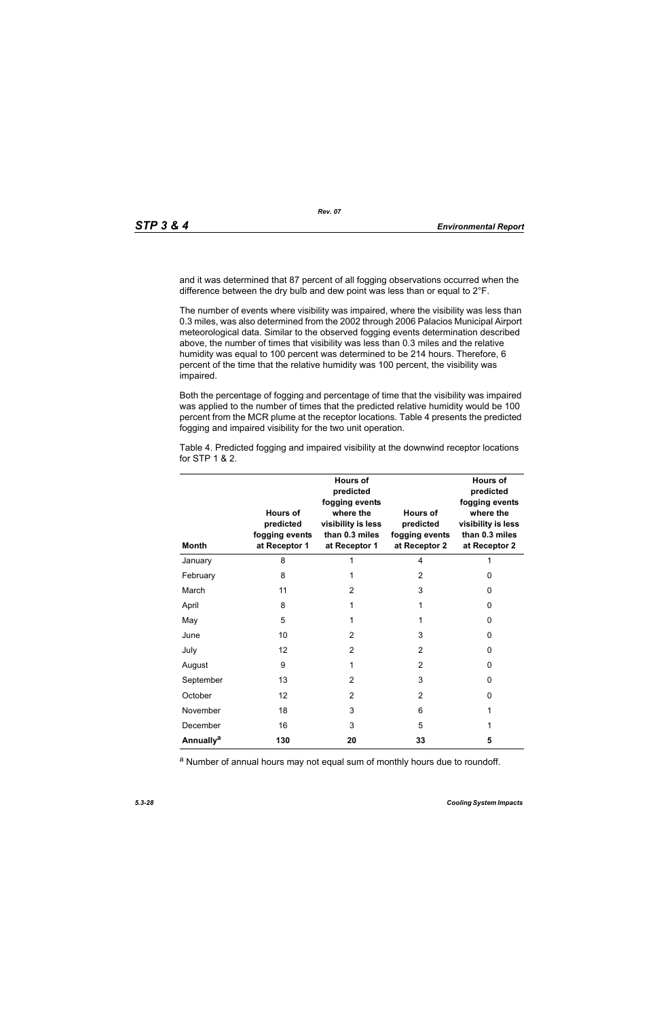and it was determined that 87 percent of all fogging observations occurred when the difference between the dry bulb and dew point was less than or equal to 2°F.

The number of events where visibility was impaired, where the visibility was less than 0.3 miles, was also determined from the 2002 through 2006 Palacios Municipal Airport meteorological data. Similar to the observed fogging events determination described above, the number of times that visibility was less than 0.3 miles and the relative humidity was equal to 100 percent was determined to be 214 hours. Therefore, 6 percent of the time that the relative humidity was 100 percent, the visibility was impaired.

Both the percentage of fogging and percentage of time that the visibility was impaired was applied to the number of times that the predicted relative humidity would be 100 percent from the MCR plume at the receptor locations. Table 4 presents the predicted fogging and impaired visibility for the two unit operation.

| <b>Month</b>                | <b>Hours of</b><br>predicted<br>fogging events<br>at Receptor 1 | <b>Hours of</b><br>predicted<br>fogging events<br>where the<br>visibility is less<br>than 0.3 miles<br>at Receptor 1 | <b>Hours of</b><br>predicted<br>fogging events<br>at Receptor 2 | <b>Hours of</b><br>predicted<br>fogging events<br>where the<br>visibility is less<br>than 0.3 miles<br>at Receptor 2 |
|-----------------------------|-----------------------------------------------------------------|----------------------------------------------------------------------------------------------------------------------|-----------------------------------------------------------------|----------------------------------------------------------------------------------------------------------------------|
| January                     | 8                                                               | 1                                                                                                                    | 4                                                               |                                                                                                                      |
| February                    | 8                                                               | 1                                                                                                                    | $\overline{2}$                                                  | 0                                                                                                                    |
| March                       | 11                                                              | $\overline{2}$                                                                                                       | 3                                                               | 0                                                                                                                    |
| April                       | 8                                                               | 1                                                                                                                    | 1                                                               | $\mathbf{0}$                                                                                                         |
| May                         | 5                                                               | 1                                                                                                                    | 1                                                               | 0                                                                                                                    |
| June                        | 10                                                              | 2                                                                                                                    | 3                                                               | 0                                                                                                                    |
| July                        | 12                                                              | $\overline{2}$                                                                                                       | 2                                                               | 0                                                                                                                    |
| August                      | 9                                                               | 1                                                                                                                    | $\overline{2}$                                                  | 0                                                                                                                    |
| September                   | 13                                                              | 2                                                                                                                    | 3                                                               | 0                                                                                                                    |
| October                     | 12                                                              | 2                                                                                                                    | 2                                                               | 0                                                                                                                    |
| November                    | 18                                                              | 3                                                                                                                    | 6                                                               | 1                                                                                                                    |
| December                    | 16                                                              | 3                                                                                                                    | 5                                                               | 1                                                                                                                    |
| <b>Annually<sup>a</sup></b> | 130                                                             | 20                                                                                                                   | 33                                                              | 5                                                                                                                    |

Table 4. Predicted fogging and impaired visibility at the downwind receptor locations for STP 1 & 2.

a Number of annual hours may not equal sum of monthly hours due to roundoff.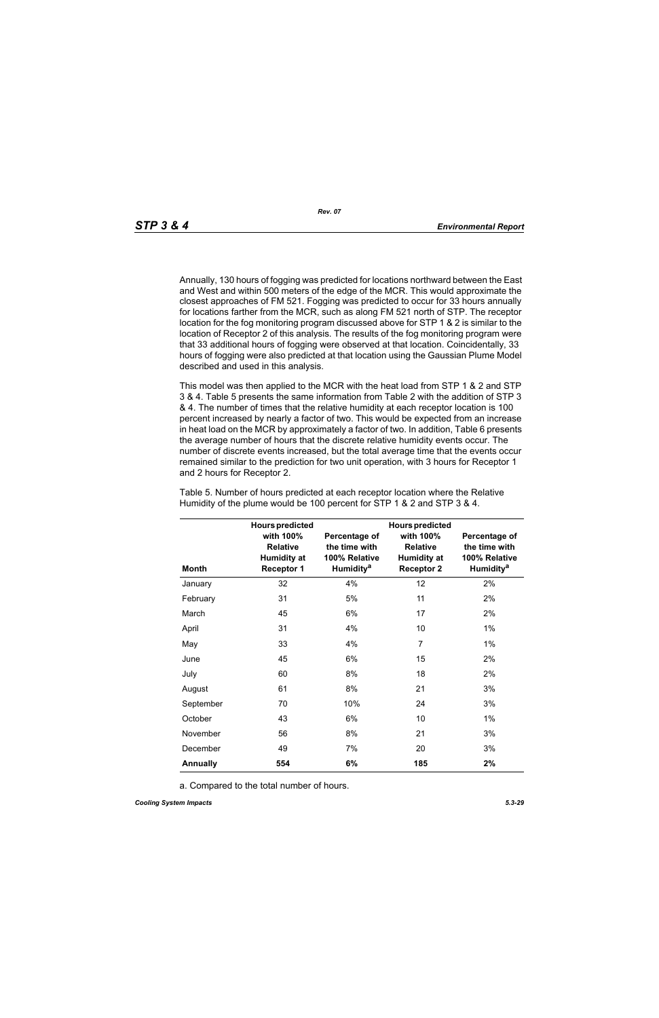Annually, 130 hours of fogging was predicted for locations northward between the East and West and within 500 meters of the edge of the MCR. This would approximate the closest approaches of FM 521. Fogging was predicted to occur for 33 hours annually for locations farther from the MCR, such as along FM 521 north of STP. The receptor location for the fog monitoring program discussed above for STP 1 & 2 is similar to the location of Receptor 2 of this analysis. The results of the fog monitoring program were that 33 additional hours of fogging were observed at that location. Coincidentally, 33 hours of fogging were also predicted at that location using the Gaussian Plume Model described and used in this analysis.

This model was then applied to the MCR with the heat load from STP 1 & 2 and STP 3 & 4. Table 5 presents the same information from Table 2 with the addition of STP 3 & 4. The number of times that the relative humidity at each receptor location is 100 percent increased by nearly a factor of two. This would be expected from an increase in heat load on the MCR by approximately a factor of two. In addition, Table 6 presents the average number of hours that the discrete relative humidity events occur. The number of discrete events increased, but the total average time that the events occur remained similar to the prediction for two unit operation, with 3 hours for Receptor 1 and 2 hours for Receptor 2.

|                 | <b>Hours predicted</b>                                                  |                                                                          | <b>Hours predicted</b>                                                  |                                                                                |
|-----------------|-------------------------------------------------------------------------|--------------------------------------------------------------------------|-------------------------------------------------------------------------|--------------------------------------------------------------------------------|
| <b>Month</b>    | with 100%<br><b>Relative</b><br><b>Humidity at</b><br><b>Receptor 1</b> | Percentage of<br>the time with<br>100% Relative<br>Humidity <sup>a</sup> | with 100%<br><b>Relative</b><br><b>Humidity at</b><br><b>Receptor 2</b> | Percentage of<br>the time with<br>100% Relative<br><b>Humidity<sup>a</sup></b> |
| January         | 32                                                                      | 4%                                                                       | 12                                                                      | 2%                                                                             |
| February        | 31                                                                      | 5%                                                                       | 11                                                                      | 2%                                                                             |
| March           | 45                                                                      | 6%                                                                       | 17                                                                      | 2%                                                                             |
| April           | 31                                                                      | 4%                                                                       | 10                                                                      | $1\%$                                                                          |
| May             | 33                                                                      | 4%                                                                       | $\overline{7}$                                                          | $1\%$                                                                          |
| June            | 45                                                                      | 6%                                                                       | 15                                                                      | 2%                                                                             |
| July            | 60                                                                      | 8%                                                                       | 18                                                                      | 2%                                                                             |
| August          | 61                                                                      | 8%                                                                       | 21                                                                      | 3%                                                                             |
| September       | 70                                                                      | 10%                                                                      | 24                                                                      | 3%                                                                             |
| October         | 43                                                                      | 6%                                                                       | 10                                                                      | $1\%$                                                                          |
| November        | 56                                                                      | 8%                                                                       | 21                                                                      | 3%                                                                             |
| December        | 49                                                                      | 7%                                                                       | 20                                                                      | 3%                                                                             |
| <b>Annually</b> | 554                                                                     | 6%                                                                       | 185                                                                     | 2%                                                                             |

Table 5. Number of hours predicted at each receptor location where the Relative Humidity of the plume would be 100 percent for STP 1 & 2 and STP 3 & 4.

a. Compared to the total number of hours.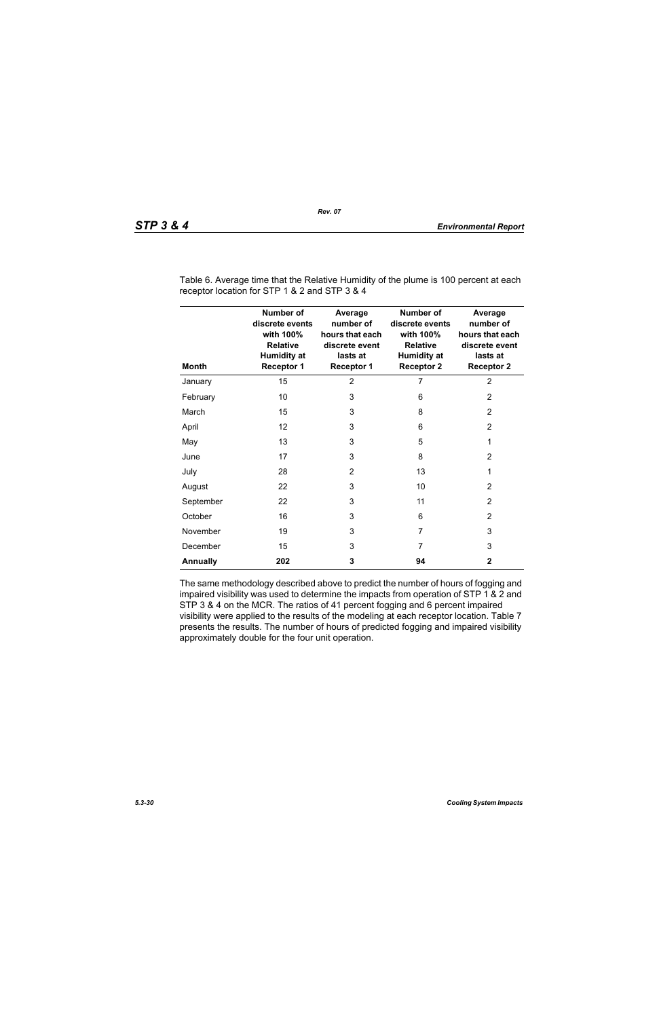| <b>Month</b>    | Number of<br>discrete events<br>with 100%<br><b>Relative</b><br><b>Humidity at</b><br><b>Receptor 1</b> | Average<br>number of<br>hours that each<br>discrete event<br>lasts at<br><b>Receptor 1</b> | <b>Number of</b><br>discrete events<br>with 100%<br><b>Relative</b><br><b>Humidity at</b><br><b>Receptor 2</b> | Average<br>number of<br>hours that each<br>discrete event<br>lasts at<br><b>Receptor 2</b> |
|-----------------|---------------------------------------------------------------------------------------------------------|--------------------------------------------------------------------------------------------|----------------------------------------------------------------------------------------------------------------|--------------------------------------------------------------------------------------------|
| January         | 15                                                                                                      | $\overline{2}$                                                                             | 7                                                                                                              | $\overline{2}$                                                                             |
| February        | 10                                                                                                      | 3                                                                                          | 6                                                                                                              | $\overline{2}$                                                                             |
| March           | 15                                                                                                      | 3                                                                                          | 8                                                                                                              | 2                                                                                          |
| April           | 12                                                                                                      | 3                                                                                          | 6                                                                                                              | $\overline{2}$                                                                             |
| May             | 13                                                                                                      | 3                                                                                          | 5                                                                                                              | 1                                                                                          |
| June            | 17                                                                                                      | 3                                                                                          | 8                                                                                                              | $\overline{2}$                                                                             |
| July            | 28                                                                                                      | $\overline{2}$                                                                             | 13                                                                                                             | 1                                                                                          |
| August          | 22                                                                                                      | 3                                                                                          | 10                                                                                                             | 2                                                                                          |
| September       | 22                                                                                                      | 3                                                                                          | 11                                                                                                             | 2                                                                                          |
| October         | 16                                                                                                      | 3                                                                                          | 6                                                                                                              | 2                                                                                          |
| November        | 19                                                                                                      | 3                                                                                          | 7                                                                                                              | 3                                                                                          |
| December        | 15                                                                                                      | 3                                                                                          | 7                                                                                                              | 3                                                                                          |
| <b>Annually</b> | 202                                                                                                     | 3                                                                                          | 94                                                                                                             | $\mathbf{2}$                                                                               |

Table 6. Average time that the Relative Humidity of the plume is 100 percent at each receptor location for STP 1 & 2 and STP 3 & 4

The same methodology described above to predict the number of hours of fogging and impaired visibility was used to determine the impacts from operation of STP 1 & 2 and STP 3 & 4 on the MCR. The ratios of 41 percent fogging and 6 percent impaired visibility were applied to the results of the modeling at each receptor location. Table 7 presents the results. The number of hours of predicted fogging and impaired visibility approximately double for the four unit operation.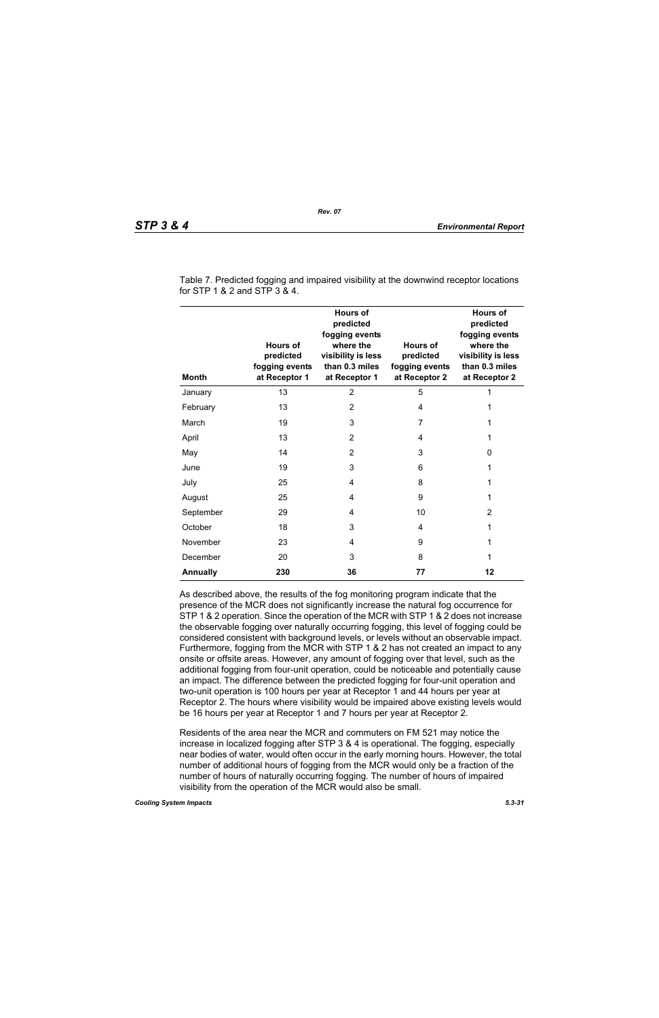| <b>Month</b>    | <b>Hours of</b><br>predicted<br>fogging events<br>at Receptor 1 | <b>Hours of</b><br>predicted<br>fogging events<br>where the<br>visibility is less<br>than 0.3 miles<br>at Receptor 1 | Hours of<br>predicted<br>fogging events<br>at Receptor 2 | <b>Hours of</b><br>predicted<br>fogging events<br>where the<br>visibility is less<br>than 0.3 miles<br>at Receptor 2 |
|-----------------|-----------------------------------------------------------------|----------------------------------------------------------------------------------------------------------------------|----------------------------------------------------------|----------------------------------------------------------------------------------------------------------------------|
| January         | 13                                                              | $\overline{2}$                                                                                                       | 5                                                        | 1                                                                                                                    |
| February        | 13                                                              | 2                                                                                                                    | 4                                                        | 1                                                                                                                    |
| March           | 19                                                              | 3                                                                                                                    | 7                                                        | 1                                                                                                                    |
| April           | 13                                                              | $\overline{2}$                                                                                                       | 4                                                        | 1                                                                                                                    |
| May             | 14                                                              | 2                                                                                                                    | 3                                                        | 0                                                                                                                    |
| June            | 19                                                              | 3                                                                                                                    | 6                                                        | 1                                                                                                                    |
| July            | 25                                                              | 4                                                                                                                    | 8                                                        | 1                                                                                                                    |
| August          | 25                                                              | 4                                                                                                                    | 9                                                        | 1                                                                                                                    |
| September       | 29                                                              | 4                                                                                                                    | 10                                                       | 2                                                                                                                    |
| October         | 18                                                              | 3                                                                                                                    | 4                                                        | 1                                                                                                                    |
| November        | 23                                                              | 4                                                                                                                    | 9                                                        | 1                                                                                                                    |
| December        | 20                                                              | 3                                                                                                                    | 8                                                        | 1                                                                                                                    |
| <b>Annually</b> | 230                                                             | 36                                                                                                                   | 77                                                       | 12                                                                                                                   |

Table 7. Predicted fogging and impaired visibility at the downwind receptor locations for STP 1 & 2 and STP 3 & 4.

As described above, the results of the fog monitoring program indicate that the presence of the MCR does not significantly increase the natural fog occurrence for STP 1 & 2 operation. Since the operation of the MCR with STP 1 & 2 does not increase the observable fogging over naturally occurring fogging, this level of fogging could be considered consistent with background levels, or levels without an observable impact. Furthermore, fogging from the MCR with STP 1 & 2 has not created an impact to any onsite or offsite areas. However, any amount of fogging over that level, such as the additional fogging from four-unit operation, could be noticeable and potentially cause an impact. The difference between the predicted fogging for four-unit operation and two-unit operation is 100 hours per year at Receptor 1 and 44 hours per year at Receptor 2. The hours where visibility would be impaired above existing levels would be 16 hours per year at Receptor 1 and 7 hours per year at Receptor 2.

Residents of the area near the MCR and commuters on FM 521 may notice the increase in localized fogging after STP 3 & 4 is operational. The fogging, especially near bodies of water, would often occur in the early morning hours. However, the total number of additional hours of fogging from the MCR would only be a fraction of the number of hours of naturally occurring fogging. The number of hours of impaired visibility from the operation of the MCR would also be small.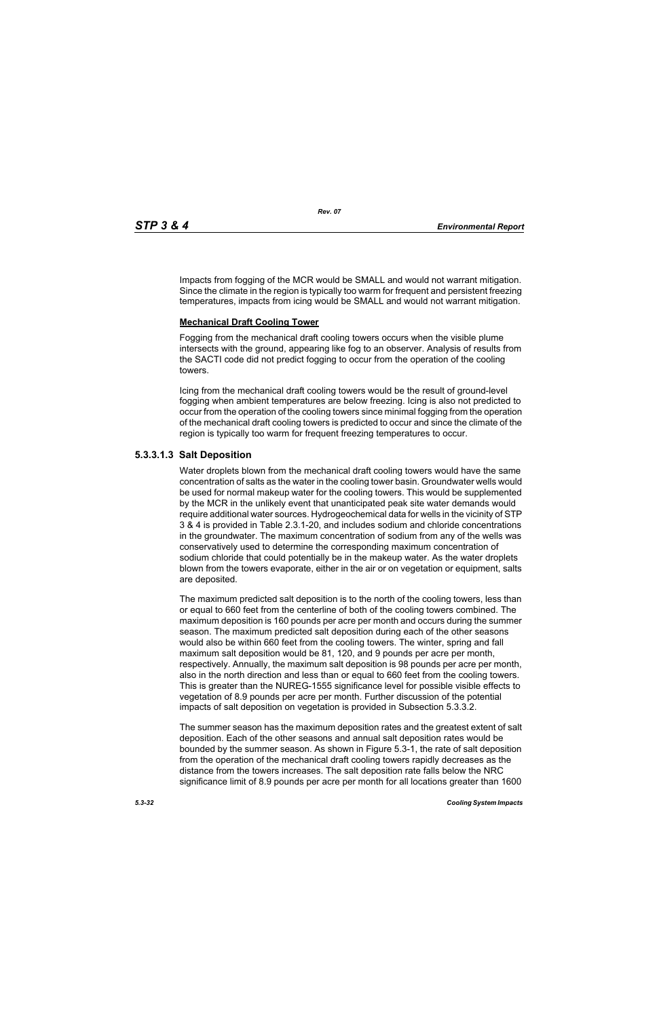Impacts from fogging of the MCR would be SMALL and would not warrant mitigation. Since the climate in the region is typically too warm for frequent and persistent freezing temperatures, impacts from icing would be SMALL and would not warrant mitigation.

# **Mechanical Draft Cooling Tower**

Fogging from the mechanical draft cooling towers occurs when the visible plume intersects with the ground, appearing like fog to an observer. Analysis of results from the SACTI code did not predict fogging to occur from the operation of the cooling towers.

Icing from the mechanical draft cooling towers would be the result of ground-level fogging when ambient temperatures are below freezing. Icing is also not predicted to occur from the operation of the cooling towers since minimal fogging from the operation of the mechanical draft cooling towers is predicted to occur and since the climate of the region is typically too warm for frequent freezing temperatures to occur.

# **5.3.3.1.3 Salt Deposition**

Water droplets blown from the mechanical draft cooling towers would have the same concentration of salts as the water in the cooling tower basin. Groundwater wells would be used for normal makeup water for the cooling towers. This would be supplemented by the MCR in the unlikely event that unanticipated peak site water demands would require additional water sources. Hydrogeochemical data for wells in the vicinity of STP 3 & 4 is provided in Table 2.3.1-20, and includes sodium and chloride concentrations in the groundwater. The maximum concentration of sodium from any of the wells was conservatively used to determine the corresponding maximum concentration of sodium chloride that could potentially be in the makeup water. As the water droplets blown from the towers evaporate, either in the air or on vegetation or equipment, salts are deposited.

The maximum predicted salt deposition is to the north of the cooling towers, less than or equal to 660 feet from the centerline of both of the cooling towers combined. The maximum deposition is 160 pounds per acre per month and occurs during the summer season. The maximum predicted salt deposition during each of the other seasons would also be within 660 feet from the cooling towers. The winter, spring and fall maximum salt deposition would be 81, 120, and 9 pounds per acre per month, respectively. Annually, the maximum salt deposition is 98 pounds per acre per month, also in the north direction and less than or equal to 660 feet from the cooling towers. This is greater than the NUREG-1555 significance level for possible visible effects to vegetation of 8.9 pounds per acre per month. Further discussion of the potential impacts of salt deposition on vegetation is provided in Subsection 5.3.3.2.

The summer season has the maximum deposition rates and the greatest extent of salt deposition. Each of the other seasons and annual salt deposition rates would be bounded by the summer season. As shown in Figure 5.3-1, the rate of salt deposition from the operation of the mechanical draft cooling towers rapidly decreases as the distance from the towers increases. The salt deposition rate falls below the NRC significance limit of 8.9 pounds per acre per month for all locations greater than 1600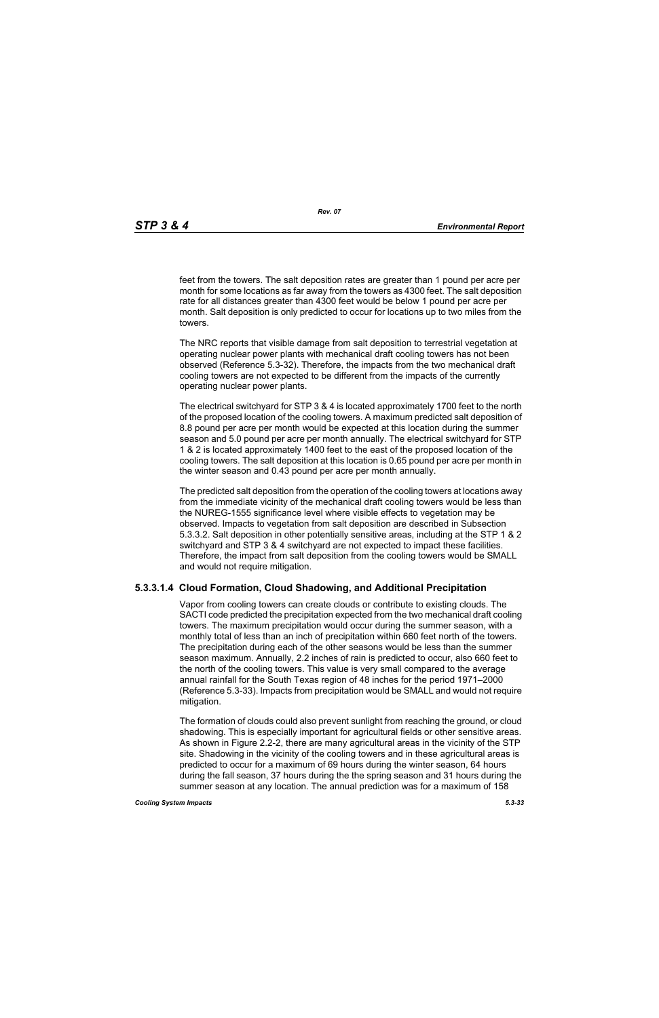feet from the towers. The salt deposition rates are greater than 1 pound per acre per month for some locations as far away from the towers as 4300 feet. The salt deposition rate for all distances greater than 4300 feet would be below 1 pound per acre per month. Salt deposition is only predicted to occur for locations up to two miles from the towers.

The NRC reports that visible damage from salt deposition to terrestrial vegetation at operating nuclear power plants with mechanical draft cooling towers has not been observed (Reference 5.3-32). Therefore, the impacts from the two mechanical draft cooling towers are not expected to be different from the impacts of the currently operating nuclear power plants.

The electrical switchyard for STP 3 & 4 is located approximately 1700 feet to the north of the proposed location of the cooling towers. A maximum predicted salt deposition of 8.8 pound per acre per month would be expected at this location during the summer season and 5.0 pound per acre per month annually. The electrical switchyard for STP 1 & 2 is located approximately 1400 feet to the east of the proposed location of the cooling towers. The salt deposition at this location is 0.65 pound per acre per month in the winter season and 0.43 pound per acre per month annually.

The predicted salt deposition from the operation of the cooling towers at locations away from the immediate vicinity of the mechanical draft cooling towers would be less than the NUREG-1555 significance level where visible effects to vegetation may be observed. Impacts to vegetation from salt deposition are described in Subsection 5.3.3.2. Salt deposition in other potentially sensitive areas, including at the STP 1 & 2 switchyard and STP 3 & 4 switchyard are not expected to impact these facilities. Therefore, the impact from salt deposition from the cooling towers would be SMALL and would not require mitigation.

# **5.3.3.1.4 Cloud Formation, Cloud Shadowing, and Additional Precipitation**

Vapor from cooling towers can create clouds or contribute to existing clouds. The SACTI code predicted the precipitation expected from the two mechanical draft cooling towers. The maximum precipitation would occur during the summer season, with a monthly total of less than an inch of precipitation within 660 feet north of the towers. The precipitation during each of the other seasons would be less than the summer season maximum. Annually, 2.2 inches of rain is predicted to occur, also 660 feet to the north of the cooling towers. This value is very small compared to the average annual rainfall for the South Texas region of 48 inches for the period 1971–2000 (Reference 5.3-33). Impacts from precipitation would be SMALL and would not require mitigation.

The formation of clouds could also prevent sunlight from reaching the ground, or cloud shadowing. This is especially important for agricultural fields or other sensitive areas. As shown in Figure 2.2-2, there are many agricultural areas in the vicinity of the STP site. Shadowing in the vicinity of the cooling towers and in these agricultural areas is predicted to occur for a maximum of 69 hours during the winter season, 64 hours during the fall season, 37 hours during the the spring season and 31 hours during the summer season at any location. The annual prediction was for a maximum of 158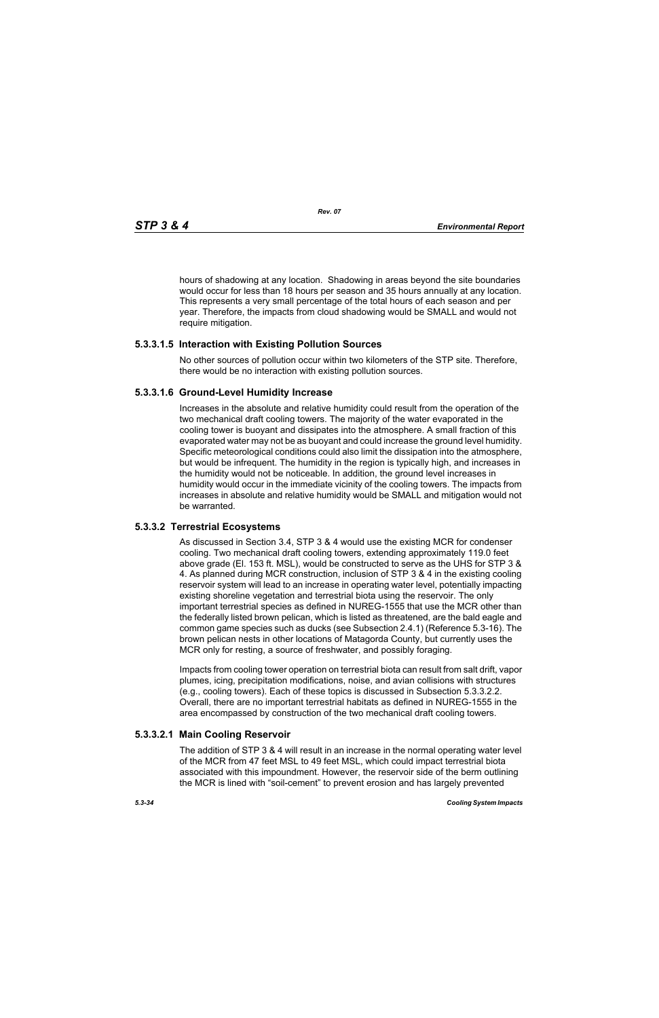hours of shadowing at any location. Shadowing in areas beyond the site boundaries would occur for less than 18 hours per season and 35 hours annually at any location. This represents a very small percentage of the total hours of each season and per year. Therefore, the impacts from cloud shadowing would be SMALL and would not require mitigation.

# **5.3.3.1.5 Interaction with Existing Pollution Sources**

No other sources of pollution occur within two kilometers of the STP site. Therefore, there would be no interaction with existing pollution sources.

# **5.3.3.1.6 Ground-Level Humidity Increase**

Increases in the absolute and relative humidity could result from the operation of the two mechanical draft cooling towers. The majority of the water evaporated in the cooling tower is buoyant and dissipates into the atmosphere. A small fraction of this evaporated water may not be as buoyant and could increase the ground level humidity. Specific meteorological conditions could also limit the dissipation into the atmosphere, but would be infrequent. The humidity in the region is typically high, and increases in the humidity would not be noticeable. In addition, the ground level increases in humidity would occur in the immediate vicinity of the cooling towers. The impacts from increases in absolute and relative humidity would be SMALL and mitigation would not be warranted.

# **5.3.3.2 Terrestrial Ecosystems**

As discussed in Section 3.4, STP 3 & 4 would use the existing MCR for condenser cooling. Two mechanical draft cooling towers, extending approximately 119.0 feet above grade (El. 153 ft. MSL), would be constructed to serve as the UHS for STP 3 & 4. As planned during MCR construction, inclusion of STP 3 & 4 in the existing cooling reservoir system will lead to an increase in operating water level, potentially impacting existing shoreline vegetation and terrestrial biota using the reservoir. The only important terrestrial species as defined in NUREG-1555 that use the MCR other than the federally listed brown pelican, which is listed as threatened, are the bald eagle and common game species such as ducks (see Subsection 2.4.1) (Reference 5.3-16). The brown pelican nests in other locations of Matagorda County, but currently uses the MCR only for resting, a source of freshwater, and possibly foraging.

Impacts from cooling tower operation on terrestrial biota can result from salt drift, vapor plumes, icing, precipitation modifications, noise, and avian collisions with structures (e.g., cooling towers). Each of these topics is discussed in Subsection 5.3.3.2.2. Overall, there are no important terrestrial habitats as defined in NUREG-1555 in the area encompassed by construction of the two mechanical draft cooling towers.

# **5.3.3.2.1 Main Cooling Reservoir**

The addition of STP 3 & 4 will result in an increase in the normal operating water level of the MCR from 47 feet MSL to 49 feet MSL, which could impact terrestrial biota associated with this impoundment. However, the reservoir side of the berm outlining the MCR is lined with "soil-cement" to prevent erosion and has largely prevented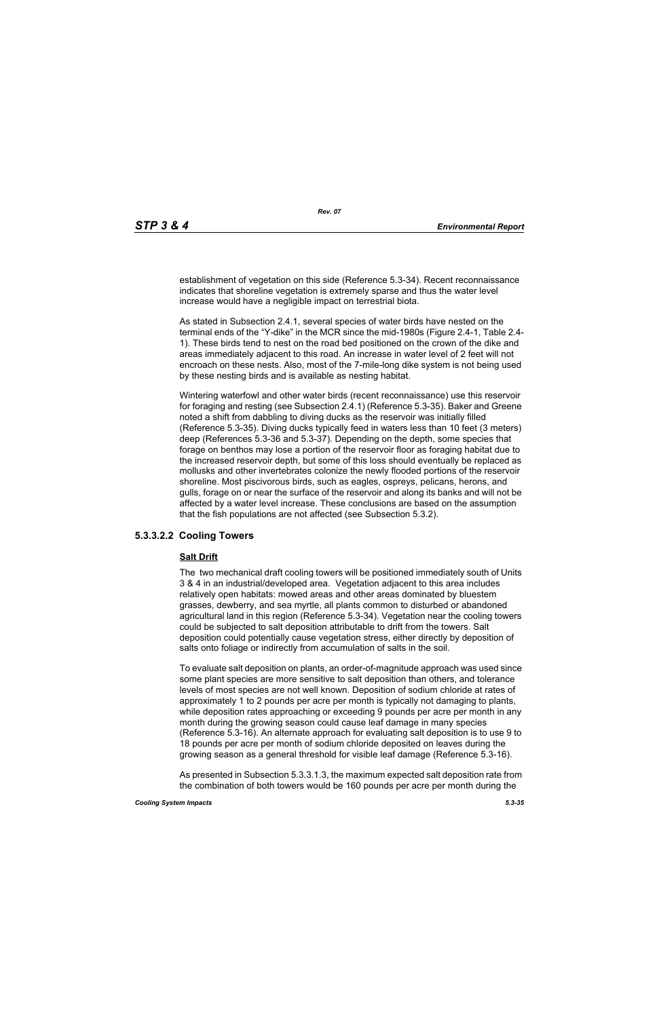establishment of vegetation on this side (Reference 5.3-34). Recent reconnaissance indicates that shoreline vegetation is extremely sparse and thus the water level increase would have a negligible impact on terrestrial biota.

As stated in Subsection 2.4.1, several species of water birds have nested on the terminal ends of the "Y-dike" in the MCR since the mid-1980s (Figure 2.4-1, Table 2.4- 1). These birds tend to nest on the road bed positioned on the crown of the dike and areas immediately adjacent to this road. An increase in water level of 2 feet will not encroach on these nests. Also, most of the 7-mile-long dike system is not being used by these nesting birds and is available as nesting habitat.

Wintering waterfowl and other water birds (recent reconnaissance) use this reservoir for foraging and resting (see Subsection 2.4.1) (Reference 5.3-35). Baker and Greene noted a shift from dabbling to diving ducks as the reservoir was initially filled (Reference 5.3-35). Diving ducks typically feed in waters less than 10 feet (3 meters) deep (References 5.3-36 and 5.3-37). Depending on the depth, some species that forage on benthos may lose a portion of the reservoir floor as foraging habitat due to the increased reservoir depth, but some of this loss should eventually be replaced as mollusks and other invertebrates colonize the newly flooded portions of the reservoir shoreline. Most piscivorous birds, such as eagles, ospreys, pelicans, herons, and gulls, forage on or near the surface of the reservoir and along its banks and will not be affected by a water level increase. These conclusions are based on the assumption that the fish populations are not affected (see Subsection 5.3.2).

# **5.3.3.2.2 Cooling Towers**

#### **Salt Drift**

The two mechanical draft cooling towers will be positioned immediately south of Units 3 & 4 in an industrial/developed area. Vegetation adjacent to this area includes relatively open habitats: mowed areas and other areas dominated by bluestem grasses, dewberry, and sea myrtle, all plants common to disturbed or abandoned agricultural land in this region (Reference 5.3-34). Vegetation near the cooling towers could be subjected to salt deposition attributable to drift from the towers. Salt deposition could potentially cause vegetation stress, either directly by deposition of salts onto foliage or indirectly from accumulation of salts in the soil.

To evaluate salt deposition on plants, an order-of-magnitude approach was used since some plant species are more sensitive to salt deposition than others, and tolerance levels of most species are not well known. Deposition of sodium chloride at rates of approximately 1 to 2 pounds per acre per month is typically not damaging to plants, while deposition rates approaching or exceeding 9 pounds per acre per month in any month during the growing season could cause leaf damage in many species (Reference 5.3-16). An alternate approach for evaluating salt deposition is to use 9 to 18 pounds per acre per month of sodium chloride deposited on leaves during the growing season as a general threshold for visible leaf damage (Reference 5.3-16).

As presented in Subsection 5.3.3.1.3, the maximum expected salt deposition rate from the combination of both towers would be 160 pounds per acre per month during the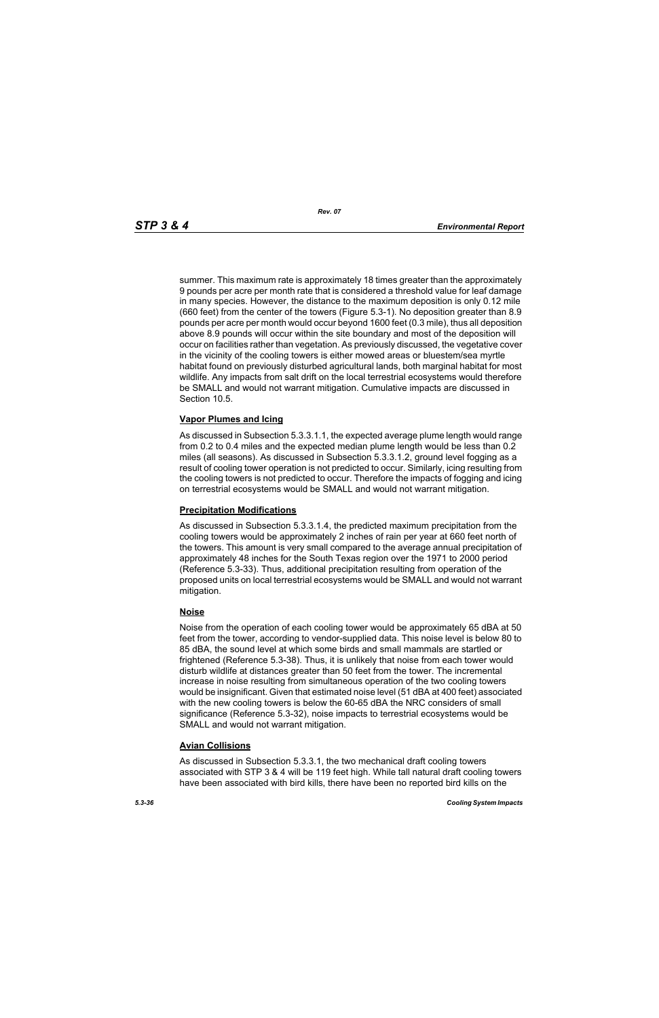summer. This maximum rate is approximately 18 times greater than the approximately 9 pounds per acre per month rate that is considered a threshold value for leaf damage in many species. However, the distance to the maximum deposition is only 0.12 mile (660 feet) from the center of the towers (Figure 5.3-1). No deposition greater than 8.9 pounds per acre per month would occur beyond 1600 feet (0.3 mile), thus all deposition above 8.9 pounds will occur within the site boundary and most of the deposition will occur on facilities rather than vegetation. As previously discussed, the vegetative cover in the vicinity of the cooling towers is either mowed areas or bluestem/sea myrtle habitat found on previously disturbed agricultural lands, both marginal habitat for most wildlife. Any impacts from salt drift on the local terrestrial ecosystems would therefore be SMALL and would not warrant mitigation. Cumulative impacts are discussed in Section 10.5.

# **Vapor Plumes and Icing**

As discussed in Subsection 5.3.3.1.1, the expected average plume length would range from 0.2 to 0.4 miles and the expected median plume length would be less than 0.2 miles (all seasons). As discussed in Subsection 5.3.3.1.2, ground level fogging as a result of cooling tower operation is not predicted to occur. Similarly, icing resulting from the cooling towers is not predicted to occur. Therefore the impacts of fogging and icing on terrestrial ecosystems would be SMALL and would not warrant mitigation.

#### **Precipitation Modifications**

As discussed in Subsection 5.3.3.1.4, the predicted maximum precipitation from the cooling towers would be approximately 2 inches of rain per year at 660 feet north of the towers. This amount is very small compared to the average annual precipitation of approximately 48 inches for the South Texas region over the 1971 to 2000 period (Reference 5.3-33). Thus, additional precipitation resulting from operation of the proposed units on local terrestrial ecosystems would be SMALL and would not warrant mitigation.

# **Noise**

Noise from the operation of each cooling tower would be approximately 65 dBA at 50 feet from the tower, according to vendor-supplied data. This noise level is below 80 to 85 dBA, the sound level at which some birds and small mammals are startled or frightened (Reference 5.3-38). Thus, it is unlikely that noise from each tower would disturb wildlife at distances greater than 50 feet from the tower. The incremental increase in noise resulting from simultaneous operation of the two cooling towers would be insignificant. Given that estimated noise level (51 dBA at 400 feet) associated with the new cooling towers is below the 60-65 dBA the NRC considers of small significance (Reference 5.3-32), noise impacts to terrestrial ecosystems would be SMALL and would not warrant mitigation.

# **Avian Collisions**

As discussed in Subsection 5.3.3.1, the two mechanical draft cooling towers associated with STP 3 & 4 will be 119 feet high. While tall natural draft cooling towers have been associated with bird kills, there have been no reported bird kills on the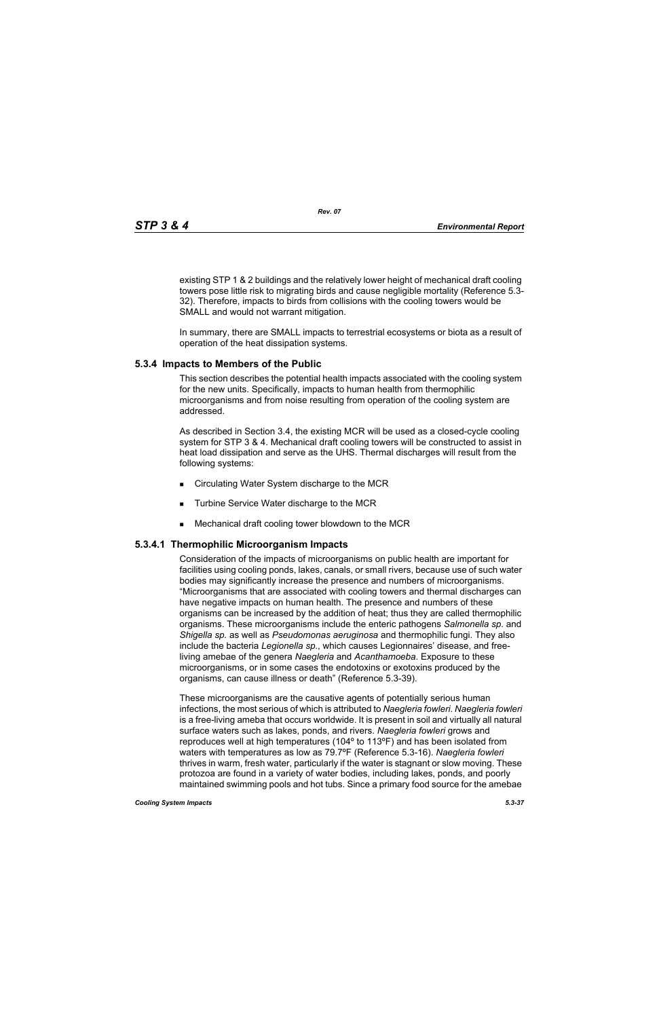existing STP 1 & 2 buildings and the relatively lower height of mechanical draft cooling towers pose little risk to migrating birds and cause negligible mortality (Reference 5.3- 32). Therefore, impacts to birds from collisions with the cooling towers would be SMALL and would not warrant mitigation.

In summary, there are SMALL impacts to terrestrial ecosystems or biota as a result of operation of the heat dissipation systems.

# **5.3.4 Impacts to Members of the Public**

This section describes the potential health impacts associated with the cooling system for the new units. Specifically, impacts to human health from thermophilic microorganisms and from noise resulting from operation of the cooling system are addressed.

As described in Section 3.4, the existing MCR will be used as a closed-cycle cooling system for STP 3 & 4. Mechanical draft cooling towers will be constructed to assist in heat load dissipation and serve as the UHS. Thermal discharges will result from the following systems:

- Circulating Water System discharge to the MCR
- **Turbine Service Water discharge to the MCR**
- Mechanical draft cooling tower blowdown to the MCR

# **5.3.4.1 Thermophilic Microorganism Impacts**

Consideration of the impacts of microorganisms on public health are important for facilities using cooling ponds, lakes, canals, or small rivers, because use of such water bodies may significantly increase the presence and numbers of microorganisms. "Microorganisms that are associated with cooling towers and thermal discharges can have negative impacts on human health. The presence and numbers of these organisms can be increased by the addition of heat; thus they are called thermophilic organisms. These microorganisms include the enteric pathogens *Salmonella sp*. and *Shigella sp.* as well as *Pseudomonas aeruginosa* and thermophilic fungi. They also include the bacteria *Legionella sp*., which causes Legionnaires' disease, and freeliving amebae of the genera *Naegleria* and *Acanthamoeba*. Exposure to these microorganisms, or in some cases the endotoxins or exotoxins produced by the organisms, can cause illness or death" (Reference 5.3-39).

These microorganisms are the causative agents of potentially serious human infections, the most serious of which is attributed to *Naegleria fowleri*. *Naegleria fowleri* is a free-living ameba that occurs worldwide. It is present in soil and virtually all natural surface waters such as lakes, ponds, and rivers. *Naegleria fowleri* grows and reproduces well at high temperatures (104º to 113ºF) and has been isolated from waters with temperatures as low as 79.7ºF (Reference 5.3-16). *Naegleria fowleri* thrives in warm, fresh water, particularly if the water is stagnant or slow moving. These protozoa are found in a variety of water bodies, including lakes, ponds, and poorly maintained swimming pools and hot tubs. Since a primary food source for the amebae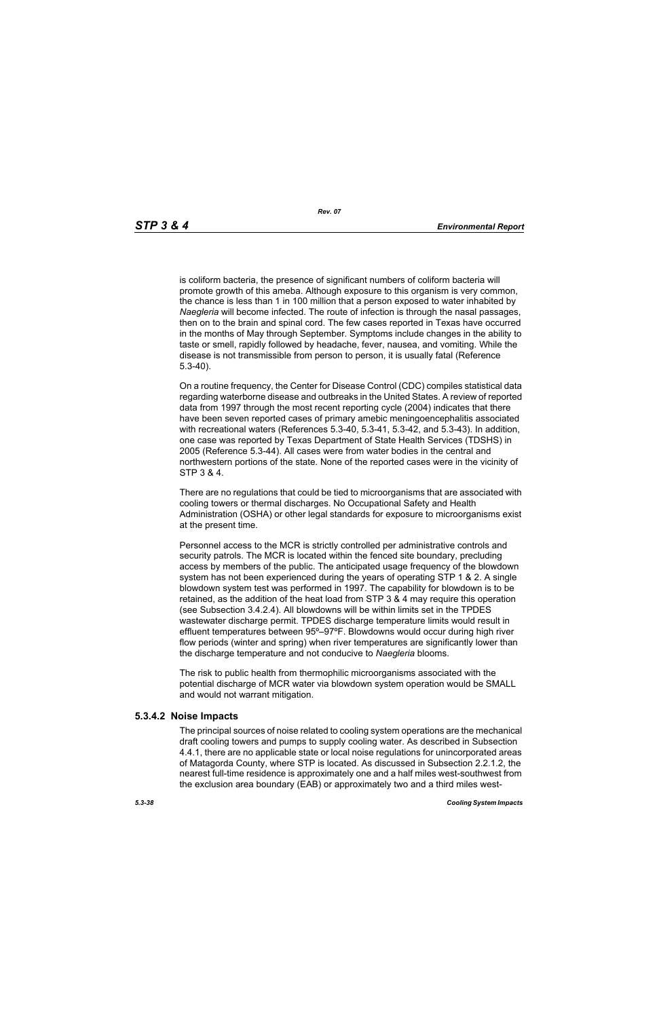is coliform bacteria, the presence of significant numbers of coliform bacteria will promote growth of this ameba. Although exposure to this organism is very common, the chance is less than 1 in 100 million that a person exposed to water inhabited by *Naegleria* will become infected. The route of infection is through the nasal passages, then on to the brain and spinal cord. The few cases reported in Texas have occurred in the months of May through September. Symptoms include changes in the ability to taste or smell, rapidly followed by headache, fever, nausea, and vomiting. While the disease is not transmissible from person to person, it is usually fatal (Reference 5.3-40).

On a routine frequency, the Center for Disease Control (CDC) compiles statistical data regarding waterborne disease and outbreaks in the United States. A review of reported data from 1997 through the most recent reporting cycle (2004) indicates that there have been seven reported cases of primary amebic meningoencephalitis associated with recreational waters (References 5.3-40, 5.3-41, 5.3-42, and 5.3-43). In addition, one case was reported by Texas Department of State Health Services (TDSHS) in 2005 (Reference 5.3-44). All cases were from water bodies in the central and northwestern portions of the state. None of the reported cases were in the vicinity of STP 3 & 4.

There are no regulations that could be tied to microorganisms that are associated with cooling towers or thermal discharges. No Occupational Safety and Health Administration (OSHA) or other legal standards for exposure to microorganisms exist at the present time.

Personnel access to the MCR is strictly controlled per administrative controls and security patrols. The MCR is located within the fenced site boundary, precluding access by members of the public. The anticipated usage frequency of the blowdown system has not been experienced during the years of operating STP 1 & 2. A single blowdown system test was performed in 1997. The capability for blowdown is to be retained, as the addition of the heat load from STP 3 & 4 may require this operation (see Subsection 3.4.2.4). All blowdowns will be within limits set in the TPDES wastewater discharge permit. TPDES discharge temperature limits would result in effluent temperatures between 95º–97ºF. Blowdowns would occur during high river flow periods (winter and spring) when river temperatures are significantly lower than the discharge temperature and not conducive to *Naegleria* blooms.

The risk to public health from thermophilic microorganisms associated with the potential discharge of MCR water via blowdown system operation would be SMALL and would not warrant mitigation.

# **5.3.4.2 Noise Impacts**

The principal sources of noise related to cooling system operations are the mechanical draft cooling towers and pumps to supply cooling water. As described in Subsection 4.4.1, there are no applicable state or local noise regulations for unincorporated areas of Matagorda County, where STP is located. As discussed in Subsection 2.2.1.2, the nearest full-time residence is approximately one and a half miles west-southwest from the exclusion area boundary (EAB) or approximately two and a third miles west-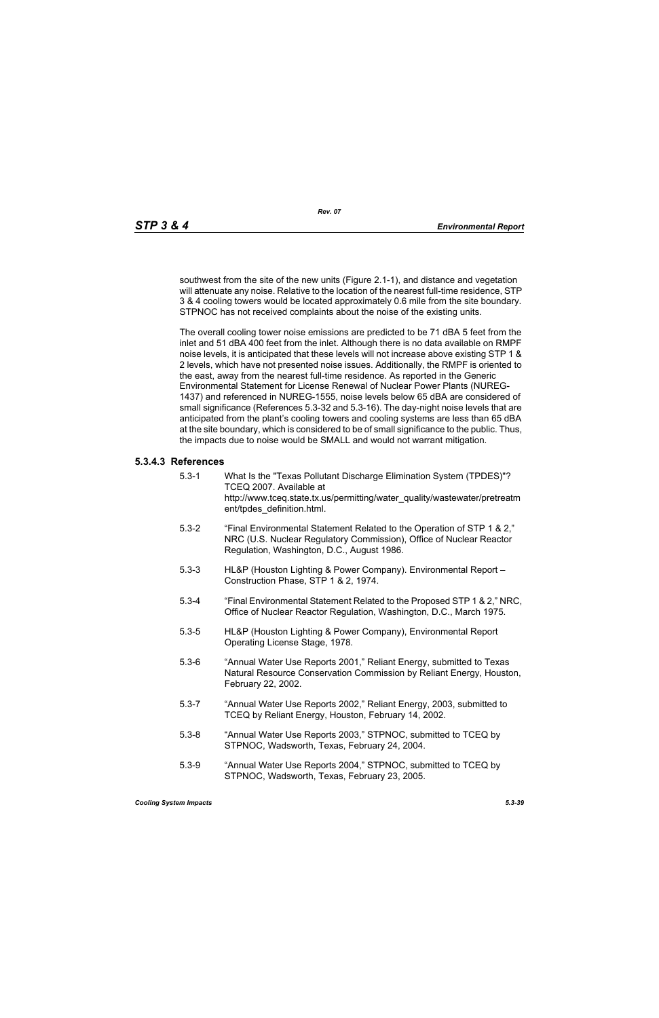southwest from the site of the new units (Figure 2.1-1), and distance and vegetation will attenuate any noise. Relative to the location of the nearest full-time residence, STP 3 & 4 cooling towers would be located approximately 0.6 mile from the site boundary. STPNOC has not received complaints about the noise of the existing units.

The overall cooling tower noise emissions are predicted to be 71 dBA 5 feet from the inlet and 51 dBA 400 feet from the inlet. Although there is no data available on RMPF noise levels, it is anticipated that these levels will not increase above existing STP 1 & 2 levels, which have not presented noise issues. Additionally, the RMPF is oriented to the east, away from the nearest full-time residence. As reported in the Generic Environmental Statement for License Renewal of Nuclear Power Plants (NUREG-1437) and referenced in NUREG-1555, noise levels below 65 dBA are considered of small significance (References 5.3-32 and 5.3-16). The day-night noise levels that are anticipated from the plant's cooling towers and cooling systems are less than 65 dBA at the site boundary, which is considered to be of small significance to the public. Thus, the impacts due to noise would be SMALL and would not warrant mitigation.

# **5.3.4.3 References**

- 5.3-1 What Is the "Texas Pollutant Discharge Elimination System (TPDES)"? TCEQ 2007. Available at http://www.tceq.state.tx.us/permitting/water\_quality/wastewater/pretreatm ent/tpdes\_definition.html.
- 5.3-2 "Final Environmental Statement Related to the Operation of STP 1 & 2," NRC (U.S. Nuclear Regulatory Commission), Office of Nuclear Reactor Regulation, Washington, D.C., August 1986.
- 5.3-3 HL&P (Houston Lighting & Power Company). Environmental Report Construction Phase, STP 1 & 2, 1974.
- 5.3-4 "Final Environmental Statement Related to the Proposed STP 1 & 2," NRC, Office of Nuclear Reactor Regulation, Washington, D.C., March 1975.
- 5.3-5 HL&P (Houston Lighting & Power Company), Environmental Report Operating License Stage, 1978.
- 5.3-6 "Annual Water Use Reports 2001," Reliant Energy, submitted to Texas Natural Resource Conservation Commission by Reliant Energy, Houston, February 22, 2002.
- 5.3-7 "Annual Water Use Reports 2002," Reliant Energy, 2003, submitted to TCEQ by Reliant Energy, Houston, February 14, 2002.
- 5.3-8 "Annual Water Use Reports 2003," STPNOC, submitted to TCEQ by STPNOC, Wadsworth, Texas, February 24, 2004.
- 5.3-9 "Annual Water Use Reports 2004," STPNOC, submitted to TCEQ by STPNOC, Wadsworth, Texas, February 23, 2005.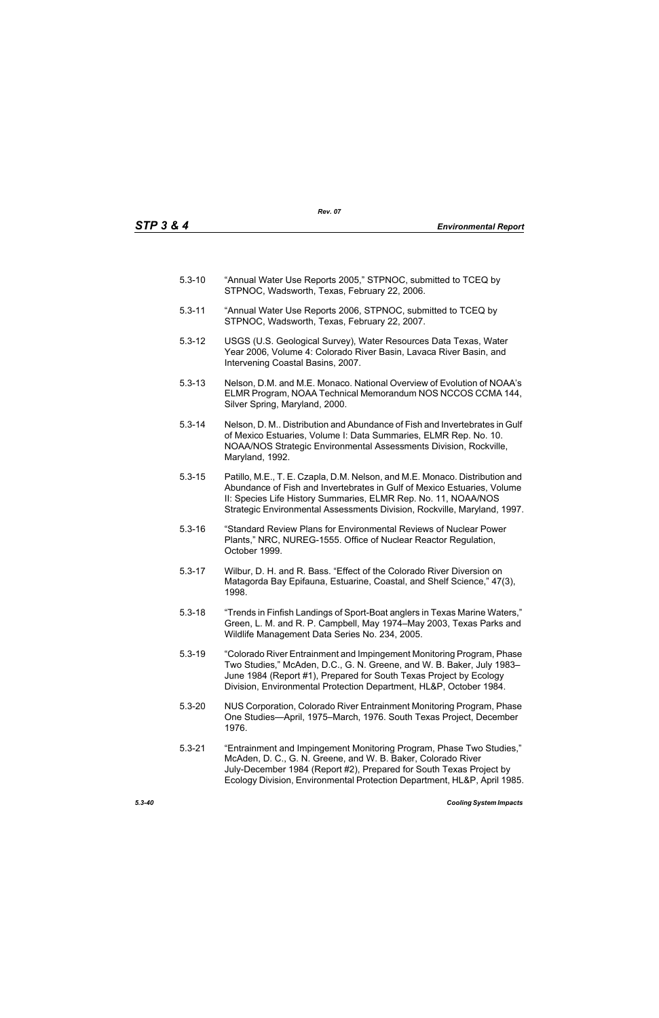- 5.3-10 "Annual Water Use Reports 2005," STPNOC, submitted to TCEQ by STPNOC, Wadsworth, Texas, February 22, 2006.
- 5.3-11 "Annual Water Use Reports 2006, STPNOC, submitted to TCEQ by STPNOC, Wadsworth, Texas, February 22, 2007.
- 5.3-12 USGS (U.S. Geological Survey), Water Resources Data Texas, Water Year 2006, Volume 4: Colorado River Basin, Lavaca River Basin, and Intervening Coastal Basins, 2007.
- 5.3-13 Nelson, D.M. and M.E. Monaco. National Overview of Evolution of NOAA's ELMR Program, NOAA Technical Memorandum NOS NCCOS CCMA 144, Silver Spring, Maryland, 2000.
- 5.3-14 Nelson, D. M.. Distribution and Abundance of Fish and Invertebrates in Gulf of Mexico Estuaries, Volume I: Data Summaries, ELMR Rep. No. 10. NOAA/NOS Strategic Environmental Assessments Division, Rockville, Maryland, 1992.
- 5.3-15 Patillo, M.E., T. E. Czapla, D.M. Nelson, and M.E. Monaco. Distribution and Abundance of Fish and Invertebrates in Gulf of Mexico Estuaries, Volume II: Species Life History Summaries, ELMR Rep. No. 11, NOAA/NOS Strategic Environmental Assessments Division, Rockville, Maryland, 1997.
- 5.3-16 "Standard Review Plans for Environmental Reviews of Nuclear Power Plants," NRC, NUREG-1555. Office of Nuclear Reactor Regulation, October 1999.
- 5.3-17 Wilbur, D. H. and R. Bass. "Effect of the Colorado River Diversion on Matagorda Bay Epifauna, Estuarine, Coastal, and Shelf Science," 47(3), 1998.
- 5.3-18 "Trends in Finfish Landings of Sport-Boat anglers in Texas Marine Waters," Green, L. M. and R. P. Campbell, May 1974–May 2003, Texas Parks and Wildlife Management Data Series No. 234, 2005.
- 5.3-19 "Colorado River Entrainment and Impingement Monitoring Program, Phase Two Studies," McAden, D.C., G. N. Greene, and W. B. Baker, July 1983– June 1984 (Report #1), Prepared for South Texas Project by Ecology Division, Environmental Protection Department, HL&P, October 1984.
- 5.3-20 NUS Corporation, Colorado River Entrainment Monitoring Program, Phase One Studies—April, 1975–March, 1976. South Texas Project, December 1976.
- 5.3-21 "Entrainment and Impingement Monitoring Program, Phase Two Studies," McAden, D. C., G. N. Greene, and W. B. Baker, Colorado River July-December 1984 (Report #2), Prepared for South Texas Project by Ecology Division, Environmental Protection Department, HL&P, April 1985.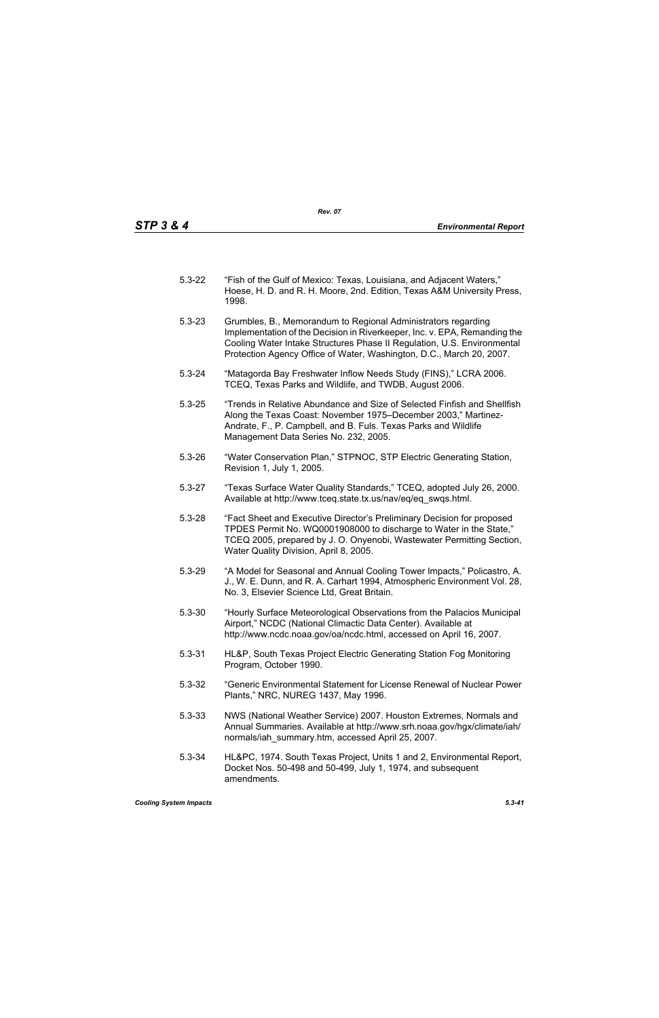- 5.3-22 "Fish of the Gulf of Mexico: Texas, Louisiana, and Adjacent Waters," Hoese, H. D. and R. H. Moore, 2nd. Edition, Texas A&M University Press, 1998.
- 5.3-23 Grumbles, B., Memorandum to Regional Administrators regarding Implementation of the Decision in Riverkeeper, Inc. v. EPA, Remanding the Cooling Water Intake Structures Phase II Regulation, U.S. Environmental Protection Agency Office of Water, Washington, D.C., March 20, 2007.
- 5.3-24 "Matagorda Bay Freshwater Inflow Needs Study (FINS)," LCRA 2006. TCEQ, Texas Parks and Wildlife, and TWDB, August 2006.
- 5.3-25 "Trends in Relative Abundance and Size of Selected Finfish and Shellfish Along the Texas Coast: November 1975–December 2003," Martinez-Andrate, F., P. Campbell, and B. Fuls. Texas Parks and Wildlife Management Data Series No. 232, 2005.
- 5.3-26 "Water Conservation Plan," STPNOC, STP Electric Generating Station, Revision 1, July 1, 2005.
- 5.3-27 "Texas Surface Water Quality Standards," TCEQ, adopted July 26, 2000. Available at http://www.tceq.state.tx.us/nav/eq/eq\_swqs.html.
- 5.3-28 "Fact Sheet and Executive Director's Preliminary Decision for proposed TPDES Permit No. WQ0001908000 to discharge to Water in the State," TCEQ 2005, prepared by J. O. Onyenobi, Wastewater Permitting Section, Water Quality Division, April 8, 2005.
- 5.3-29 "A Model for Seasonal and Annual Cooling Tower Impacts," Policastro, A. J., W. E. Dunn, and R. A. Carhart 1994, Atmospheric Environment Vol. 28, No. 3, Elsevier Science Ltd, Great Britain.
- 5.3-30 "Hourly Surface Meteorological Observations from the Palacios Municipal Airport," NCDC (National Climactic Data Center). Available at http://www.ncdc.noaa.gov/oa/ncdc.html, accessed on April 16, 2007.
- 5.3-31 HL&P, South Texas Project Electric Generating Station Fog Monitoring Program, October 1990.
- 5.3-32 "Generic Environmental Statement for License Renewal of Nuclear Power Plants," NRC, NUREG 1437, May 1996.
- 5.3-33 NWS (National Weather Service) 2007. Houston Extremes, Normals and Annual Summaries. Available at http://www.srh.noaa.gov/hgx/climate/iah/ normals/iah\_summary.htm, accessed April 25, 2007.
- 5.3-34 HL&PC, 1974. South Texas Project, Units 1 and 2, Environmental Report, Docket Nos. 50-498 and 50-499, July 1, 1974, and subsequent amendments.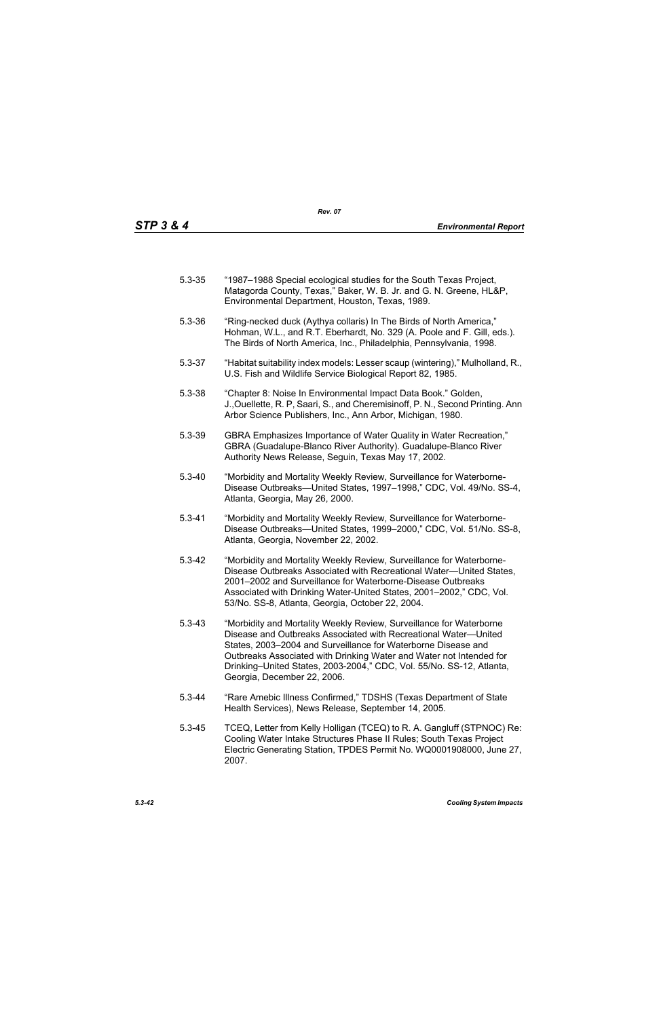| $5.3 - 35$ | "1987–1988 Special ecological studies for the South Texas Project, |
|------------|--------------------------------------------------------------------|
|            | Matagorda County, Texas," Baker, W. B. Jr. and G. N. Greene, HL&P, |
|            | Environmental Department, Houston, Texas, 1989.                    |

- 5.3-36 "Ring-necked duck (Aythya collaris) In The Birds of North America," Hohman, W.L., and R.T. Eberhardt, No. 329 (A. Poole and F. Gill, eds.). The Birds of North America, Inc., Philadelphia, Pennsylvania, 1998.
- 5.3-37 "Habitat suitability index models: Lesser scaup (wintering)," Mulholland, R., U.S. Fish and Wildlife Service Biological Report 82, 1985.
- 5.3-38 "Chapter 8: Noise In Environmental Impact Data Book." Golden, J.,Ouellette, R. P, Saari, S., and Cheremisinoff, P. N., Second Printing. Ann Arbor Science Publishers, Inc., Ann Arbor, Michigan, 1980.
- 5.3-39 GBRA Emphasizes Importance of Water Quality in Water Recreation," GBRA (Guadalupe-Blanco River Authority). Guadalupe-Blanco River Authority News Release, Seguin, Texas May 17, 2002.
- 5.3-40 "Morbidity and Mortality Weekly Review, Surveillance for Waterborne-Disease Outbreaks—United States, 1997–1998," CDC, Vol. 49/No. SS-4, Atlanta, Georgia, May 26, 2000.
- 5.3-41 "Morbidity and Mortality Weekly Review, Surveillance for Waterborne-Disease Outbreaks—United States, 1999–2000," CDC, Vol. 51/No. SS-8, Atlanta, Georgia, November 22, 2002.
- 5.3-42 "Morbidity and Mortality Weekly Review, Surveillance for Waterborne-Disease Outbreaks Associated with Recreational Water—United States, 2001–2002 and Surveillance for Waterborne-Disease Outbreaks Associated with Drinking Water-United States, 2001–2002," CDC, Vol. 53/No. SS-8, Atlanta, Georgia, October 22, 2004.
- 5.3-43 "Morbidity and Mortality Weekly Review, Surveillance for Waterborne Disease and Outbreaks Associated with Recreational Water—United States, 2003–2004 and Surveillance for Waterborne Disease and Outbreaks Associated with Drinking Water and Water not Intended for Drinking–United States, 2003-2004," CDC, Vol. 55/No. SS-12, Atlanta, Georgia, December 22, 2006.
- 5.3-44 "Rare Amebic Illness Confirmed," TDSHS (Texas Department of State Health Services), News Release, September 14, 2005.
- 5.3-45 TCEQ, Letter from Kelly Holligan (TCEQ) to R. A. Gangluff (STPNOC) Re: Cooling Water Intake Structures Phase II Rules; South Texas Project Electric Generating Station, TPDES Permit No. WQ0001908000, June 27, 2007.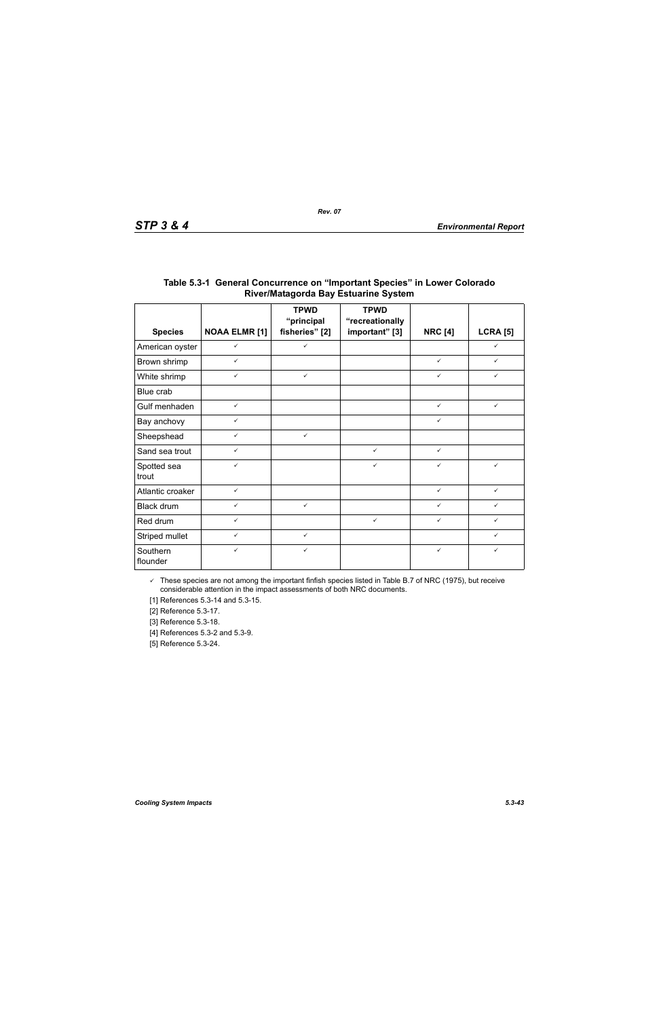|                      |                      | <b>TPWD</b><br>"principal | <b>TPWD</b><br>"recreationally |                |                 |
|----------------------|----------------------|---------------------------|--------------------------------|----------------|-----------------|
| <b>Species</b>       | <b>NOAA ELMR [1]</b> | fisheries" [2]            | important" [3]                 | <b>NRC [4]</b> | <b>LCRA [5]</b> |
| American oyster      | $\checkmark$         | $\checkmark$              |                                |                | $\checkmark$    |
| Brown shrimp         | $\checkmark$         |                           |                                | $\checkmark$   | $\checkmark$    |
| White shrimp         | $\checkmark$         | $\checkmark$              |                                | $\checkmark$   | ✓               |
| Blue crab            |                      |                           |                                |                |                 |
| Gulf menhaden        | $\checkmark$         |                           |                                | $\checkmark$   | $\checkmark$    |
| Bay anchovy          | $\checkmark$         |                           |                                | $\checkmark$   |                 |
| Sheepshead           | $\checkmark$         | $\checkmark$              |                                |                |                 |
| Sand sea trout       | $\checkmark$         |                           | $\checkmark$                   | $\checkmark$   |                 |
| Spotted sea<br>trout | $\checkmark$         |                           | $\checkmark$                   | $\checkmark$   | $\checkmark$    |
| Atlantic croaker     | $\checkmark$         |                           |                                | $\checkmark$   | $\checkmark$    |
| Black drum           | $\checkmark$         | $\checkmark$              |                                | $\checkmark$   | ✓               |
| Red drum             | $\checkmark$         |                           | $\checkmark$                   | $\checkmark$   | ✓               |
| Striped mullet       | $\checkmark$         | $\checkmark$              |                                |                | ✓               |
| Southern<br>flounder | $\checkmark$         | $\checkmark$              |                                | $\checkmark$   | ✓               |

# **Table 5.3-1 General Concurrence on "Important Species" in Lower Colorado River/Matagorda Bay Estuarine System**

 $\checkmark$  These species are not among the important finfish species listed in Table B.7 of NRC (1975), but receive considerable attention in the impact assessments of both NRC documents.

[1] References 5.3-14 and 5.3-15.

[2] Reference 5.3-17.

[3] Reference 5.3-18.

[4] References 5.3-2 and 5.3-9.

[5] Reference 5.3-24.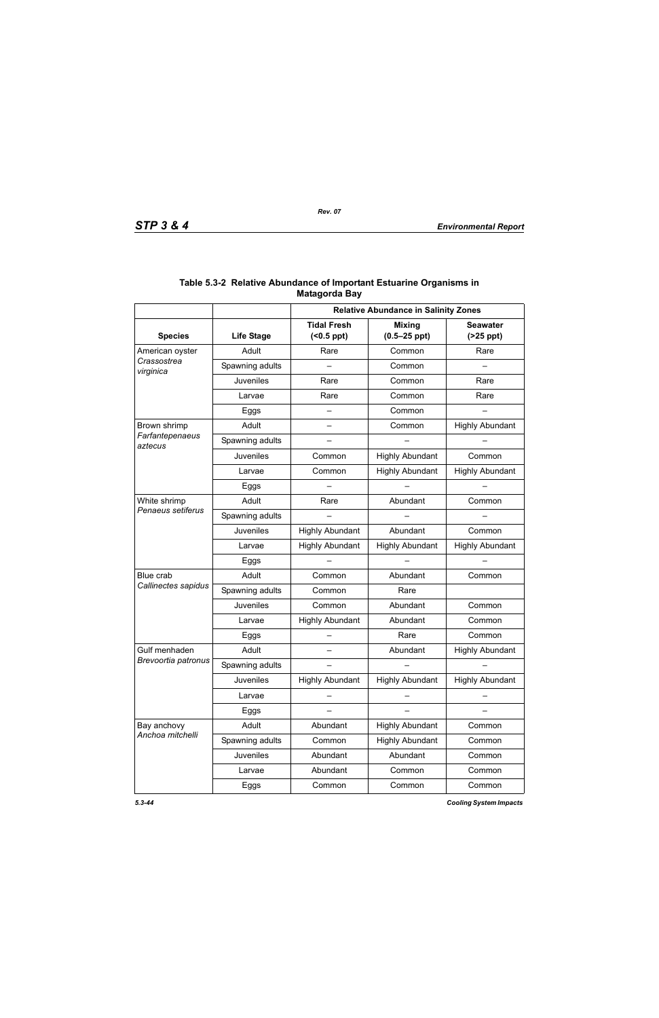|                            | <b>Relative Abundance in Salinity Zones</b> |                                        |                                   |                               |
|----------------------------|---------------------------------------------|----------------------------------------|-----------------------------------|-------------------------------|
| <b>Species</b>             | <b>Life Stage</b>                           | <b>Tidal Fresh</b><br>$( <0.5$ ppt $)$ | <b>Mixing</b><br>$(0.5 - 25$ ppt) | <b>Seawater</b><br>$(25$ ppt) |
| American oyster            | Adult                                       | Rare                                   | Common                            | Rare                          |
| Crassostrea<br>virginica   | Spawning adults                             |                                        | Common                            |                               |
|                            | Juveniles                                   | Rare                                   | Common                            | Rare                          |
|                            | Larvae                                      | Rare                                   | Common                            | Rare                          |
|                            | Eggs                                        |                                        | Common                            |                               |
| Brown shrimp               | Adult                                       | $\overline{\phantom{0}}$               | Common                            | <b>Highly Abundant</b>        |
| Farfantepenaeus<br>aztecus | Spawning adults                             |                                        |                                   |                               |
|                            | Juveniles                                   | Common                                 | <b>Highly Abundant</b>            | Common                        |
|                            | Larvae                                      | Common                                 | <b>Highly Abundant</b>            | <b>Highly Abundant</b>        |
|                            | Eggs                                        |                                        |                                   |                               |
| White shrimp               | Adult                                       | Rare                                   | Abundant                          | Common                        |
| Penaeus setiferus          | Spawning adults                             |                                        |                                   |                               |
|                            | Juveniles                                   | <b>Highly Abundant</b>                 | Abundant                          | Common                        |
|                            | Larvae                                      | <b>Highly Abundant</b>                 | <b>Highly Abundant</b>            | <b>Highly Abundant</b>        |
|                            | Eggs                                        |                                        |                                   |                               |
| Blue crab                  | Adult                                       | Common                                 | Abundant                          | Common                        |
| Callinectes sapidus        | Spawning adults                             | Common                                 | Rare                              |                               |
|                            | Juveniles                                   | Common                                 | Abundant                          | Common                        |
|                            | Larvae                                      | <b>Highly Abundant</b>                 | Abundant                          | Common                        |
|                            | Eggs                                        |                                        | Rare                              | Common                        |
| Gulf menhaden              | Adult                                       |                                        | Abundant                          | <b>Highly Abundant</b>        |
| Brevoortia patronus        | Spawning adults                             |                                        |                                   |                               |
|                            | <b>Juveniles</b>                            | <b>Highly Abundant</b>                 | <b>Highly Abundant</b>            | <b>Highly Abundant</b>        |
|                            | Larvae                                      |                                        |                                   |                               |
|                            | Eggs                                        |                                        |                                   |                               |
| Bay anchovy                | Adult                                       | Abundant                               | <b>Highly Abundant</b>            | Common                        |
| Anchoa mitchelli           | Spawning adults                             | Common                                 | <b>Highly Abundant</b>            | Common                        |
|                            | Juveniles                                   | Abundant                               | Abundant                          | Common                        |
|                            | Larvae                                      | Abundant                               | Common                            | Common                        |
|                            | Eggs                                        | Common                                 | Common                            | Common                        |

# **Table 5.3-2 Relative Abundance of Important Estuarine Organisms in Matagorda Bay**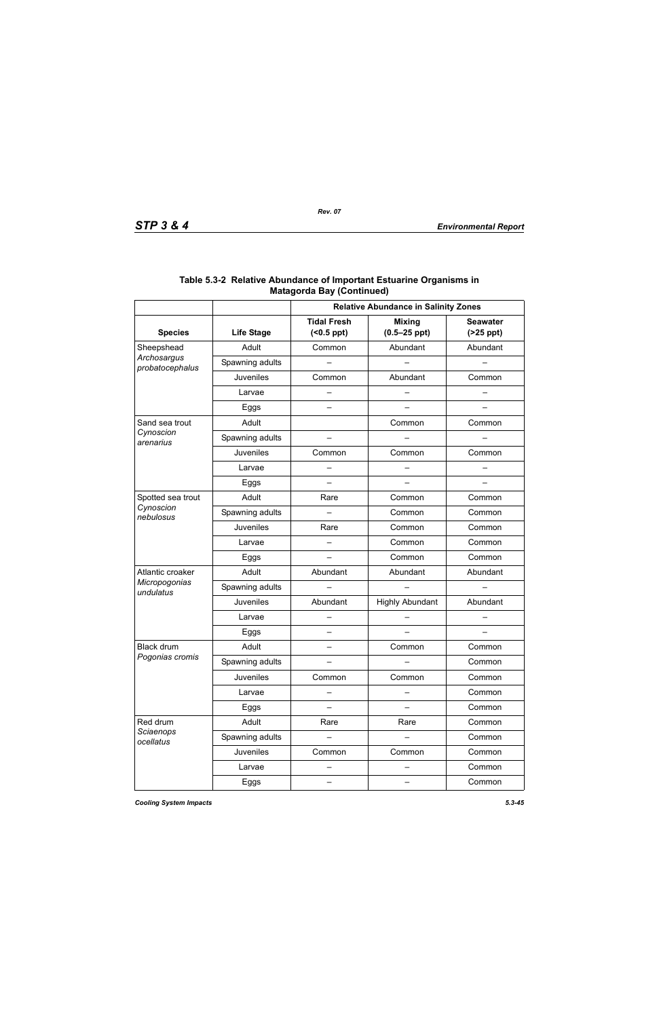|                                |                   | <b>Relative Abundance in Salinity Zones</b> |                                   |                               |  |
|--------------------------------|-------------------|---------------------------------------------|-----------------------------------|-------------------------------|--|
| <b>Species</b>                 | <b>Life Stage</b> | <b>Tidal Fresh</b><br>$( < 0.5$ ppt $)$     | <b>Mixing</b><br>$(0.5 - 25$ ppt) | <b>Seawater</b><br>$(25$ ppt) |  |
| Sheepshead                     | Adult             | Common                                      | Abundant                          | Abundant                      |  |
| Archosargus<br>probatocephalus | Spawning adults   |                                             |                                   |                               |  |
|                                | <b>Juveniles</b>  | Common                                      | Abundant                          | Common                        |  |
|                                | Larvae            |                                             |                                   |                               |  |
|                                | Eggs              |                                             |                                   |                               |  |
| Sand sea trout                 | Adult             |                                             | Common                            | Common                        |  |
| Cynoscion<br>arenarius         | Spawning adults   |                                             |                                   |                               |  |
|                                | Juveniles         | Common                                      | Common                            | Common                        |  |
|                                | Larvae            |                                             |                                   |                               |  |
|                                | Eggs              | —                                           |                                   |                               |  |
| Spotted sea trout              | Adult             | Rare                                        | Common                            | Common                        |  |
| Cynoscion<br>nebulosus         | Spawning adults   |                                             | Common                            | Common                        |  |
|                                | Juveniles         | Rare                                        | Common                            | Common                        |  |
|                                | Larvae            |                                             | Common                            | Common                        |  |
|                                | Eggs              |                                             | Common                            | Common                        |  |
| Atlantic croaker               | Adult             | Abundant                                    | Abundant                          | Abundant                      |  |
| Micropogonias<br>undulatus     | Spawning adults   |                                             |                                   |                               |  |
|                                | Juveniles         | Abundant                                    | <b>Highly Abundant</b>            | Abundant                      |  |
|                                | Larvae            |                                             |                                   |                               |  |
|                                | Eggs              |                                             |                                   |                               |  |
| <b>Black drum</b>              | Adult             | $\overline{\phantom{0}}$                    | Common                            | Common                        |  |
| Pogonias cromis                | Spawning adults   |                                             |                                   | Common                        |  |
|                                | <b>Juveniles</b>  | Common                                      | Common                            | Common                        |  |
|                                | Larvae            |                                             |                                   | Common                        |  |
|                                | Eggs              |                                             |                                   | Common                        |  |
| Red drum                       | Adult             | Rare                                        | Rare                              | Common                        |  |
| Sciaenops<br>ocellatus         | Spawning adults   |                                             |                                   | Common                        |  |
|                                | <b>Juveniles</b>  | Common                                      | Common                            | Common                        |  |
|                                | Larvae            |                                             |                                   | Common                        |  |
|                                | Eggs              | —                                           |                                   | Common                        |  |

### **Table 5.3-2 Relative Abundance of Important Estuarine Organisms in Matagorda Bay (Continued)**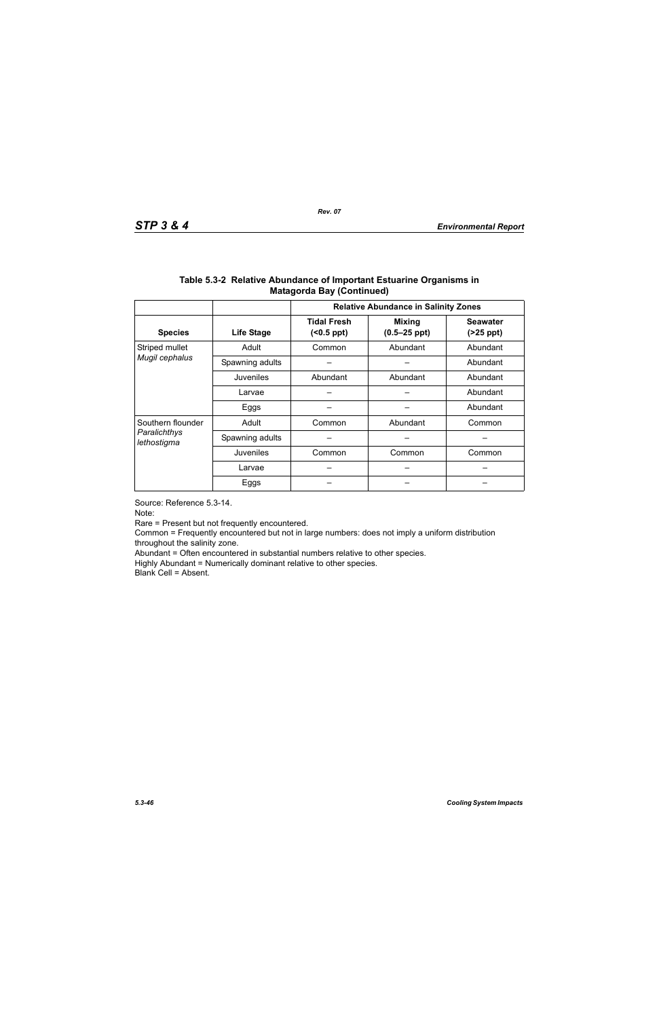|                                                  |                   | <b>Relative Abundance in Salinity Zones</b> |                                   |                               |  |
|--------------------------------------------------|-------------------|---------------------------------------------|-----------------------------------|-------------------------------|--|
| <b>Species</b>                                   | <b>Life Stage</b> | <b>Tidal Fresh</b><br>(                     | <b>Mixing</b><br>$(0.5 - 25$ ppt) | <b>Seawater</b><br>$(25$ ppt) |  |
| Striped mullet                                   | Adult             | Abundant<br>Common                          |                                   | Abundant                      |  |
| Mugil cephalus                                   | Spawning adults   |                                             |                                   | Abundant                      |  |
|                                                  | Juveniles         | Abundant<br>Abundant                        |                                   | Abundant                      |  |
|                                                  | Larvae            |                                             |                                   | Abundant                      |  |
|                                                  | Eggs              |                                             |                                   | Abundant                      |  |
| Southern flounder<br>Paralichthys<br>lethostigma | Adult             | Abundant<br>Common                          |                                   | Common                        |  |
|                                                  | Spawning adults   |                                             |                                   |                               |  |
|                                                  | Juveniles         | Common                                      | Common                            | Common                        |  |
|                                                  | Larvae            |                                             |                                   |                               |  |
|                                                  | Eggs              |                                             |                                   |                               |  |

### **Table 5.3-2 Relative Abundance of Important Estuarine Organisms in Matagorda Bay (Continued)**

Source: Reference 5.3-14.

Note:

Rare = Present but not frequently encountered.

Common = Frequently encountered but not in large numbers: does not imply a uniform distribution throughout the salinity zone.

Abundant = Often encountered in substantial numbers relative to other species.

Highly Abundant = Numerically dominant relative to other species.

Blank Cell = Absent.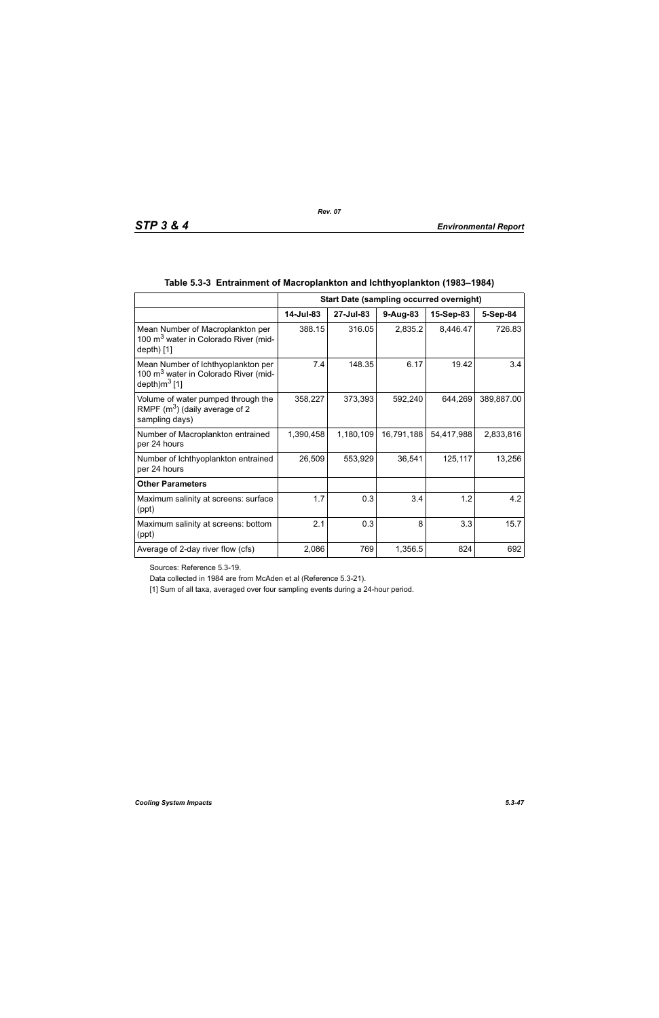|                                                                                                                    | <b>Start Date (sampling occurred overnight)</b> |           |            |            |            |
|--------------------------------------------------------------------------------------------------------------------|-------------------------------------------------|-----------|------------|------------|------------|
|                                                                                                                    | 14-Jul-83                                       | 27-Jul-83 | 9-Aug-83   | 15-Sep-83  | 5-Sep-84   |
| Mean Number of Macroplankton per<br>100 m <sup>3</sup> water in Colorado River (mid-<br>depth $[1]$                | 388.15                                          | 316.05    | 2,835.2    | 8,446.47   | 726.83     |
| Mean Number of Ichthyoplankton per<br>100 m <sup>3</sup> water in Colorado River (mid-<br>depth)m <sup>3</sup> [1] | 7.4                                             | 148.35    | 6.17       | 19.42      | 3.4        |
| Volume of water pumped through the<br>RMPF $(m^3)$ (daily average of 2<br>sampling days)                           | 358,227                                         | 373,393   | 592,240    | 644,269    | 389,887.00 |
| Number of Macroplankton entrained<br>per 24 hours                                                                  | 1,390,458                                       | 1,180,109 | 16,791,188 | 54,417,988 | 2,833,816  |
| Number of Ichthyoplankton entrained<br>per 24 hours                                                                | 26,509                                          | 553,929   | 36,541     | 125,117    | 13,256     |
| <b>Other Parameters</b>                                                                                            |                                                 |           |            |            |            |
| Maximum salinity at screens: surface<br>(ppt)                                                                      | 1.7                                             | 0.3       | 3.4        | 1.2        | 4.2        |
| Maximum salinity at screens: bottom<br>(ppt)                                                                       | 2.1                                             | 0.3       | 8          | 3.3        | 15.7       |
| Average of 2-day river flow (cfs)                                                                                  | 2,086                                           | 769       | 1,356.5    | 824        | 692        |

# **Table 5.3-3 Entrainment of Macroplankton and Ichthyoplankton (1983–1984)**

Sources: Reference 5.3-19.

Data collected in 1984 are from McAden et al (Reference 5.3-21).

[1] Sum of all taxa, averaged over four sampling events during a 24-hour period.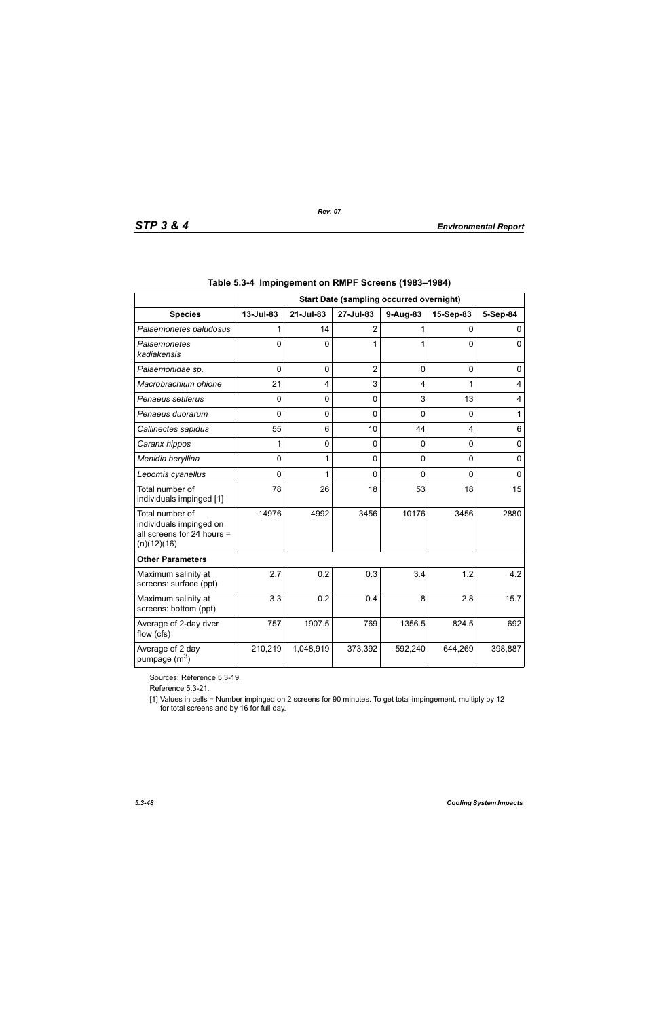|                                                                                         | <b>Start Date (sampling occurred overnight)</b> |                |                |          |                |                |
|-----------------------------------------------------------------------------------------|-------------------------------------------------|----------------|----------------|----------|----------------|----------------|
| <b>Species</b>                                                                          | 13-Jul-83                                       | 21-Jul-83      | 27-Jul-83      | 9-Aug-83 | 15-Sep-83      | 5-Sep-84       |
| Palaemonetes paludosus                                                                  |                                                 | 14             | $\overline{2}$ | 1        | 0              | 0              |
| Palaemonetes<br>kadiakensis                                                             | $\Omega$                                        | 0              | 1              | 1        | $\Omega$       | $\mathbf 0$    |
| Palaemonidae sp.                                                                        | $\mathbf 0$                                     | $\mathbf 0$    | $\overline{2}$ | 0        | $\mathbf 0$    | 0              |
| Macrobrachium ohione                                                                    | 21                                              | 4              | 3              | 4        | 1              | 4              |
| Penaeus setiferus                                                                       | $\Omega$                                        | $\overline{0}$ | $\mathbf 0$    | 3        | 13             | $\overline{4}$ |
| Penaeus duorarum                                                                        | $\Omega$                                        | 0              | $\mathbf 0$    | $\Omega$ | $\Omega$       | 1              |
| Callinectes sapidus                                                                     | 55                                              | 6              | 10             | 44       | 4              | 6              |
| Caranx hippos                                                                           | 1                                               | 0              | 0              | 0        | $\overline{0}$ | $\mathbf 0$    |
| Menidia beryllina                                                                       | 0                                               |                | 0              | 0        | 0              | $\mathbf 0$    |
| Lepomis cyanellus                                                                       | $\Omega$                                        | 1              | $\Omega$       | $\Omega$ | $\Omega$       | $\Omega$       |
| Total number of<br>individuals impinged [1]                                             | 78                                              | 26             | 18             | 53       | 18             | 15             |
| Total number of<br>individuals impinged on<br>all screens for 24 hours =<br>(n)(12)(16) | 14976                                           | 4992           | 3456           | 10176    | 3456           | 2880           |
| <b>Other Parameters</b>                                                                 |                                                 |                |                |          |                |                |
| Maximum salinity at<br>screens: surface (ppt)                                           | 2.7                                             | 0.2            | 0.3            | 3.4      | 1.2            | 4.2            |
| Maximum salinity at<br>screens: bottom (ppt)                                            | 3.3                                             | 0.2            | 0.4            | 8        | 2.8            | 15.7           |
| Average of 2-day river<br>flow (cfs)                                                    | 757                                             | 1907.5         | 769            | 1356.5   | 824.5          | 692            |
| Average of 2 day<br>pumpage (m <sup>3</sup> )                                           | 210,219                                         | 1,048,919      | 373,392        | 592,240  | 644,269        | 398,887        |

|  | Table 5.3-4 Impingement on RMPF Screens (1983–1984) |  |  |  |
|--|-----------------------------------------------------|--|--|--|
|--|-----------------------------------------------------|--|--|--|

*Rev. 07*

Sources: Reference 5.3-19.

Reference 5.3-21.

[1] Values in cells = Number impinged on 2 screens for 90 minutes. To get total impingement, multiply by 12 for total screens and by 16 for full day.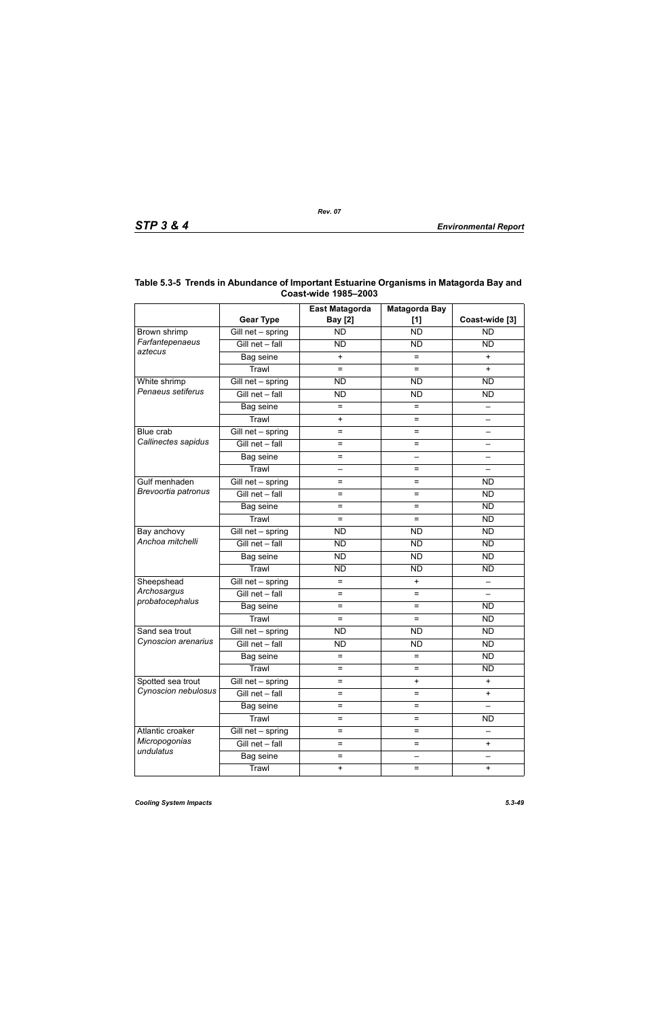|                                          |                                 | <b>East Matagorda</b>    | <b>Matagorda Bay</b>     |                          |
|------------------------------------------|---------------------------------|--------------------------|--------------------------|--------------------------|
|                                          | <b>Gear Type</b>                | <b>Bay</b> [2]           | [1]                      | Coast-wide [3]           |
| Brown shrimp                             | Gill net - spring               | <b>ND</b>                | <b>ND</b>                | <b>ND</b>                |
| Farfantepenaeus                          | Gill net - fall                 | <b>ND</b>                | <b>ND</b>                | <b>ND</b>                |
| aztecus                                  | Bag seine                       | $\ddot{}$                | $=$                      | $+$                      |
|                                          | Trawl                           | $=$                      | $=$                      | $\ddot{}$                |
| White shrimp                             | $\overline{G}$ ill net - spring | <b>ND</b>                | <b>ND</b>                | <b>ND</b>                |
| Penaeus setiferus                        | Gill net - fall                 | <b>ND</b>                | <b>ND</b>                | <b>ND</b>                |
|                                          | Bag seine                       | $=$                      | $=$                      |                          |
|                                          | Trawl                           | $\ddot{}$                | $=$                      | $\overline{\phantom{0}}$ |
| Blue crab                                | $\overline{G}$ ill net - spring | $=$                      | =                        |                          |
| Callinectes sapidus                      | Gill net - fall                 | $=$                      | $=$                      |                          |
|                                          | Bag seine                       | $=$                      | $\overline{\phantom{0}}$ |                          |
|                                          | Trawl                           | $\overline{\phantom{0}}$ | $=$                      | $\qquad \qquad -$        |
| Gulf menhaden                            | Gill net - spring               | $=$                      | =                        | <b>ND</b>                |
| Brevoortia patronus                      | Gill net - fall                 | $=$                      | $=$                      | <b>ND</b>                |
|                                          | Bag seine                       | $=$                      | $=$                      | <b>ND</b>                |
|                                          | Trawl                           | $=$                      | $=$                      | <b>ND</b>                |
| Bay anchovy                              | $\overline{G}$ ill net - spring | <b>ND</b>                | <b>ND</b>                | <b>ND</b>                |
| Anchoa mitchelli                         | Gill net - fall                 | <b>ND</b>                | <b>ND</b>                | <b>ND</b>                |
|                                          | Bag seine                       | <b>ND</b>                | <b>ND</b>                | <b>ND</b>                |
|                                          | Trawl                           | <b>ND</b>                | <b>ND</b>                | <b>ND</b>                |
| Sheepshead                               | Gill net - spring               | $=$                      | $\ddot{}$                |                          |
| Archosargus                              | Gill net - fall                 | $=$                      | $=$                      |                          |
| probatocephalus                          | Bag seine                       | $=$                      | $=$                      | <b>ND</b>                |
|                                          | Trawl                           | $=$                      | $=$                      | <b>ND</b>                |
| Sand sea trout                           | Gill net - spring               | <b>ND</b>                | <b>ND</b>                | <b>ND</b>                |
| Cynoscion arenarius                      | Gill net - fall                 | <b>ND</b>                | <b>ND</b>                | <b>ND</b>                |
|                                          | Bag seine                       | $=$                      | $=$                      | <b>ND</b>                |
|                                          | Trawl                           | $=$                      | $=$                      | <b>ND</b>                |
| Spotted sea trout<br>Cynoscion nebulosus | Gill net - spring               | $=$                      | $\ddot{}$                | $\ddot{}$                |
|                                          | Gill net - fall                 | $=$                      | $=$                      | $\ddot{}$                |
|                                          | Bag seine                       | $=$                      | $=$                      |                          |
|                                          | Trawl                           | $=$                      | $=$                      | <b>ND</b>                |
| Atlantic croaker                         | Gill net - spring               | $=$                      | $=$                      |                          |
| Micropogonias                            | Gill net - fall                 | $=$                      | $=$                      | $\ddot{}$                |
| undulatus                                | Bag seine                       | $=$                      | —                        |                          |
|                                          | Trawl                           | $\ddot{}$                | $=$                      | $\ddot{}$                |

# **Table 5.3-5 Trends in Abundance of Important Estuarine Organisms in Matagorda Bay and Coast-wide 1985–2003**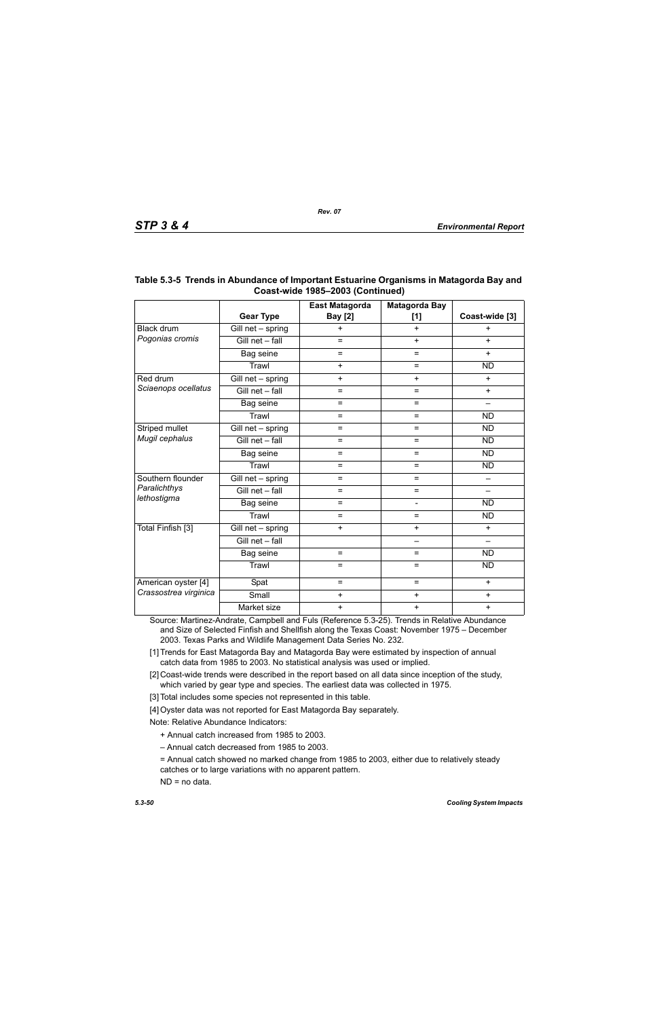|                       |                   | East Matagorda | <b>Matagorda Bay</b>     |                 |
|-----------------------|-------------------|----------------|--------------------------|-----------------|
|                       | <b>Gear Type</b>  | <b>Bay</b> [2] | $[1]$                    | Coast-wide [3]  |
| Black drum            | Gill net - spring | $\ddot{}$      | $+$                      | $\ddot{}$       |
| Pogonias cromis       | Gill net - fall   | $=$            | $+$                      | $+$             |
|                       | Bag seine         | $=$            | $=$                      | $+$             |
|                       | Trawl             | $+$            | $=$                      | <b>ND</b>       |
| Red drum              | Gill net - spring | $+$            | $\ddot{}$                | $+$             |
| Sciaenops ocellatus   | Gill net - fall   | $=$            | $=$                      | $+$             |
|                       | Bag seine         | $=$            | $\equiv$                 | $\qquad \qquad$ |
|                       | Trawl             | $=$            | $=$                      | <b>ND</b>       |
| Striped mullet        | Gill net - spring | $=$            | $\equiv$                 | <b>ND</b>       |
| Mugil cephalus        | Gill net - fall   | $=$            | $=$                      | <b>ND</b>       |
|                       | Bag seine         | $=$            | $=$                      | <b>ND</b>       |
|                       | Trawl             | $=$            | $=$                      | <b>ND</b>       |
| Southern flounder     | Gill net - spring | $=$            | $=$                      |                 |
| Paralichthys          | Gill net - fall   | $=$            | $=$                      |                 |
| lethostigma           | Bag seine         | $=$            | $\overline{\phantom{0}}$ | <b>ND</b>       |
|                       | Trawl             | $=$            | $=$                      | <b>ND</b>       |
| Total Finfish [3]     | Gill net - spring | $\ddot{}$      | $\ddot{}$                | $+$             |
|                       | Gill net - fall   |                | —                        | $\equiv$        |
|                       | Bag seine         | $=$            | $=$                      | <b>ND</b>       |
|                       | Trawl             | $=$            | $=$                      | <b>ND</b>       |
| American oyster [4]   | Spat              | $=$            | $=$                      | $+$             |
| Crassostrea virginica | Small             | $\ddot{}$      | $\ddot{}$                | $\ddot{}$       |
|                       | Market size       | $\ddot{}$      | $\ddot{}$                | $\ddot{}$       |

# **Table 5.3-5 Trends in Abundance of Important Estuarine Organisms in Matagorda Bay and Coast-wide 1985–2003 (Continued)**

Source: Martinez-Andrate, Campbell and Fuls (Reference 5.3-25). Trends in Relative Abundance and Size of Selected Finfish and Shellfish along the Texas Coast: November 1975 – December 2003. Texas Parks and Wildlife Management Data Series No. 232.

[1] Trends for East Matagorda Bay and Matagorda Bay were estimated by inspection of annual catch data from 1985 to 2003. No statistical analysis was used or implied.

[2] Coast-wide trends were described in the report based on all data since inception of the study, which varied by gear type and species. The earliest data was collected in 1975.

[3] Total includes some species not represented in this table.

[4] Oyster data was not reported for East Matagorda Bay separately.

Note: Relative Abundance Indicators:

+ Annual catch increased from 1985 to 2003.

– Annual catch decreased from 1985 to 2003.

= Annual catch showed no marked change from 1985 to 2003, either due to relatively steady catches or to large variations with no apparent pattern.

ND = no data.